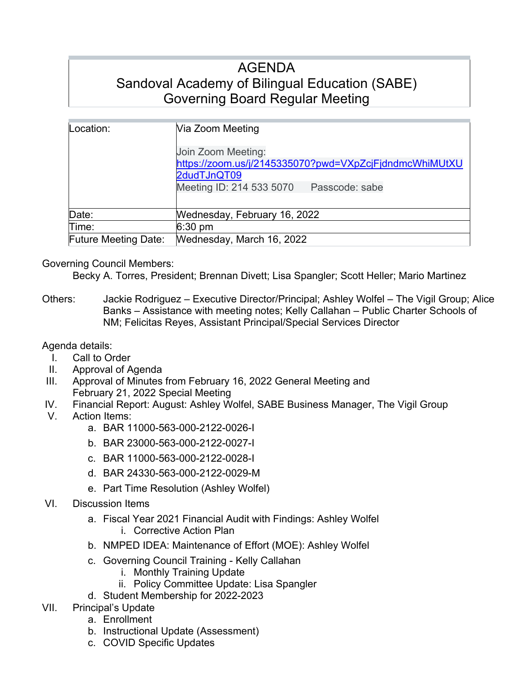# AGENDA Sandoval Academy of Bilingual Education (SABE) Governing Board Regular Meeting

| Location:                   | Via Zoom Meeting                                                                                                                          |
|-----------------------------|-------------------------------------------------------------------------------------------------------------------------------------------|
|                             | Join Zoom Meeting:<br>https://zoom.us/j/2145335070?pwd=VXpZcjFjdndmcWhiMUtXU<br>2dudTJnQT09<br>Meeting ID: 214 533 5070<br>Passcode: sabe |
| Date:                       | Wednesday, February 16, 2022                                                                                                              |
| Time:                       | $6:30 \text{ pm}$                                                                                                                         |
| <b>Future Meeting Date:</b> | Wednesday, March 16, 2022                                                                                                                 |

### Governing Council Members:

Becky A. Torres, President; Brennan Divett; Lisa Spangler; Scott Heller; Mario Martinez

Others: Jackie Rodriguez – Executive Director/Principal; Ashley Wolfel – The Vigil Group; Alice Banks – Assistance with meeting notes; Kelly Callahan – Public Charter Schools of NM; Felicitas Reyes, Assistant Principal/Special Services Director

Agenda details:

- I. Call to Order
- II. Approval of Agenda
- III. Approval of Minutes from February 16, 2022 General Meeting and February 21, 2022 Special Meeting
- IV. Financial Report: August: Ashley Wolfel, SABE Business Manager, The Vigil Group
- V. Action Items:
	- a. BAR 11000-563-000-2122-0026-I
	- b. BAR 23000-563-000-2122-0027-I
	- c. BAR 11000-563-000-2122-0028-I
	- d. BAR 24330-563-000-2122-0029-M
	- e. Part Time Resolution (Ashley Wolfel)
- VI. Discussion Items
	- a. Fiscal Year 2021 Financial Audit with Findings: Ashley Wolfel i. Corrective Action Plan
	- b. NMPED IDEA: Maintenance of Effort (MOE): Ashley Wolfel
	- c. Governing Council Training Kelly Callahan
		- i. Monthly Training Update
		- ii. Policy Committee Update: Lisa Spangler
	- d. Student Membership for 2022-2023
- VII. Principal's Update
	- a. Enrollment
	- b. Instructional Update (Assessment)
	- c. COVID Specific Updates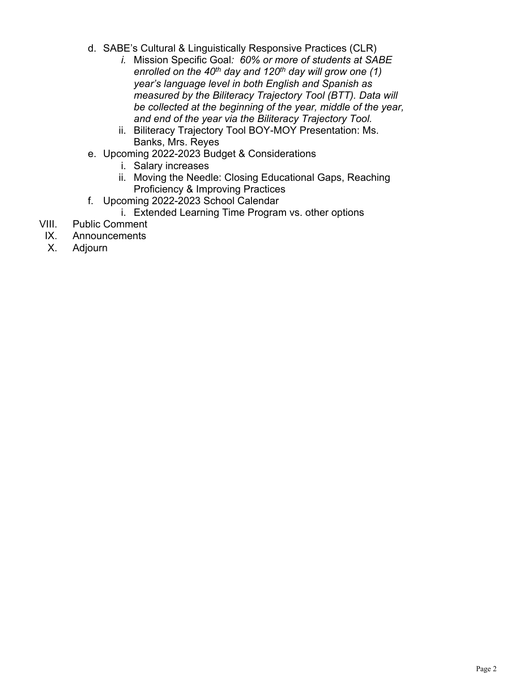- d. SABE's Cultural & Linguistically Responsive Practices (CLR)
	- *i.* Mission Specific Goal*: 60% or more of students at SABE enrolled on the 40th day and 120th day will grow one (1) year's language level in both English and Spanish as measured by the Biliteracy Trajectory Tool (BTT). Data will be collected at the beginning of the year, middle of the year, and end of the year via the Biliteracy Trajectory Tool.*
	- ii. Biliteracy Trajectory Tool BOY-MOY Presentation: Ms. Banks, Mrs. Reyes
- e. Upcoming 2022-2023 Budget & Considerations
	- i. Salary increases
	- ii. Moving the Needle: Closing Educational Gaps, Reaching Proficiency & Improving Practices
- f. Upcoming 2022-2023 School Calendar
	- i. Extended Learning Time Program vs. other options
- VIII. Public Comment
- IX. Announcements
- X. Adjourn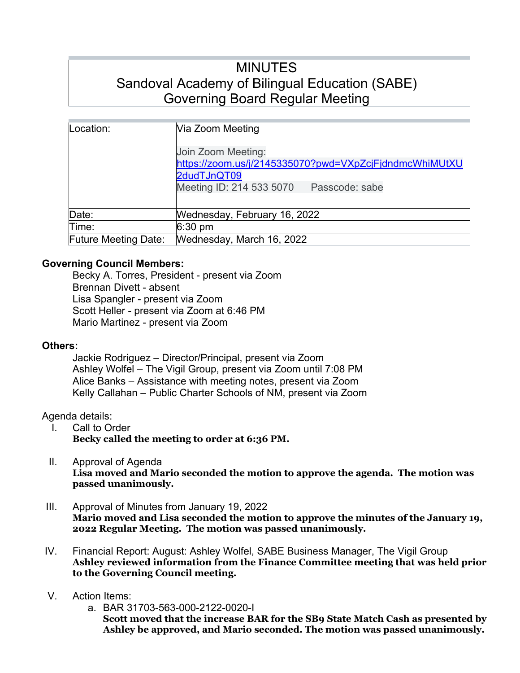# MINUTES Sandoval Academy of Bilingual Education (SABE) Governing Board Regular Meeting

| Location:                   | Via Zoom Meeting<br>Join Zoom Meeting:<br>https://zoom.us/j/2145335070?pwd=VXpZcjFjdndmcWhiMUtXU<br>2dudTJnQT09<br>Meeting ID: 214 533 5070<br>Passcode: sabe |
|-----------------------------|---------------------------------------------------------------------------------------------------------------------------------------------------------------|
| Date:                       | Wednesday, February 16, 2022                                                                                                                                  |
| Time:                       | $6:30 \text{ pm}$                                                                                                                                             |
| <b>Future Meeting Date:</b> | Wednesday, March 16, 2022                                                                                                                                     |

### **Governing Council Members:**

Becky A. Torres, President - present via Zoom Brennan Divett - absent Lisa Spangler - present via Zoom Scott Heller - present via Zoom at 6:46 PM Mario Martinez - present via Zoom

### **Others:**

Jackie Rodriguez – Director/Principal, present via Zoom Ashley Wolfel – The Vigil Group, present via Zoom until 7:08 PM Alice Banks – Assistance with meeting notes, present via Zoom Kelly Callahan – Public Charter Schools of NM, present via Zoom

### Agenda details:

- I. Call to Order **Becky called the meeting to order at 6:36 PM.**
- II. Approval of Agenda

**Lisa moved and Mario seconded the motion to approve the agenda. The motion was passed unanimously.**

- III. Approval of Minutes from January 19, 2022 **Mario moved and Lisa seconded the motion to approve the minutes of the January 19, 2022 Regular Meeting. The motion was passed unanimously.**
- IV. Financial Report: August: Ashley Wolfel, SABE Business Manager, The Vigil Group **Ashley reviewed information from the Finance Committee meeting that was held prior to the Governing Council meeting.**
- V. Action Items:
	- a. BAR 31703-563-000-2122-0020-I

**Scott moved that the increase BAR for the SB9 State Match Cash as presented by Ashley be approved, and Mario seconded. The motion was passed unanimously.**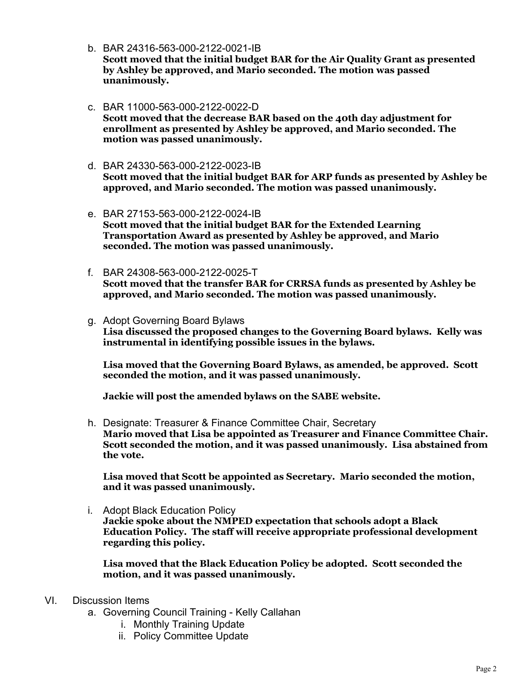b. BAR 24316-563-000-2122-0021-IB

**Scott moved that the initial budget BAR for the Air Quality Grant as presented by Ashley be approved, and Mario seconded. The motion was passed unanimously.**

- c. BAR 11000-563-000-2122-0022-D **Scott moved that the decrease BAR based on the 40th day adjustment for enrollment as presented by Ashley be approved, and Mario seconded. The motion was passed unanimously.**
- d. BAR 24330-563-000-2122-0023-IB **Scott moved that the initial budget BAR for ARP funds as presented by Ashley be approved, and Mario seconded. The motion was passed unanimously.**
- e. BAR 27153-563-000-2122-0024-IB **Scott moved that the initial budget BAR for the Extended Learning Transportation Award as presented by Ashley be approved, and Mario seconded. The motion was passed unanimously.**
- f. BAR 24308-563-000-2122-0025-T **Scott moved that the transfer BAR for CRRSA funds as presented by Ashley be approved, and Mario seconded. The motion was passed unanimously.**
- g. Adopt Governing Board Bylaws **Lisa discussed the proposed changes to the Governing Board bylaws. Kelly was instrumental in identifying possible issues in the bylaws.**

**Lisa moved that the Governing Board Bylaws, as amended, be approved. Scott seconded the motion, and it was passed unanimously.**

**Jackie will post the amended bylaws on the SABE website.**

h. Designate: Treasurer & Finance Committee Chair, Secretary **Mario moved that Lisa be appointed as Treasurer and Finance Committee Chair. Scott seconded the motion, and it was passed unanimously. Lisa abstained from the vote.**

**Lisa moved that Scott be appointed as Secretary. Mario seconded the motion, and it was passed unanimously.**

i. Adopt Black Education Policy **Jackie spoke about the NMPED expectation that schools adopt a Black Education Policy. The staff will receive appropriate professional development regarding this policy.**

**Lisa moved that the Black Education Policy be adopted. Scott seconded the motion, and it was passed unanimously.**

- VI. Discussion Items
	- a. Governing Council Training Kelly Callahan
		- i. Monthly Training Update
		- ii. Policy Committee Update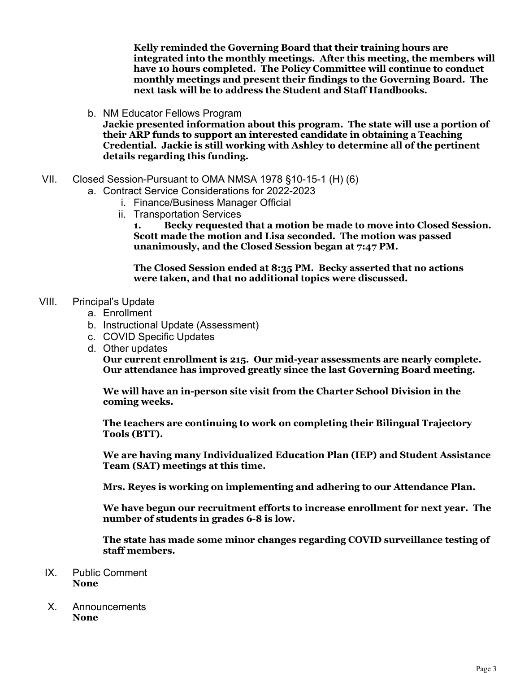**Kelly reminded the Governing Board that their training hours are integrated into the monthly meetings. After this meeting, the members will have 10 hours completed. The Policy Committee will continue to conduct monthly meetings and present their findings to the Governing Board. The next task will be to address the Student and Staff Handbooks.**

b. NM Educator Fellows Program

**Jackie presented information about this program. The state will use a portion of their ARP funds to support an interested candidate in obtaining a Teaching Credential. Jackie is still working with Ashley to determine all of the pertinent details regarding this funding.** 

- VII. Closed Session-Pursuant to OMA NMSA 1978 §10-15-1 (H) (6)
	- a. Contract Service Considerations for 2022-2023
		- i. Finance/Business Manager Official
		- ii. Transportation Services

**1. Becky requested that a motion be made to move into Closed Session. Scott made the motion and Lisa seconded. The motion was passed unanimously, and the Closed Session began at 7:47 PM.**

**The Closed Session ended at 8:35 PM. Becky asserted that no actions were taken, and that no additional topics were discussed.**

### VIII. Principal's Update

- a. Enrollment
- b. Instructional Update (Assessment)
- c. COVID Specific Updates
- d. Other updates

**Our current enrollment is 215. Our mid-year assessments are nearly complete. Our attendance has improved greatly since the last Governing Board meeting.** 

**We will have an in-person site visit from the Charter School Division in the coming weeks.**

**The teachers are continuing to work on completing their Bilingual Trajectory Tools (BTT).**

**We are having many Individualized Education Plan (IEP) and Student Assistance Team (SAT) meetings at this time.**

**Mrs. Reyes is working on implementing and adhering to our Attendance Plan.**

**We have begun our recruitment efforts to increase enrollment for next year. The number of students in grades 6-8 is low.** 

**The state has made some minor changes regarding COVID surveillance testing of staff members.**

- IX. Public Comment **None**
- X. Announcements **None**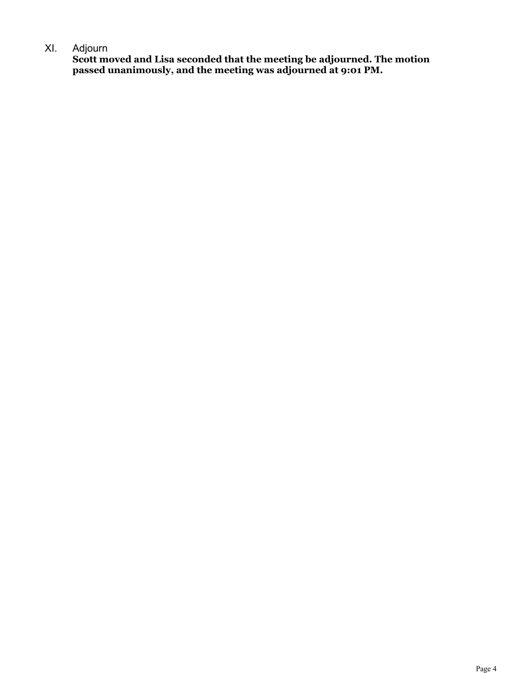### XI. Adjourn

**Scott moved and Lisa seconded that the meeting be adjourned. The motion passed unanimously, and the meeting was adjourned at 9:01 PM.**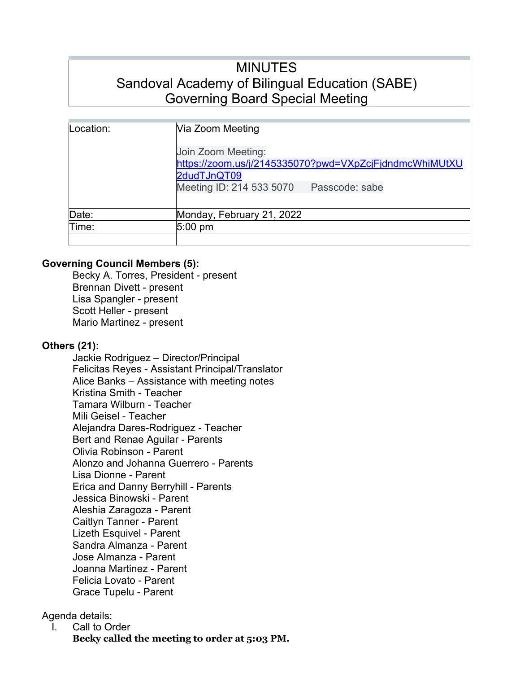# MINUTES Sandoval Academy of Bilingual Education (SABE) Governing Board Special Meeting

| Location: | Via Zoom Meeting                                                                                                                          |
|-----------|-------------------------------------------------------------------------------------------------------------------------------------------|
|           | Join Zoom Meeting:<br>https://zoom.us/j/2145335070?pwd=VXpZcjFjdndmcWhiMUtXU<br>2dudTJnQT09<br>Meeting ID: 214 533 5070<br>Passcode: sabe |
| Date:     | Monday, February 21, 2022                                                                                                                 |
| Time:     | $5:00 \text{ pm}$                                                                                                                         |
|           |                                                                                                                                           |

### **Governing Council Members (5):**

Becky A. Torres, President - present Brennan Divett - present Lisa Spangler - present Scott Heller - present Mario Martinez - present

## **Others (21):**

Jackie Rodriguez – Director/Principal Felicitas Reyes - Assistant Principal/Translator Alice Banks – Assistance with meeting notes Kristina Smith - Teacher Tamara Wilburn - Teacher Mili Geisel - Teacher Alejandra Dares-Rodriguez - Teacher Bert and Renae Aguilar - Parents Olivia Robinson - Parent Alonzo and Johanna Guerrero - Parents Lisa Dionne - Parent Erica and Danny Berryhill - Parents Jessica Binowski - Parent Aleshia Zaragoza - Parent Caitlyn Tanner - Parent Lizeth Esquivel - Parent Sandra Almanza - Parent Jose Almanza - Parent Joanna Martinez - Parent Felicia Lovato - Parent Grace Tupelu - Parent

Agenda details:

I. Call to Order

**Becky called the meeting to order at 5:03 PM.**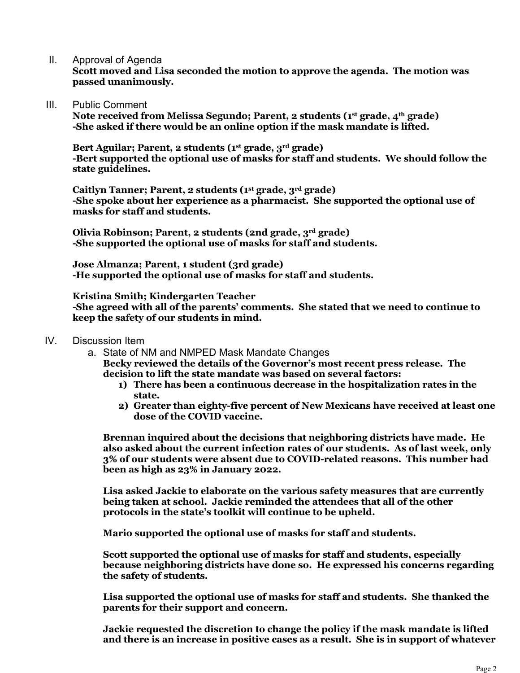II. Approval of Agenda

**Scott moved and Lisa seconded the motion to approve the agenda. The motion was passed unanimously.**

III. Public Comment

**Note received from Melissa Segundo; Parent, 2 students (1st grade, 4th grade) -She asked if there would be an online option if the mask mandate is lifted.**

**Bert Aguilar; Parent, 2 students (1st grade, 3rd grade) -Bert supported the optional use of masks for staff and students. We should follow the state guidelines.**

**Caitlyn Tanner; Parent, 2 students (1st grade, 3rd grade) -She spoke about her experience as a pharmacist. She supported the optional use of masks for staff and students.**

**Olivia Robinson; Parent, 2 students (2nd grade, 3rd grade) -She supported the optional use of masks for staff and students.**

**Jose Almanza; Parent, 1 student (3rd grade) -He supported the optional use of masks for staff and students.**

**Kristina Smith; Kindergarten Teacher**

**-She agreed with all of the parents' comments. She stated that we need to continue to keep the safety of our students in mind.**

- IV. Discussion Item
	- a. State of NM and NMPED Mask Mandate Changes

**Becky reviewed the details of the Governor's most recent press release. The decision to lift the state mandate was based on several factors:**

- **1) There has been a continuous decrease in the hospitalization rates in the state.**
- **2) Greater than eighty-five percent of New Mexicans have received at least one dose of the COVID vaccine.**

**Brennan inquired about the decisions that neighboring districts have made. He also asked about the current infection rates of our students. As of last week, only 3% of our students were absent due to COVID-related reasons. This number had been as high as 23% in January 2022.**

**Lisa asked Jackie to elaborate on the various safety measures that are currently being taken at school. Jackie reminded the attendees that all of the other protocols in the state's toolkit will continue to be upheld.**

**Mario supported the optional use of masks for staff and students.**

**Scott supported the optional use of masks for staff and students, especially because neighboring districts have done so. He expressed his concerns regarding the safety of students.**

**Lisa supported the optional use of masks for staff and students. She thanked the parents for their support and concern.**

**Jackie requested the discretion to change the policy if the mask mandate is lifted and there is an increase in positive cases as a result. She is in support of whatever**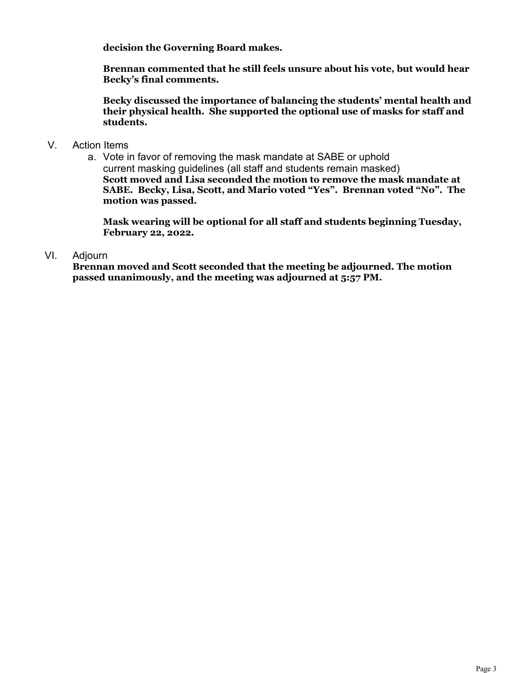**decision the Governing Board makes.**

**Brennan commented that he still feels unsure about his vote, but would hear Becky's final comments.**

**Becky discussed the importance of balancing the students' mental health and their physical health. She supported the optional use of masks for staff and students.**

- V. Action Items
	- a. Vote in favor of removing the mask mandate at SABE or uphold current masking guidelines (all staff and students remain masked) **Scott moved and Lisa seconded the motion to remove the mask mandate at SABE. Becky, Lisa, Scott, and Mario voted "Yes". Brennan voted "No". The motion was passed.**

**Mask wearing will be optional for all staff and students beginning Tuesday, February 22, 2022.**

### VI. Adjourn

**Brennan moved and Scott seconded that the meeting be adjourned. The motion passed unanimously, and the meeting was adjourned at 5:57 PM.**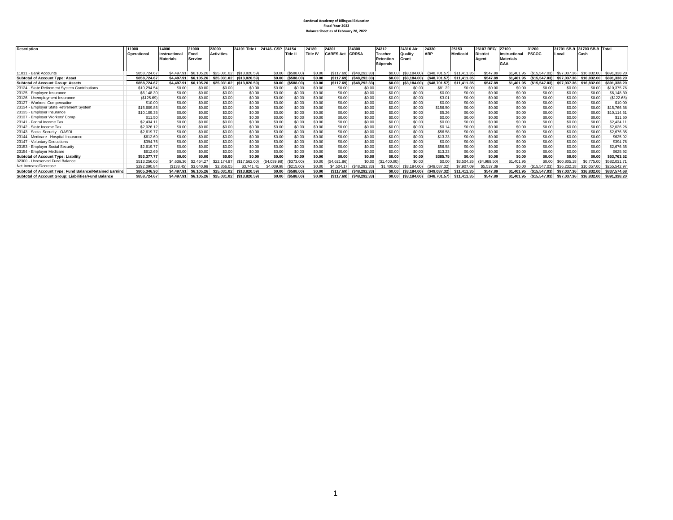## **Sandoval Academy of Bilingual Education Fiscal Year 2022 Balance Sheet as of February 28, 2022**

| <b>Description</b>                                      | 11000        | 14000            | 21000           | 23000             | 24101 Title I | 24146- CSP  | 24154             | 24189           | 24301            | 24308           | 24312           | 24316 Air             | 24330            | 25153       | 26107 REC/      | 27109            | 31200         | 31701 SB-9  | 31703 SB-9 Total        |              |
|---------------------------------------------------------|--------------|------------------|-----------------|-------------------|---------------|-------------|-------------------|-----------------|------------------|-----------------|-----------------|-----------------------|------------------|-------------|-----------------|------------------|---------------|-------------|-------------------------|--------------|
|                                                         | Operational  | Instructiona     | Food            | <b>Activities</b> |               |             | <b>Title I</b>    | <b>Title IV</b> | <b>CARES Act</b> | <b>CRRSA</b>    | <b>Teacher</b>  | Quality               | <b>ARP</b>       | Medicaid    | <b>District</b> | Instructional    | <b>PSCOC</b>  | Local       | Cash                    |              |
|                                                         |              | <b>Materials</b> | <b>Service</b>  |                   |               |             |                   |                 |                  |                 | Retention       | Grant                 |                  |             | Agent           | <b>Materials</b> |               |             |                         |              |
|                                                         |              |                  |                 |                   |               |             |                   |                 |                  |                 | <b>Stipends</b> |                       |                  |             |                 | GAA              |               |             |                         |              |
|                                                         |              |                  |                 |                   |               |             |                   |                 |                  |                 |                 |                       |                  |             |                 |                  |               |             |                         |              |
| 11011 - Bank Accounts                                   | \$858,724.67 | \$4.497.91       | \$6,105.26      | \$25,031.02       | (S13.820.59)  |             | \$0.00 (\$588.00) | \$0.00          | (S117.69)        | (S48.292.33)    | \$0.00          | (S3.184.00)           | (S48.701.57)     | \$11.411.35 | \$547.89        | \$1.401.95       | (S15.547.03)  |             | \$97.037.36 \$16.832.00 | \$891,338.20 |
| <b>Subtotal of Account Type: Asset</b>                  | \$858,724.67 | \$4,497.91       | 105.26<br>\$6   | \$25.031.02       | (\$13.820.59) |             | \$0.00 (\$588.00  | \$0.00          | ( \$117.69)      | (\$48.292.33)   |                 | $$0.00$ $($3.184.00)$ | (S48.701.57)     | \$11.411.35 | \$547.89        | \$1,401.95       | (S15.547.03)  | \$97.037.36 | \$16,832,00             | \$891.338.20 |
| <b>Subtotal of Account Group: Assets</b>                | \$858,724.67 | \$4,497.91       | .105.26<br>\$6. | \$25,031.02       | (\$13.820.59) | \$0.00      | ( \$588.00]       | \$0.00          | (\$117.69)       | ( \$48.292.33)  | \$0.00          | (S3.184.00)           | (S48.701.57)     | \$11.411.35 | \$547.89        | \$1,401.95       | (\$15,547.03) | \$97.037.36 | \$16,832.00             | \$891.338.20 |
| 23124 - State Retirement System Contributions           | \$10,294.54  | \$0.00           | \$0.00          | \$0.00            | \$0.00        | \$0.00      | \$0.00            | \$0.00          | \$0.00           | \$0.00          | \$0.00          | \$0.00                | \$81.22          | \$0.00      | \$0.00          | \$0.00           | \$0.00        | \$0.00      | \$0.00                  | \$10,375.76  |
| 23125 - Employee Insurance                              | \$6,148.30   | \$0.00           | \$0.00          | \$0.00            | \$0.00        | \$0.00      | \$0.00            | \$0.00          | \$0.00           | \$0.00          | \$0.00          | \$0.00                | \$0.00           | \$0.00      | \$0.00          | \$0.00           | \$0.00        | \$0.00      | \$0.00                  | \$6,148,30   |
| 23126 - Unemployment Insurance                          | (S125.69)    | \$0.00           | \$0.00          | \$0.00            | \$0.00        | \$0.00      | \$0.00            | \$0.00          | \$0.00           | \$0.00          | \$0.00          | \$0.00                | \$3.01           | \$0.00      | \$0.00          | \$0.00           | \$0.00        | \$0.00      | \$0.00                  | (\$122.68)   |
| 23127 - Workers' Compensation                           | \$10.00      | \$0.00           | \$0.00          | \$0.00            | \$0.00        | \$0.00      | \$0.00            | \$0.00          | \$0.00           | \$0.00          | \$0.00          | \$0.00                | \$0.00           | \$0.00      | \$0.00          | \$0.00           | \$0.00        | \$0.00      | \$0.00                  | \$10.00      |
| 23134 - Employer State Retirement System                | \$15,609.86  | \$0.00           | \$0.00          | \$0.00            | \$0.00        | \$0.00      | \$0.00            | \$0.00          | \$0.00           | \$0.00          | \$0.00          | \$0.00                | \$156.50         | \$0.00      | \$0.00          | \$0.00           | \$0.00        | \$0.00      | \$0.00                  | \$15,766.36  |
| 23135 - Employer Insurance                              | \$10,109.35  | \$0.00           | \$0.00          | \$0.00            | \$0.00        | \$0.00      | \$0.00            | \$0.00          | \$0.00           | \$0.00          | \$0.00          | \$0.00                | \$5.26           | \$0.00      | \$0.00          | \$0.00           | \$0.00        | \$0.00      | \$0.00                  | \$10,114.61  |
| 23137 - Emplover Workers' Comp                          | \$11.50      | \$0.00           | \$0.00          | \$0.00            | \$0.00        | \$0.00      | \$0.00            | \$0.00          | \$0.00           | \$0.00          | \$0.00          | \$0.00                | \$0.00           | \$0.00      | \$0.00          | \$0.00           | \$0.00        | \$0.00      | \$0.00                  | \$11.50      |
| 23141 - Fedral Income Tax                               | \$2,434.11   | \$0.00           | \$0.00          | \$0.00            | \$0.00        | \$0.00      | \$0.00            | \$0.00          | \$0.00           | \$0.00          | \$0.00          | \$0.00                | \$0.00           | \$0.00      | \$0.00          | \$0.00           | \$0.00        | \$0.00      | \$0.00                  | \$2.434.1'   |
| 23142 - State Income Tax                                | \$2,026.12   | \$0.00           | \$0.00          | \$0.00            | \$0.00        | \$0.00      | \$0.00            | \$0.00          | \$0.00           | \$0.00          | \$0.00          | \$0.00                | \$0.14           | \$0.00      | \$0.00          | \$0.00           | \$0.00        | \$0.00      | \$0.00                  | \$2,026.26   |
| 23143 - Social Security - OASDI                         | \$2,619.77   | \$0.00           | \$0.00          | \$0.00            | \$0.00        | \$0.00      | \$0.00            | \$0.00          | \$0.00           | \$0.00          | \$0.00          | \$0.00                | \$56.58          | \$0.00      | \$0.00          | \$0.00           | \$0.00        | \$0.00      | \$0.00                  | \$2,676.35   |
| 23144 - Medicare - Hospital Insurance                   | \$612.69     | \$0.00           | \$0.00          | \$0.00            | \$0.00        | \$0.00      | \$0.00            | \$0.00          | \$0.00           | \$0.00          | \$0.00          | \$0.00                | \$13.23          | \$0.00      | \$0.00          | \$0.00           | \$0.00        | \$0.00      | \$0.00                  | \$625.92     |
| 23147 - Voluntary Deductions                            | \$394.76     | \$0.00           | \$0.00          | \$0.00            | \$0.00        | \$0.00      | \$0.00            | \$0.00          | \$0.00           | \$0.00          | \$0.00          | \$0.00                | \$0.00           | \$0.00      | \$0.00          | \$0.00           | \$0.00        | \$0.00      | \$0.00                  | \$394.7      |
| 23153 - Employer Social Security                        | \$2,619.77   | \$0.00           | \$0.00          | \$0.00            | \$0.00        | \$0.00      | \$0.00            | \$0.00          | \$0.00           | \$0.00          | \$0.00          | \$0.00                | \$56.58          | \$0.00      | \$0.00          | \$0.00           | \$0.00        | \$0.00      | \$0.00                  | \$2,676.35   |
| 23154 - Employer Medicare                               | \$612.69     | \$0.00           | \$0.00          | \$0.00            | \$0.00        | \$0.00      | \$0.00            | \$0.00          | \$0.00           | \$0.00          | \$0.00          | \$0.00                | \$13.23          | \$0.00      | \$0.00          | \$0.00           | \$0.00        | \$0.00      | \$0.00                  | \$625.92     |
| <b>Subtotal of Account Type: Liability</b>              | \$53,377.77  | \$0.00           | \$0.00          | \$0.00            | \$0.00        | \$0.00      | \$0.00            | \$0.00          | \$0.00           | \$0.00          | \$0.00          | \$0.00                | \$385.75         | \$0.00      | \$0.00          | \$0.00           | \$0.00        | \$0.00      | \$0.00                  | \$53,763.52  |
| 32300 - Unreserved Fund Balance                         | \$513,256.06 | \$4,636.36       | \$2.464.27      | \$22.7            | (S17.562.00)  | (S4.039.98) | (\$373.00)        | \$0.00          | (\$4,621.86)     | \$0.00          | ,400.00)        | \$0.00                | \$0.00           | \$3,504.26  | (S4,989.50)     | \$1,401.95       | \$0.00        | \$60,805.1  |                         | \$582,031.7  |
| Net Increase/Decrease                                   | \$292,090.84 | (S138.45)        | \$3,640.99      | \$2,856,05        | \$3.741.41    | \$4,039.98  | (S215.00)         | \$0.00          | \$4,504.17       | $(\$48,292.33)$ | \$1,400.00      | (S3.184.00)           | (S49,087.32)     | \$7,907.09  | \$5,537.39      | \$0.00           | (S15.547.03)  | \$36,232.18 | \$10,057,00             | \$255,542.97 |
| Subtotal of Account Type: Fund Balance/Retained Earning | \$805,346.90 | \$4,497.91       | \$6.105.26      | \$25.031.02       | (\$13,820.59) | \$0.00      | (\$588.00         | \$0.00          | (\$117.69)       | (\$48,292,33)   | \$0.00          | (\$3,184.00)          | (S49.087.32)     | \$11.411.35 | \$547.89        | \$1,401.95       | (\$15.547.03) | \$97.037.36 | \$16,832,00             | \$837,574,68 |
| Subtotal of Account Group: Liabilities/Fund Balance     | \$858,724.67 | \$4,497.91       | \$6.105.26      | \$25.031.02       | (\$13.820.59) | \$0.00      | (\$588.00)        | \$0.00          | ( \$117.69)      | (S48.292.33)    | \$0.00          | (S3.184.00)           | $($ \$48.701.57) | \$11.411.35 | \$547.89        | \$1,401.95       | (\$15.547.03) | \$97.037.36 | \$16,832,00             | \$891,338.20 |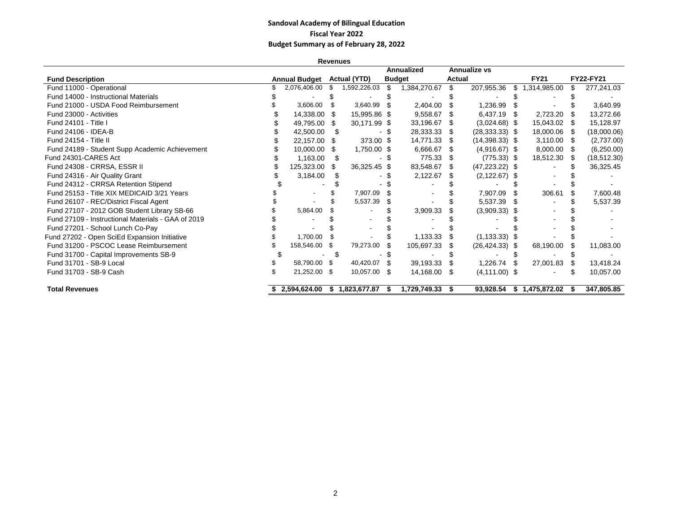#### **Sandoval Academy of Bilingual Education Fiscal Year 2022 Budget Summary as of February 28, 2022**

| <b>Revenues</b>                                    |  |                      |      |                     |      |               |        |                     |     |                |  |                  |
|----------------------------------------------------|--|----------------------|------|---------------------|------|---------------|--------|---------------------|-----|----------------|--|------------------|
|                                                    |  |                      |      |                     |      | Annualized    |        | <b>Annualize vs</b> |     |                |  |                  |
| <b>Fund Description</b>                            |  | <b>Annual Budget</b> |      | <b>Actual (YTD)</b> |      | <b>Budget</b> | Actual |                     |     | <b>FY21</b>    |  | <b>FY22-FY21</b> |
| Fund 11000 - Operational                           |  | 2,076,406.00         |      | 1,592,226.03        | S    | 1,384,270.67  | \$     | 207,955.36          | \$  | 1,314,985.00   |  | 277,241.03       |
| Fund 14000 - Instructional Materials               |  |                      |      |                     |      |               |        |                     |     |                |  |                  |
| Fund 21000 - USDA Food Reimbursement               |  | 3,606.00             | S    | 3,640.99            |      | 2,404.00      |        | 1,236.99            |     |                |  | 3,640.99         |
| Fund 23000 - Activities                            |  | 14,338.00            | - 5  | 15,995.86 \$        |      | 9,558.67      | 8      | 6,437.19 \$         |     | 2,723.20       |  | 13,272.66        |
| Fund 24101 - Title I                               |  | 49,795.00            | S    | 30,171.99 \$        |      | 33,196.67     |        | $(3,024.68)$ \$     |     | 15,043.02 \$   |  | 15,128.97        |
| Fund 24106 - IDEA-B                                |  | 42,500.00            |      |                     |      | 28,333.33     | - \$   | $(28, 333.33)$ \$   |     | 18,000.06 \$   |  | (18,000.06)      |
| Fund 24154 - Title II                              |  | 22,157.00            | \$   | 373.00 \$           |      | 14,771.33     | - \$   | $(14,398.33)$ \$    |     | $3,110.00$ \$  |  | (2,737.00)       |
| Fund 24189 - Student Supp Academic Achievement     |  | 10,000.00            | S    | 1,750.00 \$         |      | 6,666.67      | - \$   | $(4,916.67)$ \$     |     | 8,000.00 \$    |  | (6,250.00)       |
| Fund 24301-CARES Act                               |  | 1,163.00             | - \$ |                     |      | 775.33        | - \$   | $(775.33)$ \$       |     | 18,512.30 \$   |  | (18, 512.30)     |
| Fund 24308 - CRRSA, ESSR II                        |  | 125,323.00           | S    | 36,325.45 \$        |      | 83,548.67     |        | $(47, 223.22)$ \$   |     |                |  | 36,325.45        |
| Fund 24316 - Air Quality Grant                     |  | 3,184.00             |      |                     |      | 2,122.67      |        | $(2, 122.67)$ \$    |     |                |  |                  |
| Fund 24312 - CRRSA Retention Stipend               |  |                      |      |                     |      |               |        |                     |     |                |  |                  |
| Fund 25153 - Title XIX MEDICAID 3/21 Years         |  |                      |      | 7,907.09            |      |               |        | 7,907.09            |     | 306.61         |  | 7,600.48         |
| Fund 26107 - REC/District Fiscal Agent             |  |                      |      | 5,537.39            |      |               |        | 5,537.39            |     |                |  | 5,537.39         |
| Fund 27107 - 2012 GOB Student Library SB-66        |  | 5,864.00             |      |                     |      | 3,909.33      |        | $(3,909.33)$ \$     |     |                |  |                  |
| Fund 27109 - Instructional Materials - GAA of 2019 |  |                      |      |                     |      |               |        |                     |     |                |  |                  |
| Fund 27201 - School Lunch Co-Pay                   |  |                      |      |                     |      |               |        |                     |     |                |  |                  |
| Fund 27202 - Open SciEd Expansion Initiative       |  | 1,700.00             |      |                     |      | 1,133.33      |        | $(1, 133.33)$ \$    |     |                |  |                  |
| Fund 31200 - PSCOC Lease Reimbursement             |  | 158,546.00 \$        |      | 79,273.00           |      | 105,697.33    |        | $(26, 424.33)$ \$   |     | 68,190.00      |  | 11,083.00        |
| Fund 31700 - Capital Improvements SB-9             |  |                      |      |                     |      |               |        |                     |     |                |  |                  |
| Fund 31701 - SB-9 Local                            |  | 58,790.00 \$         |      | 40,420.07           | - \$ | 39,193.33     | - \$   | 1,226.74            | . ድ | 27,001.83      |  | 13,418.24        |
| Fund 31703 - SB-9 Cash                             |  | 21,252.00 \$         |      | 10,057.00           | - \$ | 14,168.00     | - \$   | $(4, 111.00)$ \$    |     |                |  | 10,057.00        |
| <b>Total Revenues</b>                              |  | \$2,594,624.00       | s.   | 1,823,677.87        | 55   | 1,729,749.33  | - 56   | 93.928.54           |     | \$1,475,872.02 |  | 347,805.85       |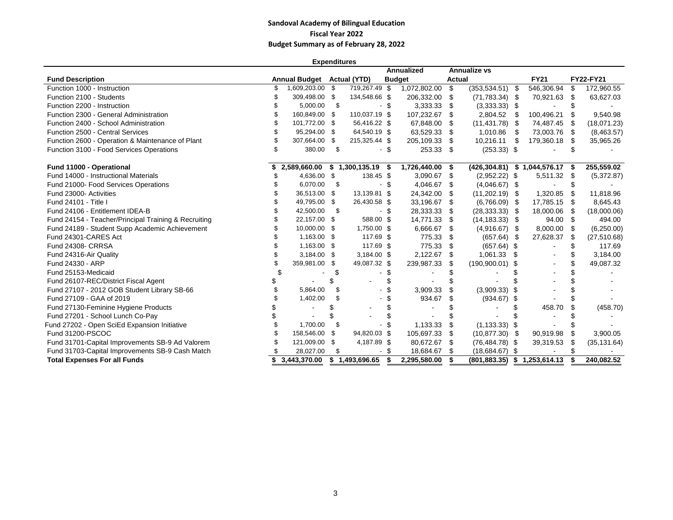#### **Sandoval Academy of Bilingual Education Fiscal Year 2022 Budget Summary as of February 28, 2022**

| <b>Expenditures</b>                                  |    |                      |      |                     |        |               |      |                     |      |                                 |      |              |
|------------------------------------------------------|----|----------------------|------|---------------------|--------|---------------|------|---------------------|------|---------------------------------|------|--------------|
|                                                      |    |                      |      |                     |        | Annualized    |      | <b>Annualize vs</b> |      |                                 |      |              |
| <b>Fund Description</b>                              |    | <b>Annual Budget</b> |      | <b>Actual (YTD)</b> |        | <b>Budget</b> |      | <b>Actual</b>       |      | <b>FY21</b>                     |      | FY22-FY21    |
| Function 1000 - Instruction                          |    | 1,609,203.00         | \$   | 719,267.49 \$       |        | 1,072,802.00  | \$   | $(353, 534.51)$ \$  |      | 546,306.94                      | \$   | 172,960.55   |
| Function 2100 - Students                             |    | 309,498.00           | -\$  | 134,548.66 \$       |        | 206,332.00    | \$   | $(71,783.34)$ \$    |      | 70,921.63                       | - \$ | 63,627.03    |
| Function 2200 - Instruction                          |    | 5,000.00             | - \$ |                     | - \$   | 3,333.33      | -\$  | $(3,333.33)$ \$     |      |                                 |      |              |
| Function 2300 - General Administration               |    | 160,849.00           | \$   | 110,037.19 \$       |        | 107,232.67    | \$   | 2,804.52            | - \$ | 100,496.21                      |      | 9,540.98     |
| Function 2400 - School Administration                |    | 101,772.00           | -\$  | 56,416.22 \$        |        | 67,848.00     | - \$ | $(11, 431.78)$ \$   |      | 74,487.45                       | - \$ | (18,071.23)  |
| Function 2500 - Central Services                     |    | 95,294.00            | - \$ | 64,540.19 \$        |        | 63,529.33     | -\$  | 1,010.86            | \$   | 73,003.76 \$                    |      | (8,463.57)   |
| Function 2600 - Operation & Maintenance of Plant     |    | 307,664.00           | \$   | 215,325.44 \$       |        | 205,109.33    | - \$ | 10,216.11 \$        |      | 179,360.18                      | - \$ | 35,965.26    |
| Function 3100 - Food Services Operations             | \$ | 380.00               | \$   |                     | $-$ \$ | 253.33 \$     |      | $(253.33)$ \$       |      |                                 |      |              |
| Fund 11000 - Operational                             |    | 2,589,660.00         |      | \$1,300,135.19      | - \$   | 1,726,440.00  | -\$  |                     |      | (426,304.81) \$ 1,044,576.17 \$ |      | 255,559.02   |
| Fund 14000 - Instructional Materials                 |    | 4,636.00             | - \$ | 138.45 \$           |        | 3,090.67      | - \$ | $(2,952.22)$ \$     |      | 5,511.32 \$                     |      | (5,372.87)   |
| Fund 21000- Food Services Operations                 |    | 6,070.00             | \$   |                     | - \$   | 4,046.67      | -\$  | $(4,046.67)$ \$     |      |                                 |      |              |
| Fund 23000- Activities                               |    | 36,513.00            | \$   | 13,139.81 \$        |        | 24,342.00     | \$   | $(11,202.19)$ \$    |      | 1,320.85                        |      | 11,818.96    |
| Fund 24101 - Title I                                 |    | 49,795.00            | \$   | 26,430.58 \$        |        | 33,196.67     | - \$ | $(6,766.09)$ \$     |      | 17,785.15 \$                    |      | 8,645.43     |
| Fund 24106 - Entitlement IDEA-B                      |    | 42,500.00            | - \$ |                     | - \$   | 28,333.33     | -\$  | $(28, 333.33)$ \$   |      | 18,000.06                       | - \$ | (18,000.06)  |
| Fund 24154 - Teacher/Principal Training & Recruiting |    | 22,157.00            | \$   | 588.00 \$           |        | 14,771.33     | \$   | $(14, 183.33)$ \$   |      | 94.00 \$                        |      | 494.00       |
| Fund 24189 - Student Supp Academic Achievement       |    | 10,000.00            | \$   | 1,750.00 \$         |        | 6,666.67      | \$   | $(4,916.67)$ \$     |      | 8,000.00 \$                     |      | (6,250.00)   |
| Fund 24301-CARES Act                                 |    | 1,163.00             | -\$  | 117.69 \$           |        | 775.33        | \$   | $(657.64)$ \$       |      | 27,628.37                       | \$   | (27, 510.68) |
| Fund 24308- CRRSA                                    |    | 1,163.00             | \$   | 117.69 \$           |        | 775.33        | -\$  | $(657.64)$ \$       |      |                                 |      | 117.69       |
| Fund 24316-Air Quality                               |    | 3,184.00             | \$   | 3,184.00 \$         |        | 2,122.67      | - \$ | 1,061.33 \$         |      |                                 |      | 3,184.00     |
| Fund 24330 - ARP                                     |    | 359,981.00           | \$   | 49,087.32 \$        |        | 239,987.33    | - \$ | $(190,900.01)$ \$   |      |                                 |      | 49,087.32    |
| Fund 25153-Medicaid                                  |    |                      | S    |                     |        |               |      |                     |      |                                 |      |              |
| Fund 26107-REC/District Fiscal Agent                 |    |                      | \$   |                     |        |               |      |                     |      |                                 |      |              |
| Fund 27107 - 2012 GOB Student Library SB-66          |    | 5,864.00             | \$   |                     |        | 3,909.33      | - \$ | $(3,909.33)$ \$     |      |                                 |      |              |
| Fund 27109 - GAA of 2019                             |    | 1,402.00             | \$   |                     |        | 934.67        | \$   | $(934.67)$ \$       |      |                                 |      |              |
| Fund 27130-Feminine Hygiene Products                 |    |                      | \$   |                     |        |               |      |                     |      | 458.70                          |      | (458.70)     |
| Fund 27201 - School Lunch Co-Pay                     |    |                      | \$   |                     |        |               |      |                     |      |                                 |      |              |
| Fund 27202 - Open SciEd Expansion Initiative         |    | 1,700.00             | \$   |                     |        | 1,133.33      | \$   | $(1, 133.33)$ \$    |      |                                 |      |              |
| Fund 31200-PSCOC                                     |    | 158,546.00           | \$   | 94,820.03 \$        |        | 105,697.33    | \$   | $(10,877.30)$ \$    |      | 90,919.98                       |      | 3.900.05     |
| Fund 31701-Capital Improvements SB-9 Ad Valorem      |    | 121,009.00           | \$   | 4,187.89 \$         |        | 80,672.67     | -\$  | $(76, 484.78)$ \$   |      | 39,319.53                       |      | (35, 131.64) |
| Fund 31703-Capital Improvements SB-9 Cash Match      |    | 28,027.00            | \$   |                     |        | 18,684.67     | - \$ | $(18,684.67)$ \$    |      |                                 |      |              |
| <b>Total Expenses For all Funds</b>                  |    | 3,443,370.00         |      | \$1,493,696.65      | \$     | 2,295,580.00  | \$   | (801, 883.35)       |      | \$1,253,614.13                  |      | 240,082.52   |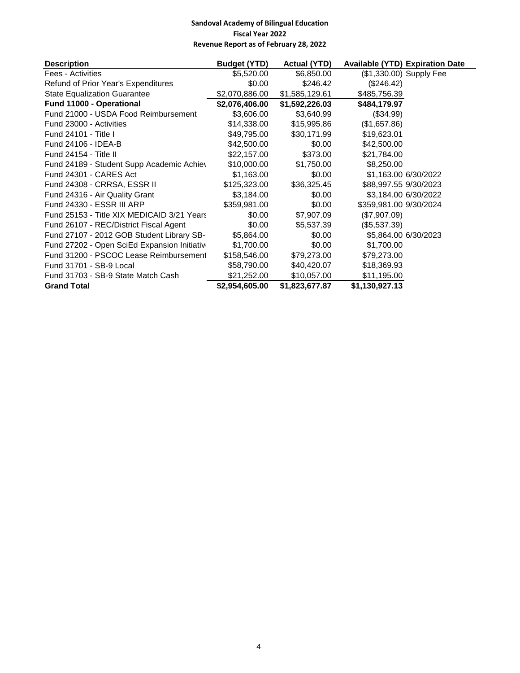| <b>Description</b>                           | <b>Budget (YTD)</b> | <b>Actual (YTD)</b> |                        | <b>Available (YTD) Expiration Date</b> |
|----------------------------------------------|---------------------|---------------------|------------------------|----------------------------------------|
| <b>Fees - Activities</b>                     | \$5,520.00          | \$6,850.00          |                        | (\$1,330.00) Supply Fee                |
| Refund of Prior Year's Expenditures          | \$0.00              | \$246.42            | (\$246.42)             |                                        |
| <b>State Equalization Guarantee</b>          | \$2,070,886.00      | \$1,585,129.61      | \$485,756.39           |                                        |
| Fund 11000 - Operational                     | \$2,076,406.00      | \$1,592,226.03      | \$484,179.97           |                                        |
| Fund 21000 - USDA Food Reimbursement         | \$3,606.00          | \$3,640.99          | (\$34.99)              |                                        |
| Fund 23000 - Activities                      | \$14,338.00         | \$15,995.86         | (\$1,657.86)           |                                        |
| Fund 24101 - Title I                         | \$49,795.00         | \$30,171.99         | \$19,623.01            |                                        |
| Fund 24106 - IDEA-B                          | \$42,500.00         | \$0.00              | \$42,500.00            |                                        |
| Fund 24154 - Title II                        | \$22,157.00         | \$373.00            | \$21,784.00            |                                        |
| Fund 24189 - Student Supp Academic Achiev    | \$10,000.00         | \$1,750.00          | \$8,250.00             |                                        |
| Fund 24301 - CARES Act                       | \$1,163.00          | \$0.00              |                        | \$1,163.00 6/30/2022                   |
| Fund 24308 - CRRSA, ESSR II                  | \$125,323.00        | \$36,325.45         | \$88,997.55 9/30/2023  |                                        |
| Fund 24316 - Air Quality Grant               | \$3,184.00          | \$0.00              |                        | \$3,184.00 6/30/2022                   |
| Fund 24330 - ESSR III ARP                    | \$359,981.00        | \$0.00              | \$359,981.00 9/30/2024 |                                        |
| Fund 25153 - Title XIX MEDICAID 3/21 Years   | \$0.00              | \$7,907.09          | (\$7,907.09)           |                                        |
| Fund 26107 - REC/District Fiscal Agent       | \$0.00              | \$5,537.39          | (\$5,537.39)           |                                        |
| Fund 27107 - 2012 GOB Student Library SB-    | \$5,864.00          | \$0.00              |                        | \$5,864.00 6/30/2023                   |
| Fund 27202 - Open SciEd Expansion Initiative | \$1,700.00          | \$0.00              | \$1,700.00             |                                        |
| Fund 31200 - PSCOC Lease Reimbursement       | \$158,546.00        | \$79,273.00         | \$79,273.00            |                                        |
| Fund 31701 - SB-9 Local                      | \$58,790.00         | \$40,420.07         | \$18,369.93            |                                        |
| Fund 31703 - SB-9 State Match Cash           | \$21,252.00         | \$10,057.00         | \$11,195.00            |                                        |
| <b>Grand Total</b>                           | \$2,954,605.00      | \$1,823,677.87      | \$1,130,927.13         |                                        |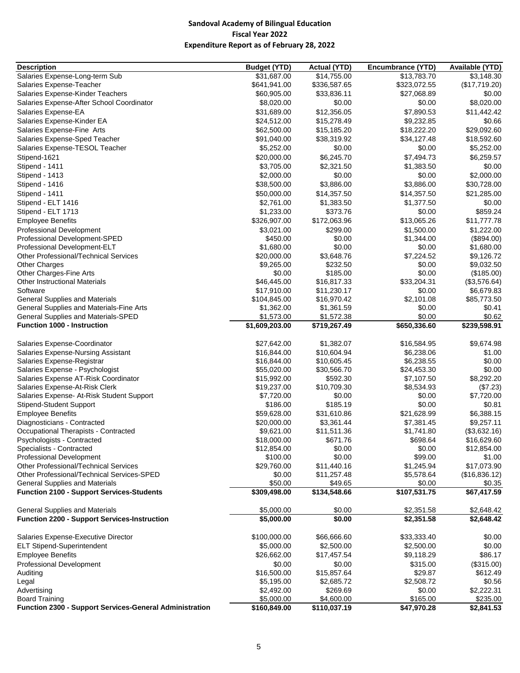| <b>Description</b>                                      | <b>Budget (YTD)</b> | <b>Actual (YTD)</b> | Encumbrance (YTD) | Available (YTD) |
|---------------------------------------------------------|---------------------|---------------------|-------------------|-----------------|
| Salaries Expense-Long-term Sub                          | \$31,687.00         | \$14,755.00         | \$13,783.70       | \$3,148.30      |
| Salaries Expense-Teacher                                | \$641,941.00        | \$336,587.65        | \$323,072.55      | (\$17,719.20)   |
| Salaries Expense-Kinder Teachers                        | \$60,905.00         | \$33,836.11         | \$27,068.89       | \$0.00          |
| Salaries Expense-After School Coordinator               | \$8,020.00          | \$0.00              | \$0.00            | \$8,020.00      |
| Salaries Expense-EA                                     | \$31,689.00         | \$12,356.05         | \$7,890.53        | \$11,442.42     |
| Salaries Expense-Kinder EA                              | \$24,512.00         | \$15,278.49         | \$9,232.85        | \$0.66          |
|                                                         | \$62,500.00         |                     |                   | \$29,092.60     |
| Salaries Expense-Fine Arts                              |                     | \$15,185.20         | \$18,222.20       |                 |
| Salaries Expense-Sped Teacher                           | \$91,040.00         | \$38,319.92         | \$34,127.48       | \$18,592.60     |
| Salaries Expense-TESOL Teacher                          | \$5,252.00          | \$0.00              | \$0.00            | \$5,252.00      |
| Stipend-1621                                            | \$20,000.00         | \$6,245.70          | \$7,494.73        | \$6,259.57      |
| Stipend - 1411                                          | \$3,705.00          | \$2,321.50          | \$1,383.50        | \$0.00          |
| Stipend - 1413                                          | \$2,000.00          | \$0.00              | \$0.00            | \$2,000.00      |
| Stipend - 1416                                          | \$38,500.00         | \$3,886.00          | \$3,886.00        | \$30,728.00     |
| Stipend - 1411                                          | \$50,000.00         | \$14,357.50         | \$14,357.50       | \$21,285.00     |
| Stipend - ELT 1416                                      | \$2,761.00          | \$1,383.50          | \$1,377.50        | \$0.00          |
| Stipend - ELT 1713                                      | \$1,233.00          | \$373.76            | \$0.00            | \$859.24        |
| <b>Employee Benefits</b>                                | \$326,907.00        | \$172,063.96        | \$13,065.26       | \$11,777.78     |
| Professional Development                                | \$3,021.00          | \$299.00            | \$1,500.00        | \$1,222.00      |
| Professional Development-SPED                           | \$450.00            | \$0.00              | \$1,344.00        | (\$894.00)      |
| Professional Development-ELT                            | \$1,680.00          | \$0.00              | \$0.00            | \$1,680.00      |
| Other Professional/Technical Services                   | \$20,000.00         | \$3,648.76          | \$7,224.52        | \$9,126.72      |
| <b>Other Charges</b>                                    | \$9,265.00          | \$232.50            | \$0.00            | \$9,032.50      |
| Other Charges-Fine Arts                                 | \$0.00              | \$185.00            | \$0.00            | (\$185.00)      |
| <b>Other Instructional Materials</b>                    | \$46,445.00         | \$16,817.33         | \$33,204.31       | (\$3,576.64)    |
| Software                                                | \$17,910.00         | \$11,230.17         | \$0.00            | \$6,679.83      |
| <b>General Supplies and Materials</b>                   | \$104,845.00        | \$16,970.42         | \$2,101.08        | \$85,773.50     |
| General Supplies and Materials-Fine Arts                | \$1,362.00          | \$1,361.59          | \$0.00            | \$0.41          |
| General Supplies and Materials-SPED                     | \$1,573.00          | \$1,572.38          | \$0.00            | \$0.62          |
| <b>Function 1000 - Instruction</b>                      | \$1,609,203.00      | \$719,267.49        | \$650,336.60      | \$239,598.91    |
|                                                         |                     |                     |                   |                 |
| Salaries Expense-Coordinator                            | \$27,642.00         | \$1,382.07          | \$16,584.95       | \$9,674.98      |
| Salaries Expense-Nursing Assistant                      | \$16,844.00         | \$10,604.94         | \$6,238.06        | \$1.00          |
| Salaries Expense-Registrar                              | \$16,844.00         | \$10,605.45         | \$6,238.55        | \$0.00          |
| Salaries Expense - Psychologist                         | \$55,020.00         | \$30,566.70         | \$24,453.30       | \$0.00          |
| Salaries Expense AT-Risk Coordinator                    | \$15,992.00         | \$592.30            | \$7,107.50        | \$8,292.20      |
| Salaries Expense-At-Risk Clerk                          | \$19,237.00         | \$10,709.30         | \$8,534.93        | (\$7.23)        |
| Salaries Expense- At-Risk Student Support               | \$7,720.00          | \$0.00              | \$0.00            | \$7,720.00      |
| Stipend-Student Support                                 | \$186.00            | \$185.19            | \$0.00            | \$0.81          |
| <b>Employee Benefits</b>                                | \$59,628.00         | \$31,610.86         | \$21,628.99       | \$6,388.15      |
| Diagnosticians - Contracted                             | \$20,000.00         | \$3,361.44          | \$7,381.45        | \$9,257.11      |
| Occupational Therapists - Contracted                    | \$9,621.00          | \$11,511.36         | \$1,741.80        | (\$3,632.16)    |
| Psychologists - Contracted                              | \$18,000.00         | \$671.76            | \$698.64          | \$16,629.60     |
| Specialists - Contracted                                | \$12,854.00         | \$0.00              | \$0.00            | \$12,854.00     |
| <b>Professional Development</b>                         | \$100.00            | \$0.00              | \$99.00           | \$1.00          |
| <b>Other Professional/Technical Services</b>            | \$29,760.00         | \$11,440.16         | \$1,245.94        | \$17,073.90     |
| Other Professional/Technical Services-SPED              | \$0.00              | \$11,257.48         | \$5,578.64        | (\$16,836.12)   |
| <b>General Supplies and Materials</b>                   | \$50.00             | \$49.65             | \$0.00            | \$0.35          |
| <b>Function 2100 - Support Services-Students</b>        | \$309,498.00        | \$134,548.66        | \$107,531.75      | \$67,417.59     |
|                                                         |                     |                     |                   |                 |
| <b>General Supplies and Materials</b>                   | \$5,000.00          | \$0.00              | \$2,351.58        | \$2,648.42      |
| <b>Function 2200 - Support Services-Instruction</b>     | \$5,000.00          | \$0.00              | \$2,351.58        | \$2,648.42      |
|                                                         |                     |                     |                   |                 |
| Salaries Expense-Executive Director                     | \$100,000.00        | \$66,666.60         | \$33,333.40       | \$0.00          |
| <b>ELT Stipend-Superintendent</b>                       | \$5,000.00          | \$2,500.00          | \$2,500.00        | \$0.00          |
| <b>Employee Benefits</b>                                | \$26,662.00         | \$17,457.54         | \$9,118.29        | \$86.17         |
| <b>Professional Development</b>                         | \$0.00              | \$0.00              | \$315.00          | (\$315.00)      |
| Auditing                                                | \$16,500.00         | \$15,857.64         | \$29.87           | \$612.49        |
| Legal                                                   | \$5,195.00          | \$2,685.72          | \$2,508.72        | \$0.56          |
| Advertising                                             | \$2,492.00          | \$269.69            | \$0.00            | \$2,222.31      |
| <b>Board Training</b>                                   | \$5,000.00          | \$4,600.00          | \$165.00          | \$235.00        |
| Function 2300 - Support Services-General Administration | \$160,849.00        | \$110,037.19        | \$47,970.28       | \$2,841.53      |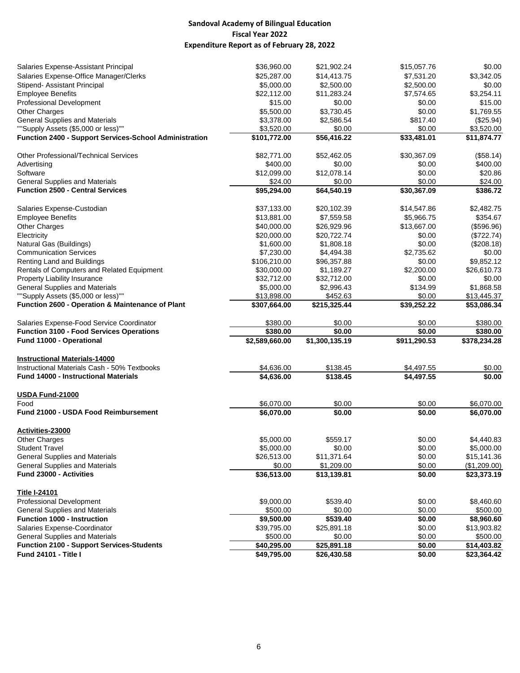| Salaries Expense-Assistant Principal                          | \$36,960.00    | \$21,902.24    | \$15,057.76  | \$0.00       |
|---------------------------------------------------------------|----------------|----------------|--------------|--------------|
| Salaries Expense-Office Manager/Clerks                        | \$25,287.00    | \$14,413.75    | \$7,531.20   | \$3,342.05   |
| Stipend- Assistant Principal                                  | \$5,000.00     | \$2,500.00     | \$2,500.00   | \$0.00       |
| <b>Employee Benefits</b>                                      | \$22,112.00    | \$11,283.24    | \$7,574.65   | \$3,254.11   |
| <b>Professional Development</b>                               | \$15.00        | \$0.00         | \$0.00       | \$15.00      |
| <b>Other Charges</b>                                          | \$5,500.00     | \$3,730.45     | \$0.00       | \$1,769.55   |
| <b>General Supplies and Materials</b>                         | \$3,378.00     | \$2,586.54     | \$817.40     | (\$25.94)    |
| ""Supply Assets (\$5,000 or less)""                           | \$3,520.00     | \$0.00         | \$0.00       | \$3,520.00   |
| <b>Function 2400 - Support Services-School Administration</b> | \$101,772.00   | \$56,416.22    | \$33,481.01  | \$11,874.77  |
|                                                               |                |                |              |              |
| Other Professional/Technical Services                         | \$82,771.00    | \$52,462.05    | \$30,367.09  | (\$58.14)    |
| Advertising                                                   | \$400.00       | \$0.00         | \$0.00       | \$400.00     |
| Software                                                      | \$12,099.00    | \$12,078.14    | \$0.00       | \$20.86      |
| <b>General Supplies and Materials</b>                         | \$24.00        | \$0.00         | \$0.00       | \$24.00      |
| <b>Function 2500 - Central Services</b>                       | \$95,294.00    | \$64,540.19    | \$30,367.09  | \$386.72     |
|                                                               |                |                |              |              |
| Salaries Expense-Custodian                                    | \$37,133.00    | \$20,102.39    | \$14,547.86  | \$2,482.75   |
| <b>Employee Benefits</b>                                      | \$13,881.00    | \$7,559.58     | \$5,966.75   | \$354.67     |
| <b>Other Charges</b>                                          | \$40,000.00    | \$26,929.96    | \$13,667.00  | (\$596.96)   |
| Electricity                                                   | \$20,000.00    | \$20,722.74    | \$0.00       | (\$722.74)   |
| Natural Gas (Buildings)                                       | \$1,600.00     | \$1,808.18     | \$0.00       | (\$208.18)   |
| <b>Communication Services</b>                                 | \$7,230.00     | \$4,494.38     | \$2,735.62   | \$0.00       |
| Renting Land and Buildings                                    | \$106,210.00   | \$96,357.88    | \$0.00       | \$9,852.12   |
| Rentals of Computers and Related Equipment                    | \$30,000.00    | \$1,189.27     | \$2,200.00   | \$26,610.73  |
| Property Liability Insurance                                  | \$32,712.00    | \$32,712.00    | \$0.00       | \$0.00       |
| <b>General Supplies and Materials</b>                         | \$5,000.00     | \$2,996.43     | \$134.99     | \$1,868.58   |
| ""Supply Assets (\$5,000 or less)""                           | \$13,898.00    | \$452.63       | \$0.00       | \$13,445.37  |
| <b>Function 2600 - Operation &amp; Maintenance of Plant</b>   | \$307,664.00   | \$215,325.44   | \$39,252.22  | \$53,086.34  |
|                                                               | \$380.00       | \$0.00         | \$0.00       | \$380.00     |
| Salaries Expense-Food Service Coordinator                     |                |                |              |              |
| <b>Function 3100 - Food Services Operations</b>               | \$380.00       | \$0.00         | \$0.00       | \$380.00     |
| Fund 11000 - Operational                                      | \$2,589,660.00 | \$1,300,135.19 | \$911,290.53 | \$378,234.28 |
| <b>Instructional Materials-14000</b>                          |                |                |              |              |
| Instructional Materials Cash - 50% Textbooks                  | \$4,636.00     | \$138.45       | \$4,497.55   | \$0.00       |
| Fund 14000 - Instructional Materials                          | \$4,636.00     | \$138.45       | \$4,497.55   | \$0.00       |
|                                                               |                |                |              |              |
| <b>USDA Fund-21000</b>                                        |                |                |              |              |
| Food                                                          | \$6,070.00     | \$0.00         | \$0.00       | \$6,070.00   |
| <b>Fund 21000 - USDA Food Reimbursement</b>                   | \$6,070.00     | \$0.00         | \$0.00       | \$6,070.00   |
| Activities-23000                                              |                |                |              |              |
| <b>Other Charges</b>                                          | \$5,000.00     | \$559.17       | \$0.00       | \$4,440.83   |
| <b>Student Travel</b>                                         | \$5,000.00     | \$0.00         | \$0.00       | \$5,000.00   |
| <b>General Supplies and Materials</b>                         | \$26,513.00    | \$11,371.64    | \$0.00       | \$15,141.36  |
| <b>General Supplies and Materials</b>                         | \$0.00         | \$1,209.00     | \$0.00       | (\$1,209.00) |
| Fund 23000 - Activities                                       | \$36,513.00    | \$13,139.81    | \$0.00       | \$23,373.19  |
|                                                               |                |                |              |              |
| <b>Title I-24101</b>                                          |                |                |              |              |
| Professional Development                                      | \$9,000.00     | \$539.40       | \$0.00       | \$8,460.60   |
| <b>General Supplies and Materials</b>                         | \$500.00       | \$0.00         | \$0.00       | \$500.00     |
| Function 1000 - Instruction                                   | \$9,500.00     | \$539.40       | \$0.00       | \$8,960.60   |
| Salaries Expense-Coordinator                                  | \$39,795.00    | \$25,891.18    | \$0.00       | \$13,903.82  |
| <b>General Supplies and Materials</b>                         | \$500.00       | \$0.00         | \$0.00       | \$500.00     |
| <b>Function 2100 - Support Services-Students</b>              | \$40,295.00    | \$25,891.18    | \$0.00       | \$14,403.82  |
| <b>Fund 24101 - Title I</b>                                   | \$49,795.00    | \$26,430.58    | \$0.00       | \$23,364.42  |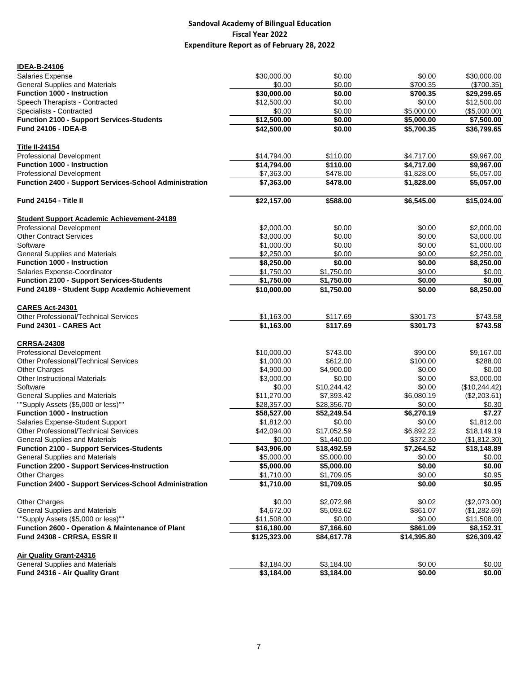| <b>IDEA-B-24106</b>                                    |              |             |             |               |
|--------------------------------------------------------|--------------|-------------|-------------|---------------|
| Salaries Expense                                       | \$30,000.00  | \$0.00      | \$0.00      | \$30,000.00   |
| <b>General Supplies and Materials</b>                  | \$0.00       | \$0.00      | \$700.35    | (\$700.35)    |
| <b>Function 1000 - Instruction</b>                     | \$30,000.00  | \$0.00      | \$700.35    | \$29,299.65   |
| Speech Therapists - Contracted                         | \$12,500.00  | \$0.00      | \$0.00      | \$12,500.00   |
| Specialists - Contracted                               | \$0.00       | \$0.00      | \$5,000.00  | (\$5,000.00)  |
| <b>Function 2100 - Support Services-Students</b>       | \$12,500.00  | \$0.00      | \$5,000.00  | \$7,500.00    |
| <b>Fund 24106 - IDEA-B</b>                             | \$42,500.00  | \$0.00      | \$5,700.35  | \$36,799.65   |
| <u>Title II-24154</u>                                  |              |             |             |               |
| <b>Professional Development</b>                        | \$14,794.00  | \$110.00    | \$4,717.00  | \$9,967.00    |
| <b>Function 1000 - Instruction</b>                     | \$14,794.00  | \$110.00    | \$4,717.00  | \$9,967.00    |
| Professional Development                               | \$7,363.00   | \$478.00    | \$1,828.00  | \$5,057.00    |
| Function 2400 - Support Services-School Administration | \$7,363.00   | \$478.00    | \$1,828.00  | \$5,057.00    |
| Fund 24154 - Title II                                  | \$22,157.00  | \$588.00    | \$6,545.00  | \$15,024.00   |
| <b>Student Support Academic Achievement-24189</b>      |              |             |             |               |
| Professional Development                               | \$2,000.00   | \$0.00      | \$0.00      | \$2,000.00    |
| <b>Other Contract Services</b>                         | \$3,000.00   | \$0.00      | \$0.00      | \$3,000.00    |
| Software                                               | \$1,000.00   | \$0.00      | \$0.00      | \$1,000.00    |
| <b>General Supplies and Materials</b>                  | \$2,250.00   | \$0.00      | \$0.00      | \$2,250.00    |
| Function 1000 - Instruction                            | \$8,250.00   | \$0.00      | \$0.00      | \$8,250.00    |
| Salaries Expense-Coordinator                           | \$1,750.00   | \$1,750.00  | \$0.00      | \$0.00        |
| <b>Function 2100 - Support Services-Students</b>       | \$1,750.00   | \$1,750.00  | \$0.00      | \$0.00        |
| Fund 24189 - Student Supp Academic Achievement         | \$10,000.00  | \$1,750.00  | \$0.00      | \$8,250.00    |
| <b>CARES Act-24301</b>                                 |              |             |             |               |
| <b>Other Professional/Technical Services</b>           | \$1,163.00   | \$117.69    | \$301.73    | \$743.58      |
| Fund 24301 - CARES Act                                 | \$1,163.00   | \$117.69    | \$301.73    | \$743.58      |
| <b>CRRSA-24308</b>                                     |              |             |             |               |
| <b>Professional Development</b>                        | \$10,000.00  | \$743.00    | \$90.00     | \$9,167.00    |
| <b>Other Professional/Technical Services</b>           | \$1,000.00   | \$612.00    | \$100.00    | \$288.00      |
| Other Charges                                          | \$4,900.00   | \$4,900.00  | \$0.00      | \$0.00        |
| <b>Other Instructional Materials</b>                   | \$3,000.00   | \$0.00      | \$0.00      | \$3,000.00    |
| Software                                               | \$0.00       | \$10,244.42 | \$0.00      | (\$10,244.42) |
| <b>General Supplies and Materials</b>                  | \$11,270.00  | \$7,393.42  | \$6,080.19  | (\$2,203.61)  |
| ""Supply Assets (\$5,000 or less)""                    | \$28,357.00  | \$28,356.70 | \$0.00      | \$0.30        |
| <b>Function 1000 - Instruction</b>                     | \$58,527.00  | \$52,249.54 | \$6,270.19  | \$7.27        |
| Salaries Expense-Student Support                       | \$1,812.00   | \$0.00      | \$0.00      | \$1,812.00    |
| <b>Other Professional/Technical Services</b>           | \$42,094.00  | \$17,052.59 | \$6,892.22  | \$18,149.19   |
| <b>General Supplies and Materials</b>                  | \$0.00       | \$1,440.00  | \$372.30    | (\$1,812.30)  |
| <b>Function 2100 - Support Services-Students</b>       | \$43,906.00  | \$18,492.59 | \$7,264.52  | \$18,148.89   |
| <b>General Supplies and Materials</b>                  | \$5,000.00   | \$5,000.00  | \$0.00      | \$0.00        |
| <b>Function 2200 - Support Services-Instruction</b>    | \$5,000.00   | \$5,000.00  | \$0.00      | \$0.00        |
| <b>Other Charges</b>                                   | \$1,710.00   | \$1,709.05  | \$0.00      | \$0.95        |
| Function 2400 - Support Services-School Administration | \$1,710.00   | \$1,709.05  | \$0.00      | \$0.95        |
| <b>Other Charges</b>                                   | \$0.00       | \$2,072.98  | \$0.02      | (\$2,073.00)  |
| <b>General Supplies and Materials</b>                  | \$4,672.00   | \$5.093.62  | \$861.07    | (\$1,282.69)  |
| ""Supply Assets (\$5,000 or less)""                    | \$11,508.00  | \$0.00      | \$0.00      | \$11,508.00   |
| Function 2600 - Operation & Maintenance of Plant       | \$16,180.00  | \$7,166.60  | \$861.09    | \$8,152.31    |
| Fund 24308 - CRRSA, ESSR II                            | \$125,323.00 | \$84,617.78 | \$14,395.80 | \$26,309.42   |
| <b>Air Quality Grant-24316</b>                         |              |             |             |               |
| General Supplies and Materials                         | \$3,184.00   | \$3,184.00  | \$0.00      | \$0.00        |
| Fund 24316 - Air Quality Grant                         | \$3,184.00   | \$3,184.00  | \$0.00      | \$0.00        |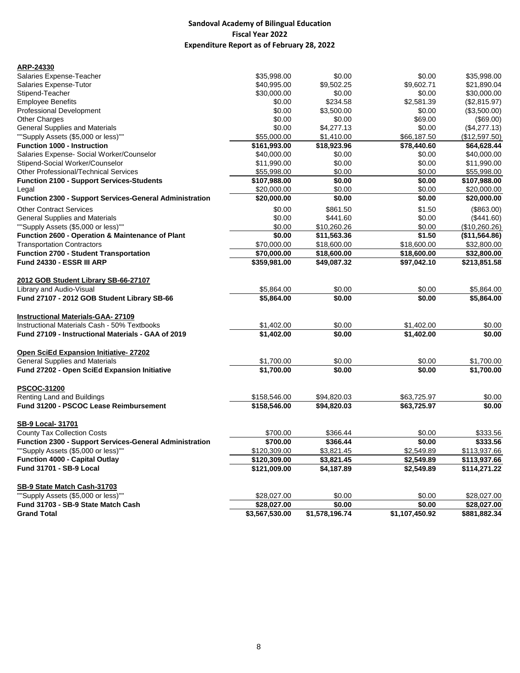| ARP-24330                                                      |                |                |                |               |
|----------------------------------------------------------------|----------------|----------------|----------------|---------------|
| Salaries Expense-Teacher                                       | \$35,998.00    | \$0.00         | \$0.00         | \$35,998.00   |
| Salaries Expense-Tutor                                         | \$40,995.00    | \$9,502.25     | \$9,602.71     | \$21,890.04   |
| Stipend-Teacher                                                | \$30,000.00    | \$0.00         | \$0.00         | \$30,000.00   |
| <b>Employee Benefits</b>                                       | \$0.00         | \$234.58       | \$2,581.39     | (\$2,815.97)  |
| <b>Professional Development</b>                                | \$0.00         | \$3,500.00     | \$0.00         | (\$3,500.00)  |
| Other Charges                                                  | \$0.00         | \$0.00         | \$69.00        | (\$69.00)     |
| <b>General Supplies and Materials</b>                          | \$0.00         | \$4,277.13     | \$0.00         | (\$4,277.13)  |
| ""Supply Assets (\$5,000 or less)""                            | \$55,000.00    | \$1,410.00     | \$66,187.50    | (\$12,597.50) |
| <b>Function 1000 - Instruction</b>                             | \$161,993.00   | \$18,923.96    | \$78,440.60    | \$64,628.44   |
| Salaries Expense- Social Worker/Counselor                      | \$40,000.00    | \$0.00         | \$0.00         | \$40,000.00   |
| Stipend-Social Worker/Counselor                                | \$11,990.00    | \$0.00         | \$0.00         | \$11,990.00   |
| Other Professional/Technical Services                          | \$55,998.00    | \$0.00         | \$0.00         | \$55,998.00   |
| <b>Function 2100 - Support Services-Students</b>               | \$107,988.00   | \$0.00         | \$0.00         | \$107,988.00  |
| Legal                                                          | \$20,000.00    | \$0.00         | \$0.00         | \$20,000.00   |
| <b>Function 2300 - Support Services-General Administration</b> | \$20,000.00    | \$0.00         | \$0.00         | \$20,000.00   |
|                                                                |                |                |                |               |
| <b>Other Contract Services</b>                                 | \$0.00         | \$861.50       | \$1.50         | (\$863.00)    |
| <b>General Supplies and Materials</b>                          | \$0.00         | \$441.60       | \$0.00         | (\$441.60)    |
| ""Supply Assets (\$5,000 or less)""                            | \$0.00         | \$10,260.26    | \$0.00         | (\$10,260.26) |
| <b>Function 2600 - Operation &amp; Maintenance of Plant</b>    | \$0.00         | \$11,563.36    | \$1.50         | (\$11,564.86) |
| <b>Transportation Contractors</b>                              | \$70,000.00    | \$18,600.00    | \$18,600.00    | \$32,800.00   |
| <b>Function 2700 - Student Transportation</b>                  | \$70,000.00    | \$18,600.00    | \$18,600.00    | \$32,800.00   |
| Fund 24330 - ESSR III ARP                                      | \$359,981.00   | \$49,087.32    | \$97,042.10    | \$213,851.58  |
| 2012 GOB Student Library SB-66-27107                           |                |                |                |               |
| Library and Audio-Visual                                       | \$5,864.00     | \$0.00         | \$0.00         | \$5,864.00    |
| Fund 27107 - 2012 GOB Student Library SB-66                    | \$5,864.00     | \$0.00         | \$0.00         | \$5,864.00    |
| <b>Instructional Materials-GAA- 27109</b>                      |                |                |                |               |
| Instructional Materials Cash - 50% Textbooks                   | \$1,402.00     | \$0.00         | \$1,402.00     | \$0.00        |
| Fund 27109 - Instructional Materials - GAA of 2019             | \$1,402.00     | \$0.00         | \$1,402.00     | \$0.00        |
| Open SciEd Expansion Initiative-27202                          |                |                |                |               |
| <b>General Supplies and Materials</b>                          | \$1,700.00     | \$0.00         | \$0.00         | \$1,700.00    |
| Fund 27202 - Open SciEd Expansion Initiative                   | \$1,700.00     | \$0.00         | \$0.00         | \$1,700.00    |
|                                                                |                |                |                |               |
| PSCOC-31200                                                    |                |                |                |               |
| <b>Renting Land and Buildings</b>                              | \$158,546.00   | \$94,820.03    | \$63,725.97    | \$0.00        |
| Fund 31200 - PSCOC Lease Reimbursement                         | \$158,546.00   | \$94,820.03    | \$63,725.97    | \$0.00        |
| <b>SB-9 Local- 31701</b>                                       |                |                |                |               |
| <b>County Tax Collection Costs</b>                             | \$700.00       | \$366.44       | \$0.00         | \$333.56      |
| <b>Function 2300 - Support Services-General Administration</b> | \$700.00       | \$366.44       | \$0.00         | \$333.56      |
| ""Supply Assets (\$5,000 or less)""                            | \$120,309.00   | \$3,821.45     | \$2,549.89     | \$113,937.66  |
| Function 4000 - Capital Outlay                                 | \$120,309.00   | \$3,821.45     | \$2,549.89     | \$113,937.66  |
| <b>Fund 31701 - SB-9 Local</b>                                 | \$121,009.00   | \$4,187.89     | \$2,549.89     | \$114,271.22  |
| SB-9 State Match Cash-31703                                    |                |                |                |               |
| ""Supply Assets (\$5,000 or less)""                            | \$28,027.00    | \$0.00         | \$0.00         | \$28,027.00   |
| Fund 31703 - SB-9 State Match Cash                             | \$28,027.00    | \$0.00         | \$0.00         | \$28,027.00   |
| <b>Grand Total</b>                                             | \$3,567,530.00 | \$1,578,196.74 | \$1,107,450.92 | \$881,882.34  |
|                                                                |                |                |                |               |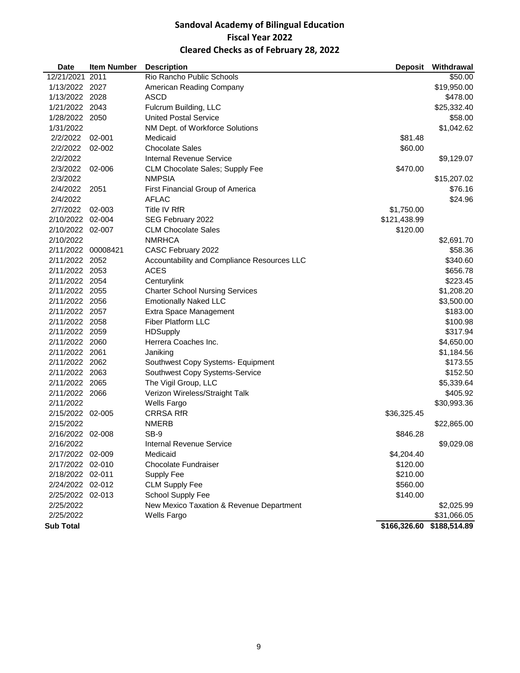## **Sandoval Academy of Bilingual Education Fiscal Year 2022 Cleared Checks as of February 28, 2022**

| <b>Date</b>        | <b>Item Number</b> | <b>Description</b>                          | <b>Deposit</b> | Withdrawal   |
|--------------------|--------------------|---------------------------------------------|----------------|--------------|
| 12/21/2021         | 2011               | Rio Rancho Public Schools                   |                | \$50.00      |
| 1/13/2022 2027     |                    | American Reading Company                    |                | \$19,950.00  |
| 1/13/2022 2028     |                    | ASCD                                        |                | \$478.00     |
| 1/21/2022 2043     |                    | Fulcrum Building, LLC                       |                | \$25,332.40  |
| 1/28/2022 2050     |                    | <b>United Postal Service</b>                |                | \$58.00      |
| 1/31/2022          |                    | NM Dept. of Workforce Solutions             |                | \$1,042.62   |
| 2/2/2022           | 02-001             | Medicaid                                    | \$81.48        |              |
| 2/2/2022           | 02-002             | <b>Chocolate Sales</b>                      | \$60.00        |              |
| 2/2/2022           |                    | <b>Internal Revenue Service</b>             |                | \$9,129.07   |
| 2/3/2022           | 02-006             | CLM Chocolate Sales; Supply Fee             | \$470.00       |              |
| 2/3/2022           |                    | <b>NMPSIA</b>                               |                | \$15,207.02  |
| 2/4/2022           | 2051               | First Financial Group of America            |                | \$76.16      |
| 2/4/2022           |                    | <b>AFLAC</b>                                |                | \$24.96      |
| 2/7/2022           | 02-003             | Title IV RfR                                | \$1,750.00     |              |
| 2/10/2022 02-004   |                    | SEG February 2022                           | \$121,438.99   |              |
| 2/10/2022 02-007   |                    | <b>CLM Chocolate Sales</b>                  | \$120.00       |              |
| 2/10/2022          |                    | <b>NMRHCA</b>                               |                | \$2,691.70   |
| 2/11/2022 00008421 |                    | CASC February 2022                          |                | \$58.36      |
| 2/11/2022 2052     |                    | Accountability and Compliance Resources LLC |                | \$340.60     |
| 2/11/2022 2053     |                    | <b>ACES</b>                                 |                | \$656.78     |
| 2/11/2022 2054     |                    | Centurylink                                 |                | \$223.45     |
| 2/11/2022 2055     |                    | <b>Charter School Nursing Services</b>      |                | \$1,208.20   |
| 2/11/2022 2056     |                    | <b>Emotionally Naked LLC</b>                |                | \$3,500.00   |
| 2/11/2022 2057     |                    | Extra Space Management                      |                | \$183.00     |
| 2/11/2022 2058     |                    | <b>Fiber Platform LLC</b>                   |                | \$100.98     |
| 2/11/2022 2059     |                    | <b>HDSupply</b>                             |                | \$317.94     |
| 2/11/2022 2060     |                    | Herrera Coaches Inc.                        |                | \$4,650.00   |
| 2/11/2022 2061     |                    | Janiking                                    |                | \$1,184.56   |
| 2/11/2022 2062     |                    | Southwest Copy Systems- Equipment           |                | \$173.55     |
| 2/11/2022 2063     |                    | Southwest Copy Systems-Service              |                | \$152.50     |
| 2/11/2022 2065     |                    | The Vigil Group, LLC                        |                | \$5,339.64   |
| 2/11/2022 2066     |                    | Verizon Wireless/Straight Talk              |                | \$405.92     |
| 2/11/2022          |                    | Wells Fargo                                 |                | \$30,993.36  |
| 2/15/2022 02-005   |                    | <b>CRRSA RfR</b>                            | \$36,325.45    |              |
| 2/15/2022          |                    | <b>NMERB</b>                                |                | \$22,865.00  |
| 2/16/2022 02-008   |                    | SB-9                                        | \$846.28       |              |
| 2/16/2022          |                    | Internal Revenue Service                    |                | \$9,029.08   |
| 2/17/2022 02-009   |                    | Medicaid                                    | \$4,204.40     |              |
| 2/17/2022 02-010   |                    | <b>Chocolate Fundraiser</b>                 | \$120.00       |              |
| 2/18/2022 02-011   |                    | Supply Fee                                  | \$210.00       |              |
| 2/24/2022 02-012   |                    | <b>CLM Supply Fee</b>                       | \$560.00       |              |
| 2/25/2022 02-013   |                    | School Supply Fee                           | \$140.00       |              |
| 2/25/2022          |                    | New Mexico Taxation & Revenue Department    |                | \$2,025.99   |
| 2/25/2022          |                    | Wells Fargo                                 |                | \$31,066.05  |
| <b>Sub Total</b>   |                    |                                             | \$166,326.60   | \$188,514.89 |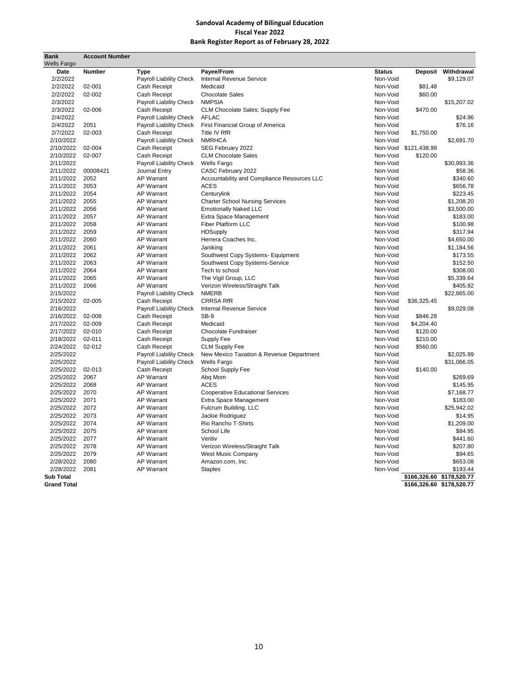| <b>Bank</b>            | <b>Account Number</b> |                              |                                                     |                      |              |                           |
|------------------------|-----------------------|------------------------------|-----------------------------------------------------|----------------------|--------------|---------------------------|
| <b>Wells Fargo</b>     |                       |                              |                                                     |                      |              |                           |
| Date                   | <b>Number</b>         | <b>Type</b>                  | Payee/From                                          | <b>Status</b>        |              | Deposit Withdrawal        |
| 2/2/2022               |                       | Payroll Liability Check      | <b>Internal Revenue Service</b>                     | Non-Void             |              | \$9,129.07                |
| 2/2/2022               | 02-001                | Cash Receipt                 | Medicaid                                            | Non-Void             | \$81.48      |                           |
| 2/2/2022               | 02-002                | Cash Receipt                 | <b>Chocolate Sales</b>                              | Non-Void             | \$60.00      |                           |
| 2/3/2022               |                       | Payroll Liability Check      | <b>NMPSIA</b>                                       | Non-Void             |              | \$15,207.02               |
| 2/3/2022               | 02-006                | Cash Receipt                 | <b>CLM Chocolate Sales: Supply Fee</b>              | Non-Void             | \$470.00     |                           |
| 2/4/2022               |                       | Payroll Liability Check      | <b>AFLAC</b>                                        | Non-Void             |              | \$24.96                   |
| 2/4/2022               | 2051                  | Payroll Liability Check      | First Financial Group of America                    | Non-Void             |              | \$76.16                   |
| 2/7/2022               | 02-003                | Cash Receipt                 | Title IV RfR                                        | Non-Void             | \$1,750.00   |                           |
| 2/10/2022              |                       | Payroll Liability Check      | <b>NMRHCA</b>                                       | Non-Void             |              | \$2,691.70                |
| 2/10/2022              | 02-004                | Cash Receipt                 | SEG February 2022                                   | Non-Void             | \$121,438.99 |                           |
| 2/10/2022              | 02-007                | Cash Receipt                 | <b>CLM Chocolate Sales</b>                          | Non-Void             | \$120.00     |                           |
| 2/11/2022              |                       | Payroll Liability Check      | <b>Wells Fargo</b>                                  | Non-Void             |              | \$30,993.36               |
| 2/11/2022              | 00008421              | Journal Entry                | CASC February 2022                                  | Non-Void             |              | \$58.36                   |
| 2/11/2022              | 2052                  | AP Warrant                   | Accountability and Compliance Resources LLC         | Non-Void             |              | \$340.60                  |
| 2/11/2022              | 2053                  | <b>AP Warrant</b>            | <b>ACES</b>                                         | Non-Void             |              | \$656.78                  |
| 2/11/2022              | 2054                  | AP Warrant                   | Centurylink                                         | Non-Void             |              | \$223.45                  |
| 2/11/2022              | 2055                  | AP Warrant                   | <b>Charter School Nursing Services</b>              | Non-Void             |              | \$1,208.20                |
| 2/11/2022              | 2056                  | AP Warrant                   | <b>Emotionally Naked LLC</b>                        | Non-Void             |              | \$3,500.00                |
| 2/11/2022              | 2057                  | AP Warrant                   | Extra Space Management                              | Non-Void             |              | \$183.00                  |
| 2/11/2022              | 2058                  | AP Warrant                   | Fiber Platform LLC                                  | Non-Void             |              | \$100.98                  |
| 2/11/2022 2059         |                       | AP Warrant                   | <b>HDSupply</b>                                     | Non-Void             |              | \$317.94                  |
| 2/11/2022              | 2060                  | AP Warrant                   | Herrera Coaches Inc.                                | Non-Void             |              | \$4,650.00                |
| 2/11/2022 2061         |                       | AP Warrant                   | Janiking                                            | Non-Void             |              | \$1,184.56                |
| 2/11/2022              | 2062                  | AP Warrant                   | Southwest Copy Systems- Equipment                   | Non-Void             |              | \$173.55                  |
| 2/11/2022              | 2063                  | AP Warrant                   | Southwest Copy Systems-Service                      | Non-Void             |              | \$152.50                  |
| 2/11/2022              | 2064                  | AP Warrant                   | Tech to school                                      | Non-Void             |              | \$308.00                  |
| 2/11/2022              | 2065                  | AP Warrant                   | The Vigil Group, LLC                                | Non-Void             |              | \$5,339.64                |
| 2/11/2022              | 2066                  | AP Warrant                   | Verizon Wireless/Straight Talk                      | Non-Void             |              | \$405.92                  |
| 2/15/2022              |                       | Payroll Liability Check      | <b>NMERB</b>                                        | Non-Void             |              | \$22,865.00               |
| 2/15/2022              | 02-005                | Cash Receipt                 | <b>CRRSA RfR</b><br><b>Internal Revenue Service</b> | Non-Void             | \$36,325.45  |                           |
| 2/16/2022<br>2/16/2022 | 02-008                | Payroll Liability Check      | $SB-9$                                              | Non-Void<br>Non-Void | \$846.28     | \$9,029.08                |
| 2/17/2022              | 02-009                | Cash Receipt<br>Cash Receipt | Medicaid                                            | Non-Void             | \$4,204.40   |                           |
| 2/17/2022              | 02-010                | Cash Receipt                 | Chocolate Fundraiser                                | Non-Void             | \$120.00     |                           |
| 2/18/2022              | 02-011                | Cash Receipt                 | Supply Fee                                          | Non-Void             | \$210.00     |                           |
| 2/24/2022              | 02-012                | Cash Receipt                 | <b>CLM Supply Fee</b>                               | Non-Void             | \$560.00     |                           |
| 2/25/2022              |                       | Payroll Liability Check      | New Mexico Taxation & Revenue Department            | Non-Void             |              | \$2,025.99                |
| 2/25/2022              |                       | Payroll Liability Check      | <b>Wells Fargo</b>                                  | Non-Void             |              | \$31,066.05               |
| 2/25/2022 02-013       |                       | Cash Receipt                 | School Supply Fee                                   | Non-Void             | \$140.00     |                           |
| 2/25/2022              | 2067                  | AP Warrant                   | Abq Mom                                             | Non-Void             |              | \$269.69                  |
| 2/25/2022              | 2068                  | AP Warrant                   | <b>ACES</b>                                         | Non-Void             |              | \$145.95                  |
| 2/25/2022 2070         |                       | AP Warrant                   | <b>Cooperative Educational Services</b>             | Non-Void             |              | \$7,168.77                |
| 2/25/2022              | 2071                  | AP Warrant                   | Extra Space Management                              | Non-Void             |              | \$183.00                  |
| 2/25/2022 2072         |                       | AP Warrant                   | Fulcrum Building, LLC                               | Non-Void             |              | \$25,942.02               |
| 2/25/2022 2073         |                       | AP Warrant                   | Jackie Rodriguez                                    | Non-Void             |              | \$14.95                   |
| 2/25/2022 2074         |                       | AP Warrant                   | Rio Rancho T-Shirts                                 | Non-Void             |              | \$1,209.00                |
| 2/25/2022 2075         |                       | AP Warrant                   | School Life                                         | Non-Void             |              | \$84.95                   |
| 2/25/2022              | 2077                  | AP Warrant                   | Veritiv                                             | Non-Void             |              | \$441.60                  |
| 2/25/2022              | 2078                  | AP Warrant                   | Verizon Wireless/Straight Talk                      | Non-Void             |              | \$207.80                  |
| 2/25/2022              | 2079                  | AP Warrant                   | West Music Company                                  | Non-Void             |              | \$94.65                   |
| 2/28/2022              | 2080                  | AP Warrant                   | Amazon.com, Inc.                                    | Non-Void             |              | \$653.08                  |
| 2/28/2022              | 2081                  | <b>AP Warrant</b>            | <b>Staples</b>                                      | Non-Void             |              | \$193.44                  |
| <b>Sub Total</b>       |                       |                              |                                                     |                      |              | \$166,326.60 \$178,520.77 |
| <b>Grand Total</b>     |                       |                              |                                                     |                      |              | \$166,326.60 \$178,520.77 |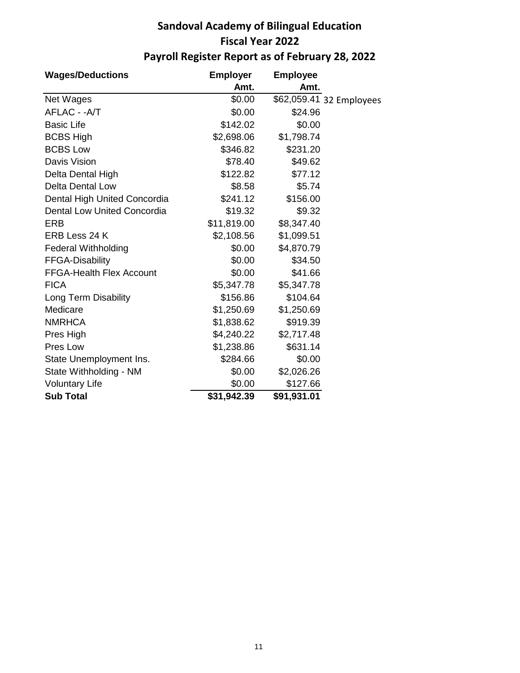## **Sandoval Academy of Bilingual Education Fiscal Year 2022 Payroll Register Report as of February 28, 2022**

| <b>Wages/Deductions</b>         | <b>Employer</b> | <b>Employee</b> |                          |
|---------------------------------|-----------------|-----------------|--------------------------|
|                                 | Amt.            | Amt.            |                          |
| Net Wages                       | \$0.00          |                 | \$62,059.41 32 Employees |
| AFLAC - - A/T                   | \$0.00          | \$24.96         |                          |
| <b>Basic Life</b>               | \$142.02        | \$0.00          |                          |
| <b>BCBS High</b>                | \$2,698.06      | \$1,798.74      |                          |
| <b>BCBS Low</b>                 | \$346.82        | \$231.20        |                          |
| Davis Vision                    | \$78.40         | \$49.62         |                          |
| Delta Dental High               | \$122.82        | \$77.12         |                          |
| <b>Delta Dental Low</b>         | \$8.58          | \$5.74          |                          |
| Dental High United Concordia    | \$241.12        | \$156.00        |                          |
| Dental Low United Concordia     | \$19.32         | \$9.32          |                          |
| <b>ERB</b>                      | \$11,819.00     | \$8,347.40      |                          |
| ERB Less 24 K                   | \$2,108.56      | \$1,099.51      |                          |
| <b>Federal Withholding</b>      | \$0.00          | \$4,870.79      |                          |
| <b>FFGA-Disability</b>          | \$0.00          | \$34.50         |                          |
| <b>FFGA-Health Flex Account</b> | \$0.00          | \$41.66         |                          |
| <b>FICA</b>                     | \$5,347.78      | \$5,347.78      |                          |
| Long Term Disability            | \$156.86        | \$104.64        |                          |
| Medicare                        | \$1,250.69      | \$1,250.69      |                          |
| <b>NMRHCA</b>                   | \$1,838.62      | \$919.39        |                          |
| Pres High                       | \$4,240.22      | \$2,717.48      |                          |
| Pres Low                        | \$1,238.86      | \$631.14        |                          |
| State Unemployment Ins.         | \$284.66        | \$0.00          |                          |
| State Withholding - NM          | \$0.00          | \$2,026.26      |                          |
| <b>Voluntary Life</b>           | \$0.00          | \$127.66        |                          |
| <b>Sub Total</b>                | \$31,942.39     | \$91,931.01     |                          |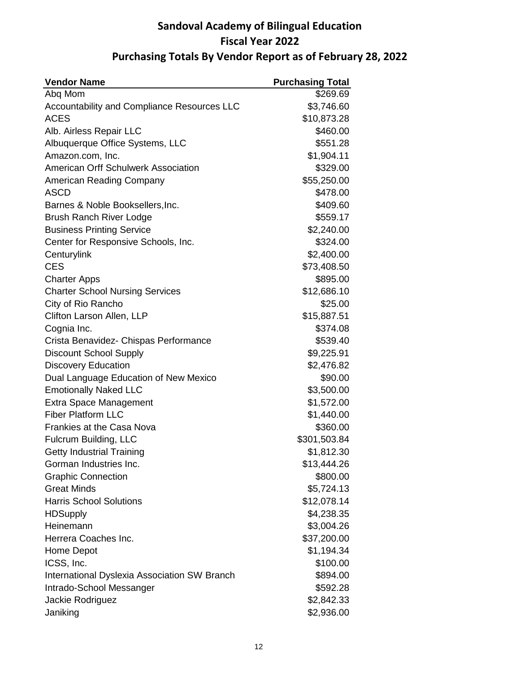## **Sandoval Academy of Bilingual Education Fiscal Year 2022 Purchasing Totals By Vendor Report as of February 28, 2022**

| <b>Vendor Name</b>                           | <b>Purchasing Total</b> |
|----------------------------------------------|-------------------------|
| Abq Mom                                      | \$269.69                |
| Accountability and Compliance Resources LLC  | \$3,746.60              |
| <b>ACES</b>                                  | \$10,873.28             |
| Alb. Airless Repair LLC                      | \$460.00                |
| Albuquerque Office Systems, LLC              | \$551.28                |
| Amazon.com, Inc.                             | \$1,904.11              |
| <b>American Orff Schulwerk Association</b>   | \$329.00                |
| American Reading Company                     | \$55,250.00             |
| <b>ASCD</b>                                  | \$478.00                |
| Barnes & Noble Booksellers, Inc.             | \$409.60                |
| Brush Ranch River Lodge                      | \$559.17                |
| <b>Business Printing Service</b>             | \$2,240.00              |
| Center for Responsive Schools, Inc.          | \$324.00                |
| Centurylink                                  | \$2,400.00              |
| <b>CES</b>                                   | \$73,408.50             |
| <b>Charter Apps</b>                          | \$895.00                |
| <b>Charter School Nursing Services</b>       | \$12,686.10             |
| City of Rio Rancho                           | \$25.00                 |
| Clifton Larson Allen, LLP                    | \$15,887.51             |
| Cognia Inc.                                  | \$374.08                |
| Crista Benavidez- Chispas Performance        | \$539.40                |
| <b>Discount School Supply</b>                | \$9,225.91              |
| <b>Discovery Education</b>                   | \$2,476.82              |
| Dual Language Education of New Mexico        | \$90.00                 |
| <b>Emotionally Naked LLC</b>                 | \$3,500.00              |
| <b>Extra Space Management</b>                | \$1,572.00              |
| <b>Fiber Platform LLC</b>                    | \$1,440.00              |
| Frankies at the Casa Nova                    | \$360.00                |
| Fulcrum Building, LLC                        | \$301,503.84            |
| <b>Getty Industrial Training</b>             | \$1,812.30              |
| Gorman Industries Inc.                       | \$13,444.26             |
| <b>Graphic Connection</b>                    | \$800.00                |
| <b>Great Minds</b>                           | \$5,724.13              |
| <b>Harris School Solutions</b>               | \$12,078.14             |
| <b>HDSupply</b>                              | \$4,238.35              |
| Heinemann                                    | \$3,004.26              |
| Herrera Coaches Inc.                         | \$37,200.00             |
| Home Depot                                   | \$1,194.34              |
| ICSS, Inc.                                   | \$100.00                |
| International Dyslexia Association SW Branch | \$894.00                |
| Intrado-School Messanger                     | \$592.28                |
| Jackie Rodriguez                             | \$2,842.33              |
| Janiking                                     | \$2,936.00              |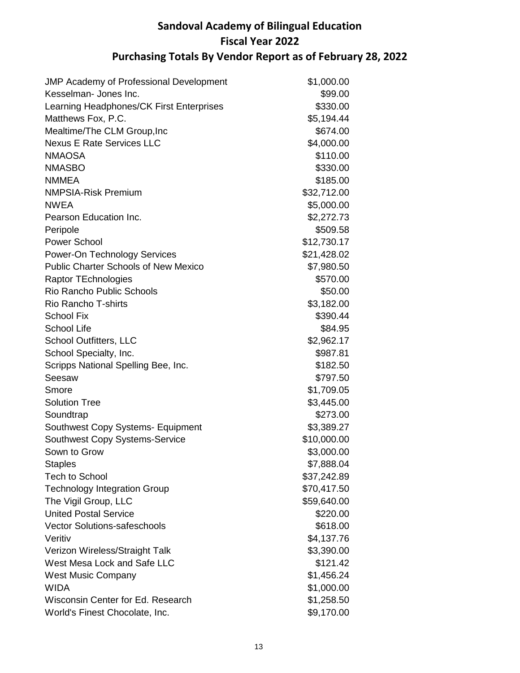## **Sandoval Academy of Bilingual Education Fiscal Year 2022 Purchasing Totals By Vendor Report as of February 28, 2022**

| <b>JMP Academy of Professional Development</b> | \$1,000.00  |
|------------------------------------------------|-------------|
| Kesselman- Jones Inc.                          | \$99.00     |
| Learning Headphones/CK First Enterprises       | \$330.00    |
| Matthews Fox, P.C.                             | \$5,194.44  |
| Mealtime/The CLM Group, Inc                    | \$674.00    |
| <b>Nexus E Rate Services LLC</b>               | \$4,000.00  |
| <b>NMAOSA</b>                                  | \$110.00    |
| <b>NMASBO</b>                                  | \$330.00    |
| <b>NMMEA</b>                                   | \$185.00    |
| <b>NMPSIA-Risk Premium</b>                     | \$32,712.00 |
| <b>NWEA</b>                                    | \$5,000.00  |
| Pearson Education Inc.                         | \$2,272.73  |
| Peripole                                       | \$509.58    |
| <b>Power School</b>                            | \$12,730.17 |
| Power-On Technology Services                   | \$21,428.02 |
| <b>Public Charter Schools of New Mexico</b>    | \$7,980.50  |
| <b>Raptor TEchnologies</b>                     | \$570.00    |
| <b>Rio Rancho Public Schools</b>               | \$50.00     |
| <b>Rio Rancho T-shirts</b>                     | \$3,182.00  |
| <b>School Fix</b>                              | \$390.44    |
| <b>School Life</b>                             | \$84.95     |
| <b>School Outfitters, LLC</b>                  | \$2,962.17  |
| School Specialty, Inc.                         | \$987.81    |
| Scripps National Spelling Bee, Inc.            | \$182.50    |
| Seesaw                                         | \$797.50    |
| Smore                                          | \$1,709.05  |
| <b>Solution Tree</b>                           | \$3,445.00  |
| Soundtrap                                      | \$273.00    |
| Southwest Copy Systems- Equipment              | \$3,389.27  |
| <b>Southwest Copy Systems-Service</b>          | \$10,000.00 |
| Sown to Grow                                   | \$3,000.00  |
| <b>Staples</b>                                 | \$7,888.04  |
| <b>Tech to School</b>                          | \$37,242.89 |
| <b>Technology Integration Group</b>            | \$70,417.50 |
| The Vigil Group, LLC                           | \$59,640.00 |
| <b>United Postal Service</b>                   | \$220.00    |
| <b>Vector Solutions-safeschools</b>            | \$618.00    |
| Veritiv                                        | \$4,137.76  |
| Verizon Wireless/Straight Talk                 | \$3,390.00  |
| West Mesa Lock and Safe LLC                    | \$121.42    |
| <b>West Music Company</b>                      | \$1,456.24  |
| <b>WIDA</b>                                    | \$1,000.00  |
| Wisconsin Center for Ed. Research              | \$1,258.50  |
| World's Finest Chocolate, Inc.                 | \$9,170.00  |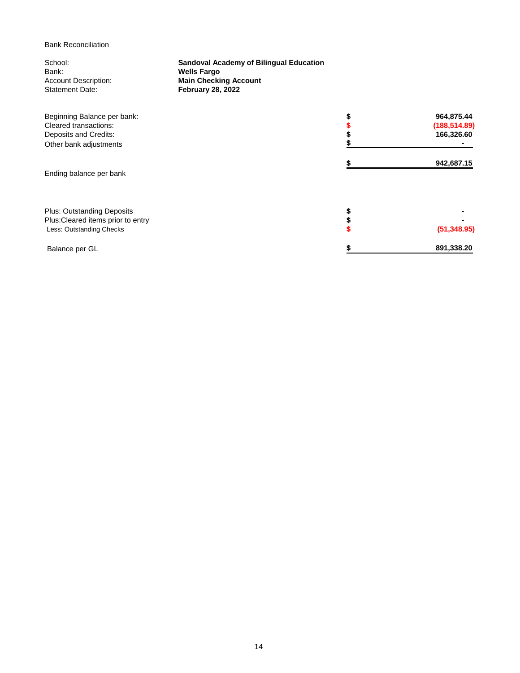Bank Reconciliation

| School:<br>Bank:                                                        | <b>Sandoval Academy of Bilingual Education</b><br><b>Wells Fargo</b> |  |               |  |  |  |  |
|-------------------------------------------------------------------------|----------------------------------------------------------------------|--|---------------|--|--|--|--|
| <b>Account Description:</b>                                             | <b>Main Checking Account</b>                                         |  |               |  |  |  |  |
| <b>Statement Date:</b>                                                  | <b>February 28, 2022</b>                                             |  |               |  |  |  |  |
| Beginning Balance per bank:                                             |                                                                      |  | 964,875.44    |  |  |  |  |
| Cleared transactions:                                                   |                                                                      |  | (188, 514.89) |  |  |  |  |
| Deposits and Credits:                                                   |                                                                      |  | 166,326.60    |  |  |  |  |
| Other bank adjustments                                                  |                                                                      |  |               |  |  |  |  |
|                                                                         |                                                                      |  | 942,687.15    |  |  |  |  |
| Ending balance per bank                                                 |                                                                      |  |               |  |  |  |  |
|                                                                         |                                                                      |  |               |  |  |  |  |
| <b>Plus: Outstanding Deposits</b><br>Plus: Cleared items prior to entry |                                                                      |  |               |  |  |  |  |
| Less: Outstanding Checks                                                |                                                                      |  | (51, 348.95)  |  |  |  |  |
|                                                                         |                                                                      |  |               |  |  |  |  |
| Balance per GL                                                          |                                                                      |  | 891,338.20    |  |  |  |  |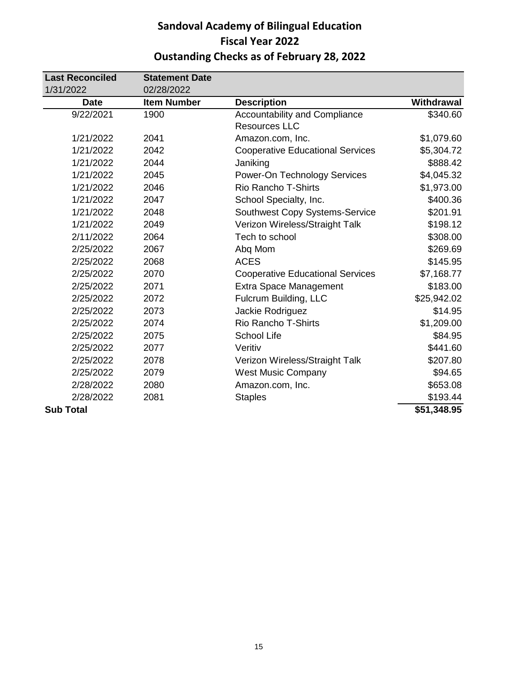## **Sandoval Academy of Bilingual Education Fiscal Year 2022 Oustanding Checks as of February 28, 2022**

| <b>Last Reconciled</b> | <b>Statement Date</b> |                                         |             |
|------------------------|-----------------------|-----------------------------------------|-------------|
| 1/31/2022              | 02/28/2022            |                                         |             |
| <b>Date</b>            | <b>Item Number</b>    | <b>Description</b>                      | Withdrawal  |
| 9/22/2021              | 1900                  | Accountability and Compliance           | \$340.60    |
|                        |                       | <b>Resources LLC</b>                    |             |
| 1/21/2022              | 2041                  | Amazon.com, Inc.                        | \$1,079.60  |
| 1/21/2022              | 2042                  | <b>Cooperative Educational Services</b> | \$5,304.72  |
| 1/21/2022              | 2044                  | Janiking                                | \$888.42    |
| 1/21/2022              | 2045                  | Power-On Technology Services            | \$4,045.32  |
| 1/21/2022              | 2046                  | <b>Rio Rancho T-Shirts</b>              | \$1,973.00  |
| 1/21/2022              | 2047                  | School Specialty, Inc.                  | \$400.36    |
| 1/21/2022              | 2048                  | Southwest Copy Systems-Service          | \$201.91    |
| 1/21/2022              | 2049                  | Verizon Wireless/Straight Talk          | \$198.12    |
| 2/11/2022              | 2064                  | Tech to school                          | \$308.00    |
| 2/25/2022              | 2067                  | Abq Mom                                 | \$269.69    |
| 2/25/2022              | 2068                  | <b>ACES</b>                             | \$145.95    |
| 2/25/2022              | 2070                  | <b>Cooperative Educational Services</b> | \$7,168.77  |
| 2/25/2022              | 2071                  | <b>Extra Space Management</b>           | \$183.00    |
| 2/25/2022              | 2072                  | Fulcrum Building, LLC                   | \$25,942.02 |
| 2/25/2022              | 2073                  | Jackie Rodriguez                        | \$14.95     |
| 2/25/2022              | 2074                  | <b>Rio Rancho T-Shirts</b>              | \$1,209.00  |
| 2/25/2022              | 2075                  | <b>School Life</b>                      | \$84.95     |
| 2/25/2022              | 2077                  | Veritiv                                 | \$441.60    |
| 2/25/2022              | 2078                  | Verizon Wireless/Straight Talk          | \$207.80    |
| 2/25/2022              | 2079                  | <b>West Music Company</b>               | \$94.65     |
| 2/28/2022              | 2080                  | Amazon.com, Inc.                        | \$653.08    |
| 2/28/2022              | 2081                  | <b>Staples</b>                          | \$193.44    |
| <b>Sub Total</b>       |                       |                                         | \$51,348.95 |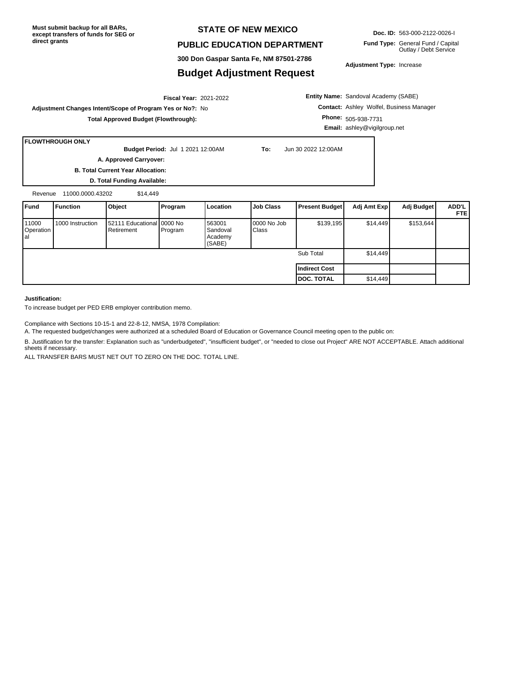#### **STATE OF NEW MEXICO**

#### **PUBLIC EDUCATION DEPARTMENT**

**300 Don Gaspar Santa Fe, NM 87501-2786**

### **Budget Adjustment Request**

**Doc. ID:** 563-000-2122-0026-I

**Fund Type:** General Fund / Capital Outlay / Debt Service

**Adjustment Type:** Increase

2021-2022 **Fiscal Year: Adjustment Changes Intent/Scope of Program Yes or No?:** No **Total Approved Budget (Flowthrough):**

**Entity Name:** Sandoval Academy (SABE) **Contact:** Ashley Wolfel, Business Manager **Phone:** 505-938-7731 **Email:** ashley@vigilgroup.net

#### **FLOWTHROUGH ONLY**

**Budget Period:** Jul 1 2021 12:00AM **To:** Jun 30 2022 12:00AM

**A. Approved Carryover:** 

**B. Total Current Year Allocation: D. Total Funding Available:**

Revenue 11000.0000.43202 \$14,449

| <b>IFund</b>              | <b>Function</b>  | Object                                    | <b>Program</b> | Location                                | <b>Job Class</b>     | <b>Present Budget</b> | Adj Amt Exp | Adj Budget | ADD'L<br><b>FTE</b> |
|---------------------------|------------------|-------------------------------------------|----------------|-----------------------------------------|----------------------|-----------------------|-------------|------------|---------------------|
| 11000<br>Operation<br>lal | 1000 Instruction | 52111 Educational 0000 No<br>l Retirement | Program        | 563001<br>Sandoval<br>Academy<br>(SABE) | 0000 No Job<br>Class | \$139,195             | \$14,449    | \$153,644  |                     |
|                           |                  |                                           |                |                                         |                      | Sub Total             | \$14,449    |            |                     |
|                           |                  |                                           |                |                                         |                      | <b>Indirect Cost</b>  |             |            |                     |
|                           |                  |                                           |                |                                         |                      | <b>DOC. TOTAL</b>     | \$14.449    |            |                     |

#### **Justification:**

To increase budget per PED ERB employer contribution memo.

Compliance with Sections 10-15-1 and 22-8-12, NMSA, 1978 Compilation:

A. The requested budget/changes were authorized at a scheduled Board of Education or Governance Council meeting open to the public on:

B. Justification for the transfer: Explanation such as "underbudgeted", "insufficient budget", or "needed to close out Project" ARE NOT ACCEPTABLE. Attach additional sheets if necessary.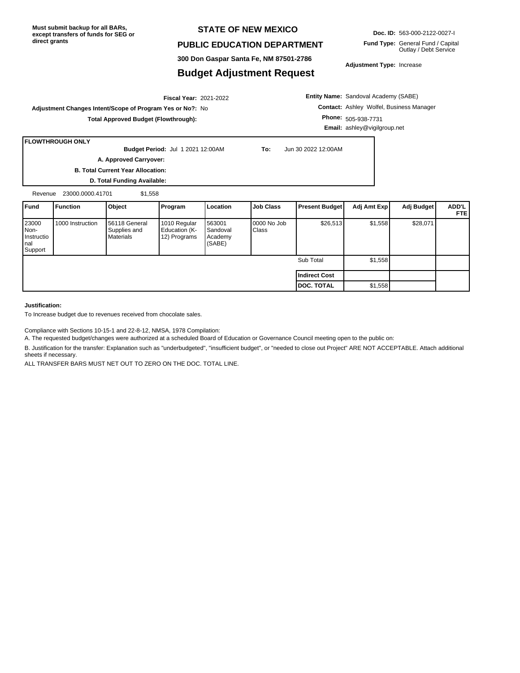#### **STATE OF NEW MEXICO**

#### **PUBLIC EDUCATION DEPARTMENT**

**300 Don Gaspar Santa Fe, NM 87501-2786**

#### **Budget Adjustment Request**

**Doc. ID:** 563-000-2122-0027-I

**Fund Type:** General Fund / Capital Outlay / Debt Service

**Adjustment Type:** Increase

2021-2022 **Fiscal Year: Adjustment Changes Intent/Scope of Program Yes or No?:** No

**Total Approved Budget (Flowthrough):**

**Entity Name:** Sandoval Academy (SABE) **Contact:** Ashley Wolfel, Business Manager **Phone:** 505-938-7731 **Email:** ashley@vigilgroup.net

#### **FLOWTHROUGH ONLY**

**Budget Period:** Jul 1 2021 12:00AM **To:** Jun 30 2022 12:00AM

**A. Approved Carryover:** 

**B. Total Current Year Allocation: D. Total Funding Available:**

Revenue 23000.0000.41701 \$1,558

| <b>I</b> Fund                                  | Function         | Object                                              | <b>Program</b>                                | Location                                | Job Class            | <b>Present Budget</b> | Adj Amt Exp | Adj Budget | ADD'L<br><b>FTE</b> |
|------------------------------------------------|------------------|-----------------------------------------------------|-----------------------------------------------|-----------------------------------------|----------------------|-----------------------|-------------|------------|---------------------|
| 23000<br>Non-<br>Instructio<br>Inal<br>Support | 1000 Instruction | <b>1</b> 56118 General<br>Supplies and<br>Materials | 1010 Regular<br>Education (K-<br>12) Programs | 563001<br>Sandoval<br>Academy<br>(SABE) | 0000 No Job<br>Class | \$26,513              | \$1,558     | \$28,071   |                     |
|                                                |                  |                                                     |                                               |                                         |                      | Sub Total             | \$1,558     |            |                     |
|                                                |                  |                                                     |                                               |                                         |                      | Indirect Cost         |             |            |                     |
|                                                |                  |                                                     |                                               |                                         |                      | <b>DOC. TOTAL</b>     | \$1,558     |            |                     |

**Justification:**

To Increase budget due to revenues received from chocolate sales.

Compliance with Sections 10-15-1 and 22-8-12, NMSA, 1978 Compilation:

A. The requested budget/changes were authorized at a scheduled Board of Education or Governance Council meeting open to the public on:

B. Justification for the transfer: Explanation such as "underbudgeted", "insufficient budget", or "needed to close out Project" ARE NOT ACCEPTABLE. Attach additional sheets if necessary.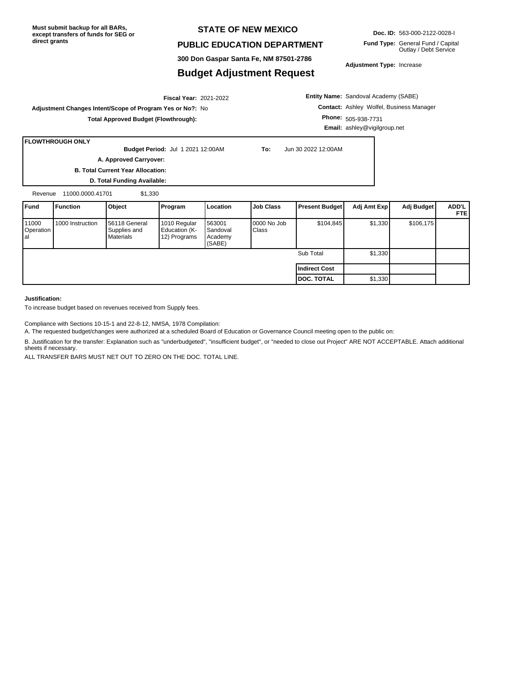#### **STATE OF NEW MEXICO**

#### **PUBLIC EDUCATION DEPARTMENT**

**300 Don Gaspar Santa Fe, NM 87501-2786**

#### **Budget Adjustment Request**

**Doc. ID:** 563-000-2122-0028-I

**Fund Type:** General Fund / Capital Outlay / Debt Service

**Adjustment Type:** Increase

2021-2022 **Fiscal Year: Adjustment Changes Intent/Scope of Program Yes or No?:** No **Total Approved Budget (Flowthrough):**

**Entity Name:** Sandoval Academy (SABE) **Contact:** Ashley Wolfel, Business Manager **Phone:** 505-938-7731 **Email:** ashley@vigilgroup.net

#### **FLOWTHROUGH ONLY**

**Budget Period:** Jul 1 2021 12:00AM **To:** Jun 30 2022 12:00AM

**A. Approved Carryover:** 

**B. Total Current Year Allocation: D. Total Funding Available:**

Revenue 11000.0000.41701 \$1,330

| <b>IFund</b>                      | <b>Function</b>  | Object                                            | Program                                       | Location                                  | <b>Job Class</b>     | <b>Present Budget</b> | Adj Amt Exp | Adj Budget | ADD'L I<br><b>FTEI</b> |
|-----------------------------------|------------------|---------------------------------------------------|-----------------------------------------------|-------------------------------------------|----------------------|-----------------------|-------------|------------|------------------------|
| 11000<br>Operation<br><b>l</b> al | 1000 Instruction | 56118 General<br>Supplies and<br><b>Materials</b> | 1010 Regular<br>Education (K-<br>12) Programs | 563001<br>l Sandoval<br>Academy<br>(SABE) | 0000 No Job<br>Class | \$104,845             | \$1,330     | \$106, 175 |                        |
|                                   |                  |                                                   |                                               |                                           |                      | Sub Total             | \$1,330     |            |                        |
|                                   |                  |                                                   |                                               |                                           |                      | Indirect Cost         |             |            |                        |
|                                   |                  |                                                   |                                               |                                           |                      | <b>IDOC. TOTAL</b>    | \$1,330     |            |                        |

#### **Justification:**

To increase budget based on revenues received from Supply fees.

Compliance with Sections 10-15-1 and 22-8-12, NMSA, 1978 Compilation:

A. The requested budget/changes were authorized at a scheduled Board of Education or Governance Council meeting open to the public on:

B. Justification for the transfer: Explanation such as "underbudgeted", "insufficient budget", or "needed to close out Project" ARE NOT ACCEPTABLE. Attach additional sheets if necessary.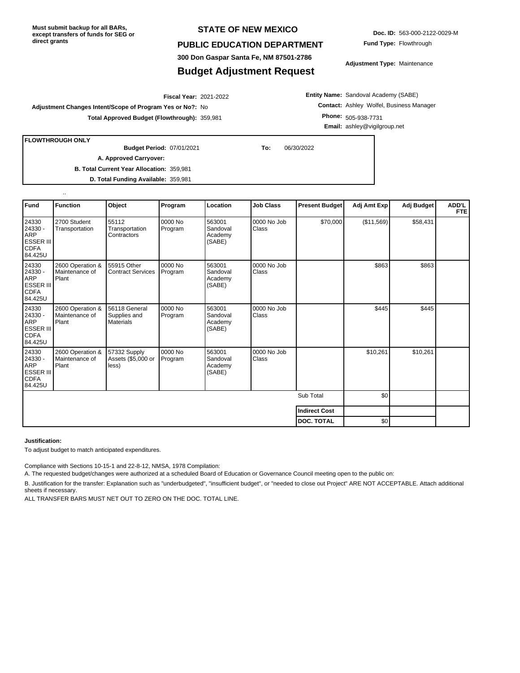#### **STATE OF NEW MEXICO**

#### **PUBLIC EDUCATION DEPARTMENT**

**300 Don Gaspar Santa Fe, NM 87501-2786**

### **Budget Adjustment Request**

**Doc. ID:** 563-000-2122-0029-M **Fund Type:** Flowthrough

**Adjustment Type:** Maintenance

2021-2022 **Fiscal Year: Adjustment Changes Intent/Scope of Program Yes or No?:** No **Total Approved Budget (Flowthrough):** 359,981

**Entity Name:** Sandoval Academy (SABE) **Contact:** Ashley Wolfel, Business Manager **Phone:** 505-938-7731 **Email:** ashley@vigilgroup.net

**FLOWTHROUGH ONLY**

..

07/01/2021 **To:** 06/30/2022 **Budget Period:**

**B. Total Current Year Allocation:** 359,981 **A. Approved Carryover:** 

**D. Total Funding Available:** 359,981

| Fund                                                                         | <b>Function</b>                             | Object                                            | Program            | Location                                | <b>Job Class</b>     | <b>Present Budget</b> | Adj Amt Exp | Adj Budget | ADD'L<br><b>FTE</b> |
|------------------------------------------------------------------------------|---------------------------------------------|---------------------------------------------------|--------------------|-----------------------------------------|----------------------|-----------------------|-------------|------------|---------------------|
| 24330<br>24330 -<br>ARP<br><b>ESSER III</b><br><b>CDFA</b><br>84.425U        | 2700 Student<br>Transportation              | 55112<br>Transportation<br>Contractors            | 0000 No<br>Program | 563001<br>Sandoval<br>Academy<br>(SABE) | 0000 No Job<br>Class | \$70,000              | (\$11,569)  | \$58,431   |                     |
| 24330<br>24330 -<br>ARP<br><b>ESSER III</b><br><b>CDFA</b><br>84.425U        | 2600 Operation &<br>Maintenance of<br>Plant | 55915 Other<br><b>Contract Services</b>           | 0000 No<br>Program | 563001<br>Sandoval<br>Academy<br>(SABE) | 0000 No Job<br>Class |                       | \$863       | \$863      |                     |
| 24330<br>24330 -<br><b>ARP</b><br>ESSER III<br><b>CDFA</b><br>84.425U        | 2600 Operation &<br>Maintenance of<br>Plant | 56118 General<br>Supplies and<br><b>Materials</b> | 0000 No<br>Program | 563001<br>Sandoval<br>Academy<br>(SABE) | 0000 No Job<br>Class |                       | \$445       | \$445      |                     |
| 24330<br>24330 -<br><b>ARP</b><br><b>ESSER III</b><br><b>CDFA</b><br>84.425U | 2600 Operation &<br>Maintenance of<br>Plant | 57332 Supply<br>Assets (\$5,000 or<br>less)       | 0000 No<br>Program | 563001<br>Sandoval<br>Academy<br>(SABE) | 0000 No Job<br>Class |                       | \$10,261    | \$10,261   |                     |
|                                                                              |                                             |                                                   |                    |                                         |                      | Sub Total             | \$0         |            |                     |
|                                                                              |                                             |                                                   |                    |                                         |                      | <b>Indirect Cost</b>  |             |            |                     |
|                                                                              |                                             |                                                   |                    |                                         |                      | <b>DOC. TOTAL</b>     | \$0         |            |                     |

#### **Justification:**

To adjust budget to match anticipated expenditures.

Compliance with Sections 10-15-1 and 22-8-12, NMSA, 1978 Compilation:

A. The requested budget/changes were authorized at a scheduled Board of Education or Governance Council meeting open to the public on:

B. Justification for the transfer: Explanation such as "underbudgeted", "insufficient budget", or "needed to close out Project" ARE NOT ACCEPTABLE. Attach additional sheets if necessary.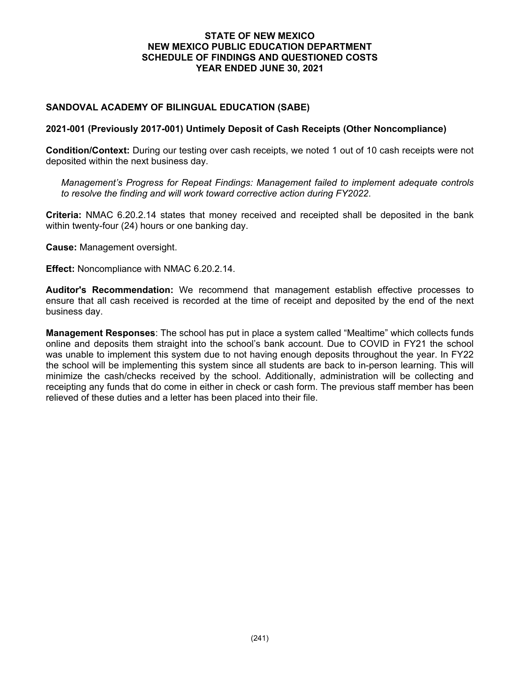### **STATE OF NEW MEXICO NEW MEXICO PUBLIC EDUCATION DEPARTMENT SCHEDULE OF FINDINGS AND QUESTIONED COSTS YEAR ENDED JUNE 30, 2021**

### **SANDOVAL ACADEMY OF BILINGUAL EDUCATION (SABE)**

### **2021-001 (Previously 2017-001) Untimely Deposit of Cash Receipts (Other Noncompliance)**

**Condition/Context:** During our testing over cash receipts, we noted 1 out of 10 cash receipts were not deposited within the next business day.

*Management's Progress for Repeat Findings: Management failed to implement adequate controls to resolve the finding and will work toward corrective action during FY2022*.

**Criteria:** NMAC 6.20.2.14 states that money received and receipted shall be deposited in the bank within twenty-four (24) hours or one banking day.

**Cause:** Management oversight.

**Effect:** Noncompliance with NMAC 6.20.2.14.

**Auditor's Recommendation:** We recommend that management establish effective processes to ensure that all cash received is recorded at the time of receipt and deposited by the end of the next business day.

**Management Responses**: The school has put in place a system called "Mealtime" which collects funds online and deposits them straight into the school's bank account. Due to COVID in FY21 the school was unable to implement this system due to not having enough deposits throughout the year. In FY22 the school will be implementing this system since all students are back to in-person learning. This will minimize the cash/checks received by the school. Additionally, administration will be collecting and receipting any funds that do come in either in check or cash form. The previous staff member has been relieved of these duties and a letter has been placed into their file.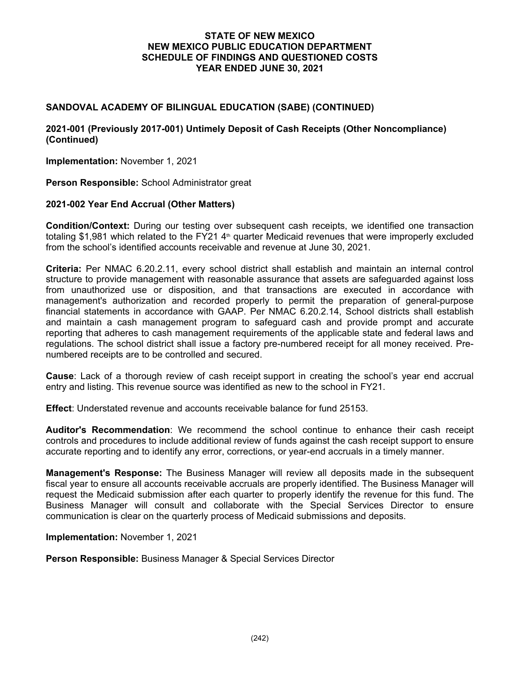### **STATE OF NEW MEXICO NEW MEXICO PUBLIC EDUCATION DEPARTMENT SCHEDULE OF FINDINGS AND QUESTIONED COSTS YEAR ENDED JUNE 30, 2021**

### **SANDOVAL ACADEMY OF BILINGUAL EDUCATION (SABE) (CONTINUED)**

### **2021-001 (Previously 2017-001) Untimely Deposit of Cash Receipts (Other Noncompliance) (Continued)**

**Implementation:** November 1, 2021

**Person Responsible:** School Administrator great

### **2021-002 Year End Accrual (Other Matters)**

**Condition/Context:** During our testing over subsequent cash receipts, we identified one transaction totaling \$1,981 which related to the FY21  $4<sup>th</sup>$  quarter Medicaid revenues that were improperly excluded from the school's identified accounts receivable and revenue at June 30, 2021.

**Criteria:** Per NMAC 6.20.2.11, every school district shall establish and maintain an internal control structure to provide management with reasonable assurance that assets are safeguarded against loss from unauthorized use or disposition, and that transactions are executed in accordance with management's authorization and recorded properly to permit the preparation of general-purpose financial statements in accordance with GAAP. Per NMAC 6.20.2.14, School districts shall establish and maintain a cash management program to safeguard cash and provide prompt and accurate reporting that adheres to cash management requirements of the applicable state and federal laws and regulations. The school district shall issue a factory pre-numbered receipt for all money received. Prenumbered receipts are to be controlled and secured.

**Cause**: Lack of a thorough review of cash receipt support in creating the school's year end accrual entry and listing. This revenue source was identified as new to the school in FY21.

**Effect**: Understated revenue and accounts receivable balance for fund 25153.

**Auditor's Recommendation**: We recommend the school continue to enhance their cash receipt controls and procedures to include additional review of funds against the cash receipt support to ensure accurate reporting and to identify any error, corrections, or year-end accruals in a timely manner.

**Management's Response:** The Business Manager will review all deposits made in the subsequent fiscal year to ensure all accounts receivable accruals are properly identified. The Business Manager will request the Medicaid submission after each quarter to properly identify the revenue for this fund. The Business Manager will consult and collaborate with the Special Services Director to ensure communication is clear on the quarterly process of Medicaid submissions and deposits.

**Implementation:** November 1, 2021

**Person Responsible:** Business Manager & Special Services Director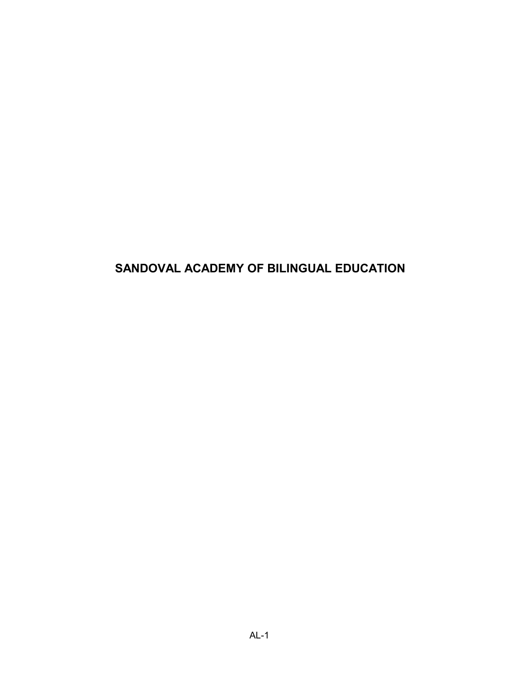## **SANDOVAL ACADEMY OF BILINGUAL EDUCATION**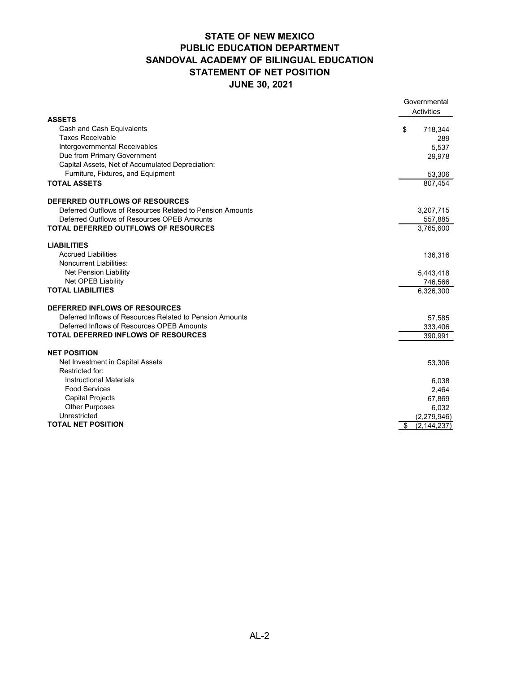## **STATE OF NEW MEXICO PUBLIC EDUCATION DEPARTMENT SANDOVAL ACADEMY OF BILINGUAL EDUCATION STATEMENT OF NET POSITION JUNE 30, 2021**

|                                                           |    | Governmental  |
|-----------------------------------------------------------|----|---------------|
| <b>ASSETS</b>                                             |    | Activities    |
| Cash and Cash Equivalents                                 | \$ | 718,344       |
| <b>Taxes Receivable</b>                                   |    | 289           |
| Intergovernmental Receivables                             |    | 5,537         |
| Due from Primary Government                               |    | 29,978        |
| Capital Assets, Net of Accumulated Depreciation:          |    |               |
| Furniture, Fixtures, and Equipment                        |    | 53,306        |
| <b>TOTAL ASSETS</b>                                       |    | 807,454       |
|                                                           |    |               |
| DEFERRED OUTFLOWS OF RESOURCES                            |    |               |
| Deferred Outflows of Resources Related to Pension Amounts |    | 3,207,715     |
| Deferred Outflows of Resources OPEB Amounts               |    | 557,885       |
| TOTAL DEFERRED OUTFLOWS OF RESOURCES                      |    | 3,765,600     |
|                                                           |    |               |
| <b>LIABILITIES</b>                                        |    |               |
| <b>Accrued Liabilities</b>                                |    | 136,316       |
| <b>Noncurrent Liabilities:</b>                            |    |               |
| Net Pension Liability                                     |    | 5,443,418     |
| <b>Net OPEB Liability</b>                                 |    | 746,566       |
| <b>TOTAL LIABILITIES</b>                                  |    | 6,326,300     |
| DEFERRED INFLOWS OF RESOURCES                             |    |               |
| Deferred Inflows of Resources Related to Pension Amounts  |    | 57,585        |
| Deferred Inflows of Resources OPEB Amounts                |    | 333,406       |
| TOTAL DEFERRED INFLOWS OF RESOURCES                       |    | 390,991       |
|                                                           |    |               |
| <b>NET POSITION</b>                                       |    |               |
| Net Investment in Capital Assets                          |    | 53,306        |
| Restricted for:                                           |    |               |
| <b>Instructional Materials</b>                            |    | 6,038         |
| <b>Food Services</b>                                      |    | 2,464         |
| <b>Capital Projects</b>                                   |    | 67,869        |
| <b>Other Purposes</b>                                     |    | 6,032         |
| Unrestricted                                              |    | (2,279,946)   |
| <b>TOTAL NET POSITION</b>                                 | \$ | (2, 144, 237) |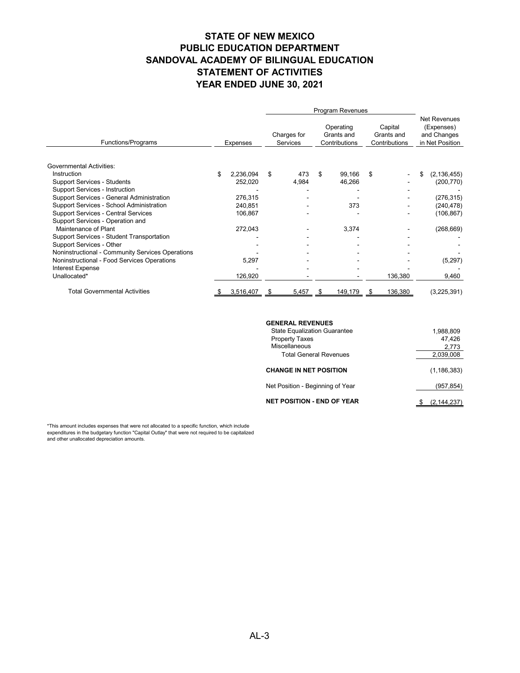# **STATE OF NEW MEXICO PUBLIC EDUCATION DEPARTMENT SANDOVAL ACADEMY OF BILINGUAL EDUCATION STATEMENT OF ACTIVITIES YEAR ENDED JUNE 30, 2021**

|                                                  |    |                 |    |                         |    |                                          | Program Revenues |                                        |    |                                                                     |  |
|--------------------------------------------------|----|-----------------|----|-------------------------|----|------------------------------------------|------------------|----------------------------------------|----|---------------------------------------------------------------------|--|
| Functions/Programs                               |    | <b>Expenses</b> |    | Charges for<br>Services |    | Operating<br>Grants and<br>Contributions |                  | Capital<br>Grants and<br>Contributions |    | <b>Net Revenues</b><br>(Expenses)<br>and Changes<br>in Net Position |  |
| <b>Governmental Activities:</b>                  |    |                 |    |                         |    |                                          |                  |                                        |    |                                                                     |  |
| Instruction                                      | \$ | 2,236,094       | \$ | 473                     | \$ | 99,166                                   | \$               |                                        | \$ | (2, 136, 455)                                                       |  |
| <b>Support Services - Students</b>               |    | 252,020         |    | 4,984                   |    | 46,266                                   |                  |                                        |    | (200, 770)                                                          |  |
| <b>Support Services - Instruction</b>            |    |                 |    |                         |    |                                          |                  |                                        |    |                                                                     |  |
| Support Services - General Administration        |    | 276,315         |    |                         |    |                                          |                  |                                        |    | (276, 315)                                                          |  |
| Support Services - School Administration         |    | 240,851         |    |                         |    | 373                                      |                  |                                        |    | (240, 478)                                                          |  |
| <b>Support Services - Central Services</b>       |    | 106,867         |    |                         |    |                                          |                  |                                        |    | (106, 867)                                                          |  |
| Support Services - Operation and                 |    |                 |    |                         |    |                                          |                  |                                        |    |                                                                     |  |
| Maintenance of Plant                             |    | 272,043         |    |                         |    | 3,374                                    |                  |                                        |    | (268, 669)                                                          |  |
| Support Services - Student Transportation        |    |                 |    |                         |    |                                          |                  |                                        |    |                                                                     |  |
| Support Services - Other                         |    |                 |    |                         |    |                                          |                  |                                        |    |                                                                     |  |
| Noninstructional - Community Services Operations |    |                 |    |                         |    |                                          |                  |                                        |    |                                                                     |  |
| Noninstructional - Food Services Operations      |    | 5,297           |    |                         |    |                                          |                  |                                        |    | (5,297)                                                             |  |
| <b>Interest Expense</b>                          |    |                 |    |                         |    |                                          |                  |                                        |    |                                                                     |  |
| Unallocated*                                     |    | 126,920         |    |                         |    |                                          |                  | 136,380                                |    | 9,460                                                               |  |
| <b>Total Governmental Activities</b>             |    | 3,516,407       | S  | 5,457                   |    | 149,179                                  |                  | 136,380                                |    | (3,225,391)                                                         |  |

### **GENERAL REVENUES**

| <b>State Equalization Guarantee</b> | 1,988,809     |
|-------------------------------------|---------------|
| <b>Property Taxes</b>               | 47,426        |
| Miscellaneous                       | 2,773         |
| <b>Total General Revenues</b>       | 2,039,008     |
| <b>CHANGE IN NET POSITION</b>       | (1, 186, 383) |
| Net Position - Beginning of Year    | (957,854)     |
| <b>NET POSITION - END OF YEAR</b>   | (2, 144, 237) |

\*This amount includes expenses that were not allocated to a specific function, which include expenditures in the budgetary function "Capital Outlay" that were not required to be capitalized and other unallocated depreciation amounts.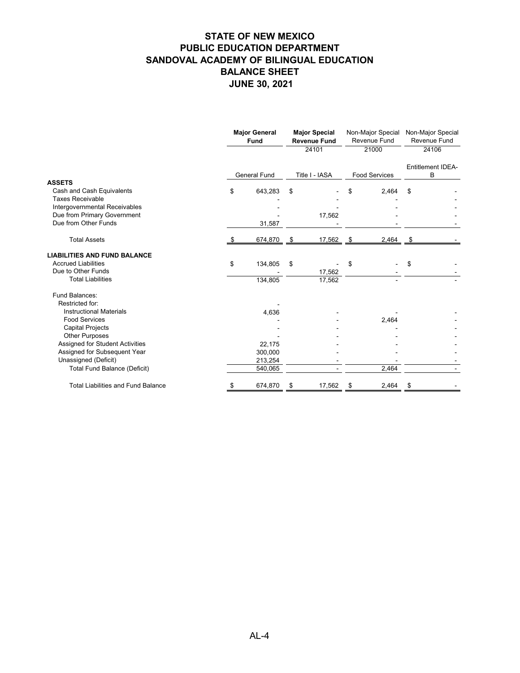|                                                      | <b>Major General</b><br><b>Fund</b> |                     | <b>Major Special</b><br><b>Revenue Fund</b> |                | Non-Major Special<br>Revenue Fund |                      | Non-Major Special<br>Revenue Fund |  |
|------------------------------------------------------|-------------------------------------|---------------------|---------------------------------------------|----------------|-----------------------------------|----------------------|-----------------------------------|--|
|                                                      |                                     |                     |                                             | 24101          |                                   | 21000                | 24106                             |  |
|                                                      |                                     | <b>General Fund</b> |                                             | Title I - IASA |                                   | <b>Food Services</b> | Entitlement IDEA-<br>B            |  |
| <b>ASSETS</b>                                        |                                     |                     |                                             |                |                                   |                      |                                   |  |
| Cash and Cash Equivalents<br><b>Taxes Receivable</b> | \$                                  | 643,283             | \$                                          |                |                                   | 2,464                | \$                                |  |
| Intergovernmental Receivables                        |                                     |                     |                                             |                |                                   |                      |                                   |  |
| Due from Primary Government                          |                                     |                     |                                             | 17,562         |                                   |                      |                                   |  |
| Due from Other Funds                                 |                                     | 31,587              |                                             |                |                                   |                      |                                   |  |
| <b>Total Assets</b>                                  |                                     | 674,870             |                                             | 17,562         | - 5                               | 2,464                |                                   |  |
| <b>LIABILITIES AND FUND BALANCE</b>                  |                                     |                     |                                             |                |                                   |                      |                                   |  |
| <b>Accrued Liabilities</b>                           | \$                                  | 134,805             | \$                                          |                | \$                                |                      | \$                                |  |
| Due to Other Funds                                   |                                     |                     |                                             | 17,562         |                                   |                      |                                   |  |
| <b>Total Liabilities</b>                             |                                     | 134,805             |                                             | 17,562         |                                   |                      |                                   |  |
| Fund Balances:                                       |                                     |                     |                                             |                |                                   |                      |                                   |  |
| Restricted for:                                      |                                     |                     |                                             |                |                                   |                      |                                   |  |
| <b>Instructional Materials</b>                       |                                     | 4,636               |                                             |                |                                   |                      |                                   |  |
| <b>Food Services</b>                                 |                                     |                     |                                             |                |                                   | 2,464                |                                   |  |
| <b>Capital Projects</b><br><b>Other Purposes</b>     |                                     |                     |                                             |                |                                   |                      |                                   |  |
| Assigned for Student Activities                      |                                     | 22,175              |                                             |                |                                   |                      |                                   |  |
| Assigned for Subsequent Year                         |                                     | 300,000             |                                             |                |                                   |                      |                                   |  |
| Unassigned (Deficit)                                 |                                     | 213,254             |                                             |                |                                   |                      |                                   |  |
| <b>Total Fund Balance (Deficit)</b>                  |                                     | 540,065             |                                             |                |                                   | 2,464                |                                   |  |
| <b>Total Liabilities and Fund Balance</b>            | \$                                  | 674,870             | \$                                          | 17,562         | \$                                | 2,464                | \$                                |  |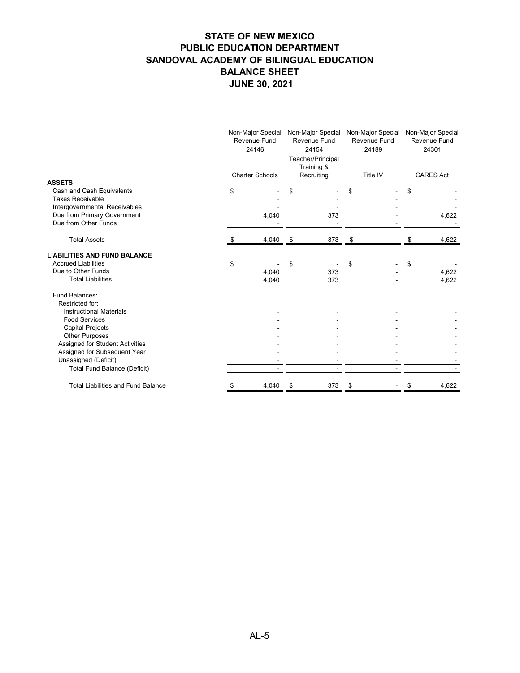|                                                                                       | Non-Major Special<br>Revenue Fund<br>24146 |                        | Non-Major Special<br>Revenue Fund<br>24154<br>Teacher/Principal<br>Training & |                  | Non-Major Special<br>Revenue Fund<br>24189 |          | Non-Major Special<br>Revenue Fund<br>24301 |                  |
|---------------------------------------------------------------------------------------|--------------------------------------------|------------------------|-------------------------------------------------------------------------------|------------------|--------------------------------------------|----------|--------------------------------------------|------------------|
|                                                                                       |                                            |                        |                                                                               |                  |                                            |          |                                            |                  |
| <b>ASSETS</b>                                                                         |                                            | <b>Charter Schools</b> |                                                                               | Recruiting       |                                            | Title IV |                                            | <b>CARES Act</b> |
| Cash and Cash Equivalents<br><b>Taxes Receivable</b><br>Intergovernmental Receivables | \$                                         |                        | \$                                                                            |                  |                                            |          | \$                                         |                  |
| Due from Primary Government<br>Due from Other Funds                                   |                                            | 4,040                  |                                                                               | 373              |                                            |          |                                            | 4,622            |
| <b>Total Assets</b>                                                                   |                                            | 4,040                  | - \$                                                                          | 373              | - \$                                       |          |                                            | 4,622            |
| <b>LIABILITIES AND FUND BALANCE</b>                                                   |                                            |                        |                                                                               |                  |                                            |          |                                            |                  |
| <b>Accrued Liabilities</b>                                                            | \$                                         |                        | \$                                                                            |                  | \$                                         |          | \$                                         |                  |
| Due to Other Funds                                                                    |                                            | 4,040                  |                                                                               | 373              |                                            |          |                                            | 4,622            |
| <b>Total Liabilities</b>                                                              |                                            | 4,040                  |                                                                               | $\overline{373}$ |                                            |          |                                            | 4,622            |
| Fund Balances:<br>Restricted for:                                                     |                                            |                        |                                                                               |                  |                                            |          |                                            |                  |
| <b>Instructional Materials</b>                                                        |                                            |                        |                                                                               |                  |                                            |          |                                            |                  |
| <b>Food Services</b>                                                                  |                                            |                        |                                                                               |                  |                                            |          |                                            |                  |
| <b>Capital Projects</b>                                                               |                                            |                        |                                                                               |                  |                                            |          |                                            |                  |
| <b>Other Purposes</b>                                                                 |                                            |                        |                                                                               |                  |                                            |          |                                            |                  |
| Assigned for Student Activities                                                       |                                            |                        |                                                                               |                  |                                            |          |                                            |                  |
| Assigned for Subsequent Year<br>Unassigned (Deficit)                                  |                                            |                        |                                                                               |                  |                                            |          |                                            |                  |
| <b>Total Fund Balance (Deficit)</b>                                                   |                                            |                        |                                                                               |                  |                                            |          |                                            |                  |
|                                                                                       |                                            |                        |                                                                               |                  |                                            |          |                                            |                  |
| <b>Total Liabilities and Fund Balance</b>                                             |                                            | 4,040                  | S                                                                             | 373              |                                            |          |                                            | 4,622            |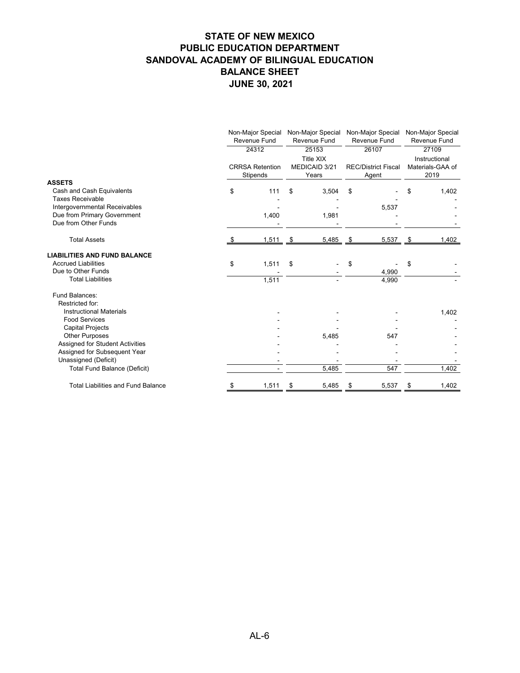|                                           | Non-Major Special Non-Major Special Non-Major Special<br>Revenue Fund<br><b>Revenue Fund</b><br>24312<br>25153 |                                    |                                            | Revenue Fund<br>26107 |               | Non-Major Special<br>Revenue Fund<br>27109 |    |       |  |  |  |  |  |  |  |  |                                     |  |  |                                           |
|-------------------------------------------|----------------------------------------------------------------------------------------------------------------|------------------------------------|--------------------------------------------|-----------------------|---------------|--------------------------------------------|----|-------|--|--|--|--|--|--|--|--|-------------------------------------|--|--|-------------------------------------------|
|                                           |                                                                                                                | <b>CRRSA Retention</b><br>Stipends | <b>Title XIX</b><br>MEDICAID 3/21<br>Years |                       |               |                                            |    |       |  |  |  |  |  |  |  |  | <b>REC/District Fiscal</b><br>Agent |  |  | Instructional<br>Materials-GAA of<br>2019 |
| <b>ASSETS</b>                             |                                                                                                                |                                    |                                            |                       |               |                                            |    |       |  |  |  |  |  |  |  |  |                                     |  |  |                                           |
| Cash and Cash Equivalents                 | \$                                                                                                             | 111                                | \$                                         | 3,504                 | \$            |                                            | S  | 1,402 |  |  |  |  |  |  |  |  |                                     |  |  |                                           |
| <b>Taxes Receivable</b>                   |                                                                                                                |                                    |                                            |                       |               |                                            |    |       |  |  |  |  |  |  |  |  |                                     |  |  |                                           |
| Intergovernmental Receivables             |                                                                                                                |                                    |                                            |                       |               | 5,537                                      |    |       |  |  |  |  |  |  |  |  |                                     |  |  |                                           |
| Due from Primary Government               |                                                                                                                | 1,400                              |                                            | 1,981                 |               |                                            |    |       |  |  |  |  |  |  |  |  |                                     |  |  |                                           |
| Due from Other Funds                      |                                                                                                                |                                    |                                            |                       |               |                                            |    |       |  |  |  |  |  |  |  |  |                                     |  |  |                                           |
| <b>Total Assets</b>                       |                                                                                                                | $1,511$ \$                         |                                            | 5,485                 | $\frac{1}{2}$ | $5,537$ \$                                 |    | 1,402 |  |  |  |  |  |  |  |  |                                     |  |  |                                           |
| <b>LIABILITIES AND FUND BALANCE</b>       |                                                                                                                |                                    |                                            |                       |               |                                            |    |       |  |  |  |  |  |  |  |  |                                     |  |  |                                           |
| <b>Accrued Liabilities</b>                | \$                                                                                                             | 1,511                              | \$                                         |                       | \$            |                                            | \$ |       |  |  |  |  |  |  |  |  |                                     |  |  |                                           |
| Due to Other Funds                        |                                                                                                                |                                    |                                            |                       |               | 4,990                                      |    |       |  |  |  |  |  |  |  |  |                                     |  |  |                                           |
| <b>Total Liabilities</b>                  |                                                                                                                | 1,511                              |                                            |                       |               | 4,990                                      |    |       |  |  |  |  |  |  |  |  |                                     |  |  |                                           |
| Fund Balances:                            |                                                                                                                |                                    |                                            |                       |               |                                            |    |       |  |  |  |  |  |  |  |  |                                     |  |  |                                           |
| Restricted for:                           |                                                                                                                |                                    |                                            |                       |               |                                            |    |       |  |  |  |  |  |  |  |  |                                     |  |  |                                           |
| <b>Instructional Materials</b>            |                                                                                                                |                                    |                                            |                       |               |                                            |    | 1,402 |  |  |  |  |  |  |  |  |                                     |  |  |                                           |
| <b>Food Services</b>                      |                                                                                                                |                                    |                                            |                       |               |                                            |    |       |  |  |  |  |  |  |  |  |                                     |  |  |                                           |
| <b>Capital Projects</b>                   |                                                                                                                |                                    |                                            |                       |               |                                            |    |       |  |  |  |  |  |  |  |  |                                     |  |  |                                           |
| <b>Other Purposes</b>                     |                                                                                                                |                                    |                                            | 5,485                 |               | 547                                        |    |       |  |  |  |  |  |  |  |  |                                     |  |  |                                           |
| Assigned for Student Activities           |                                                                                                                |                                    |                                            |                       |               |                                            |    |       |  |  |  |  |  |  |  |  |                                     |  |  |                                           |
| Assigned for Subsequent Year              |                                                                                                                |                                    |                                            |                       |               |                                            |    |       |  |  |  |  |  |  |  |  |                                     |  |  |                                           |
| Unassigned (Deficit)                      |                                                                                                                |                                    |                                            |                       |               |                                            |    |       |  |  |  |  |  |  |  |  |                                     |  |  |                                           |
| <b>Total Fund Balance (Deficit)</b>       |                                                                                                                |                                    |                                            | 5,485                 |               | 547                                        |    | 1,402 |  |  |  |  |  |  |  |  |                                     |  |  |                                           |
| <b>Total Liabilities and Fund Balance</b> |                                                                                                                | 1,511                              | \$                                         | 5,485                 |               | 5,537                                      | \$ | 1,402 |  |  |  |  |  |  |  |  |                                     |  |  |                                           |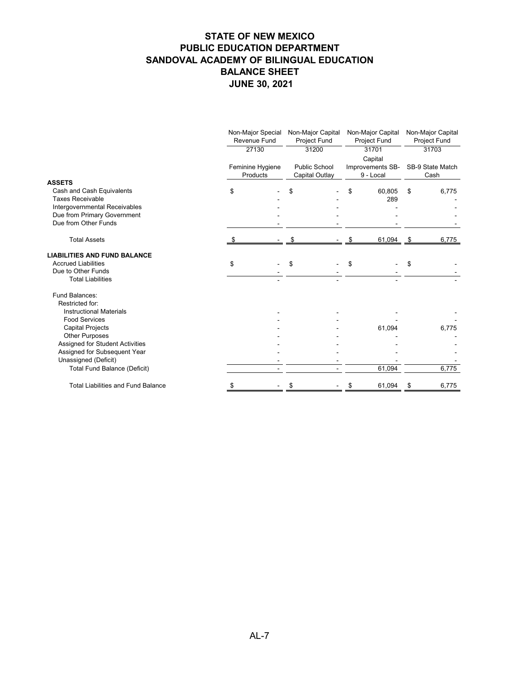|                                                     | Non-Major Special<br>Revenue Fund<br>27130<br>Feminine Hygiene<br>Products |  | Non-Major Capital<br>Project Fund<br>31200<br><b>Public School</b><br><b>Capital Outlay</b> |  | Non-Major Capital<br><b>Project Fund</b><br>31701<br>Capital<br>Improvements SB-<br>9 - Local |        | Non-Major Capital<br>Project Fund<br>31703 |       |
|-----------------------------------------------------|----------------------------------------------------------------------------|--|---------------------------------------------------------------------------------------------|--|-----------------------------------------------------------------------------------------------|--------|--------------------------------------------|-------|
|                                                     |                                                                            |  |                                                                                             |  |                                                                                               |        |                                            |       |
|                                                     |                                                                            |  |                                                                                             |  |                                                                                               |        | SB-9 State Match<br>Cash                   |       |
| <b>ASSETS</b>                                       |                                                                            |  |                                                                                             |  |                                                                                               |        |                                            |       |
| Cash and Cash Equivalents                           | \$                                                                         |  | S                                                                                           |  | S                                                                                             | 60,805 | \$                                         | 6,775 |
| <b>Taxes Receivable</b>                             |                                                                            |  |                                                                                             |  |                                                                                               | 289    |                                            |       |
| Intergovernmental Receivables                       |                                                                            |  |                                                                                             |  |                                                                                               |        |                                            |       |
| Due from Primary Government<br>Due from Other Funds |                                                                            |  |                                                                                             |  |                                                                                               |        |                                            |       |
|                                                     |                                                                            |  |                                                                                             |  |                                                                                               |        |                                            |       |
| <b>Total Assets</b>                                 |                                                                            |  |                                                                                             |  |                                                                                               | 61,094 | $\frac{3}{2}$                              | 6,775 |
| <b>LIABILITIES AND FUND BALANCE</b>                 |                                                                            |  |                                                                                             |  |                                                                                               |        |                                            |       |
| <b>Accrued Liabilities</b>                          | \$                                                                         |  | \$                                                                                          |  | \$                                                                                            |        | \$                                         |       |
| Due to Other Funds                                  |                                                                            |  |                                                                                             |  |                                                                                               |        |                                            |       |
| <b>Total Liabilities</b>                            |                                                                            |  |                                                                                             |  |                                                                                               |        |                                            |       |
| Fund Balances:                                      |                                                                            |  |                                                                                             |  |                                                                                               |        |                                            |       |
| Restricted for:                                     |                                                                            |  |                                                                                             |  |                                                                                               |        |                                            |       |
| <b>Instructional Materials</b>                      |                                                                            |  |                                                                                             |  |                                                                                               |        |                                            |       |
| <b>Food Services</b>                                |                                                                            |  |                                                                                             |  |                                                                                               |        |                                            |       |
| <b>Capital Projects</b>                             |                                                                            |  |                                                                                             |  |                                                                                               | 61,094 |                                            | 6,775 |
| <b>Other Purposes</b>                               |                                                                            |  |                                                                                             |  |                                                                                               |        |                                            |       |
| <b>Assigned for Student Activities</b>              |                                                                            |  |                                                                                             |  |                                                                                               |        |                                            |       |
| Assigned for Subsequent Year                        |                                                                            |  |                                                                                             |  |                                                                                               |        |                                            |       |
| Unassigned (Deficit)                                |                                                                            |  |                                                                                             |  |                                                                                               |        |                                            |       |
| <b>Total Fund Balance (Deficit)</b>                 |                                                                            |  |                                                                                             |  |                                                                                               | 61,094 |                                            | 6,775 |
| <b>Total Liabilities and Fund Balance</b>           |                                                                            |  | \$                                                                                          |  |                                                                                               | 61,094 | \$                                         | 6,775 |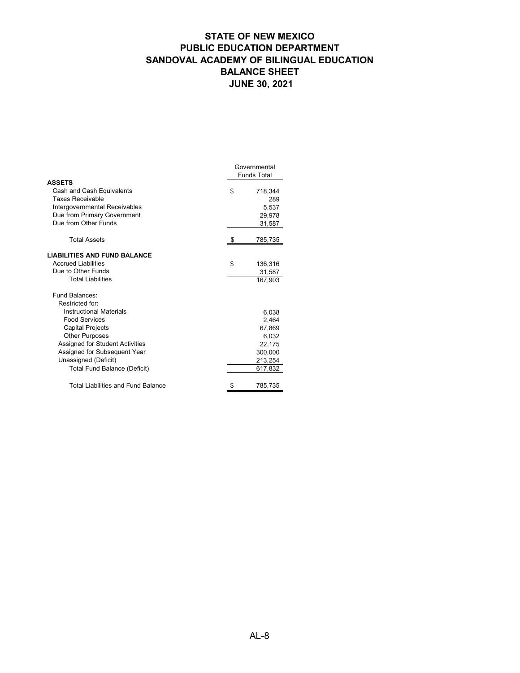|                                     | Governmental<br><b>Funds Total</b> |
|-------------------------------------|------------------------------------|
| <b>ASSETS</b>                       |                                    |
| Cash and Cash Equivalents           | \$<br>718,344                      |
| <b>Taxes Receivable</b>             | 289                                |
| Intergovernmental Receivables       | 5,537                              |
| Due from Primary Government         | 29,978                             |
| Due from Other Funds                | 31,587                             |
| <b>Total Assets</b>                 | 785,735                            |
| <b>LIABILITIES AND FUND BALANCE</b> |                                    |
| <b>Accrued Liabilities</b>          | \$<br>136,316                      |
| Due to Other Funds                  | 31,587                             |
| <b>Total Liabilities</b>            | 167,903                            |
| Fund Balances:                      |                                    |
| Restricted for:                     |                                    |
| <b>Instructional Materials</b>      | 6,038                              |
| <b>Food Services</b>                | 2,464                              |
| <b>Capital Projects</b>             | 67,869                             |
| <b>Other Purposes</b>               | 6,032                              |
| Assigned for Student Activities     | 22,175                             |
| Assigned for Subsequent Year        | 300,000                            |
| Unassigned (Deficit)                | 213,254                            |
| <b>Total Fund Balance (Deficit)</b> | 617,832                            |
| Total Liabilities and Fund Balance  | \$<br>785,735                      |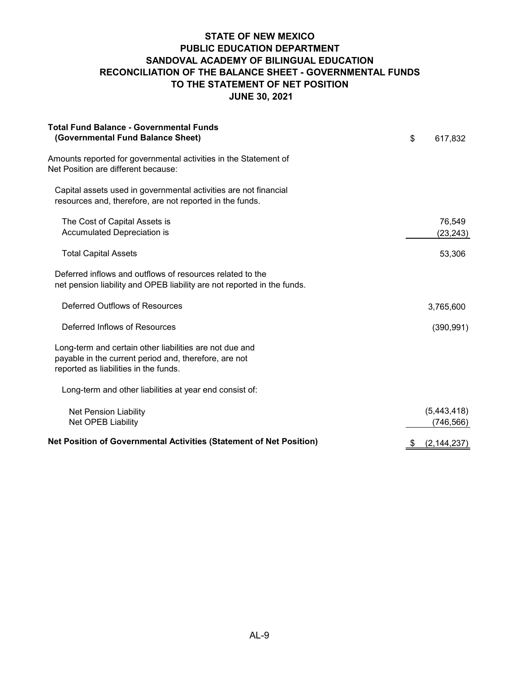### **STATE OF NEW MEXICO PUBLIC EDUCATION DEPARTMENT SANDOVAL ACADEMY OF BILINGUAL EDUCATION RECONCILIATION OF THE BALANCE SHEET - GOVERNMENTAL FUNDS TO THE STATEMENT OF NET POSITION JUNE 30, 2021**

| <b>Total Fund Balance - Governmental Funds</b><br>(Governmental Fund Balance Sheet)                                                                       | \$ | 617,832                   |
|-----------------------------------------------------------------------------------------------------------------------------------------------------------|----|---------------------------|
| Amounts reported for governmental activities in the Statement of<br>Net Position are different because:                                                   |    |                           |
| Capital assets used in governmental activities are not financial<br>resources and, therefore, are not reported in the funds.                              |    |                           |
| The Cost of Capital Assets is<br>Accumulated Depreciation is                                                                                              |    | 76,549<br>(23, 243)       |
| <b>Total Capital Assets</b>                                                                                                                               |    | 53,306                    |
| Deferred inflows and outflows of resources related to the<br>net pension liability and OPEB liability are not reported in the funds.                      |    |                           |
| Deferred Outflows of Resources                                                                                                                            |    | 3,765,600                 |
| Deferred Inflows of Resources                                                                                                                             |    | (390, 991)                |
| Long-term and certain other liabilities are not due and<br>payable in the current period and, therefore, are not<br>reported as liabilities in the funds. |    |                           |
| Long-term and other liabilities at year end consist of:                                                                                                   |    |                           |
| <b>Net Pension Liability</b><br>Net OPEB Liability                                                                                                        |    | (5,443,418)<br>(746, 566) |
| Net Position of Governmental Activities (Statement of Net Position)                                                                                       | S. | (2, 144, 237)             |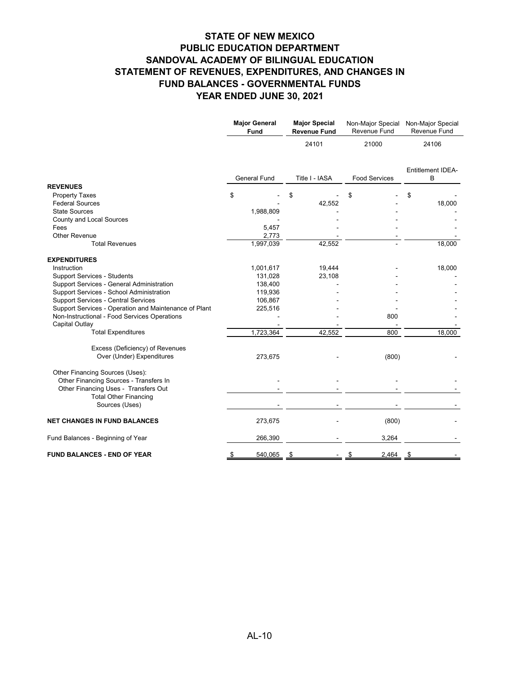|                                                                                                                   | <b>Major General</b><br><b>Fund</b> | <b>Major Special</b><br><b>Revenue Fund</b> |                      | Revenue Fund           |  | Non-Major Special Non-Major Special<br>Revenue Fund |
|-------------------------------------------------------------------------------------------------------------------|-------------------------------------|---------------------------------------------|----------------------|------------------------|--|-----------------------------------------------------|
|                                                                                                                   |                                     | 24101                                       | 21000                | 24106                  |  |                                                     |
|                                                                                                                   | <b>General Fund</b>                 | Title I - IASA                              | <b>Food Services</b> | Entitlement IDEA-<br>B |  |                                                     |
| <b>REVENUES</b>                                                                                                   |                                     |                                             |                      |                        |  |                                                     |
| <b>Property Taxes</b>                                                                                             | \$                                  | \$                                          |                      | \$                     |  |                                                     |
| <b>Federal Sources</b><br><b>State Sources</b>                                                                    |                                     | 42,552                                      |                      | 18,000                 |  |                                                     |
| <b>County and Local Sources</b>                                                                                   | 1,988,809                           |                                             |                      |                        |  |                                                     |
| Fees                                                                                                              | 5,457                               |                                             |                      |                        |  |                                                     |
| <b>Other Revenue</b>                                                                                              | 2,773                               |                                             |                      |                        |  |                                                     |
| <b>Total Revenues</b>                                                                                             | 1,997,039                           | 42,552                                      |                      | 18,000                 |  |                                                     |
| <b>EXPENDITURES</b>                                                                                               |                                     |                                             |                      |                        |  |                                                     |
| Instruction                                                                                                       | 1,001,617                           | 19,444                                      |                      | 18,000                 |  |                                                     |
| <b>Support Services - Students</b>                                                                                | 131,028                             | 23,108                                      |                      |                        |  |                                                     |
| Support Services - General Administration                                                                         | 138,400                             |                                             |                      |                        |  |                                                     |
| Support Services - School Administration                                                                          | 119,936                             |                                             |                      |                        |  |                                                     |
| <b>Support Services - Central Services</b>                                                                        | 106,867                             |                                             |                      |                        |  |                                                     |
| Support Services - Operation and Maintenance of Plant                                                             | 225,516                             |                                             |                      |                        |  |                                                     |
| Non-Instructional - Food Services Operations                                                                      |                                     |                                             | 800                  |                        |  |                                                     |
| <b>Capital Outlay</b>                                                                                             |                                     |                                             |                      |                        |  |                                                     |
| <b>Total Expenditures</b>                                                                                         | 1,723,364                           | 42,552                                      | 800                  | 18,000                 |  |                                                     |
| Excess (Deficiency) of Revenues<br>Over (Under) Expenditures                                                      | 273,675                             |                                             | (800)                |                        |  |                                                     |
| Other Financing Sources (Uses):<br>Other Financing Sources - Transfers In<br>Other Financing Uses - Transfers Out |                                     |                                             |                      |                        |  |                                                     |
| <b>Total Other Financing</b><br>Sources (Uses)                                                                    |                                     |                                             |                      |                        |  |                                                     |
| <b>NET CHANGES IN FUND BALANCES</b>                                                                               | 273,675                             |                                             | (800)                |                        |  |                                                     |
| Fund Balances - Beginning of Year                                                                                 | 266,390                             |                                             | 3,264                |                        |  |                                                     |
| <b>FUND BALANCES - END OF YEAR</b>                                                                                | 540,065                             | - \$                                        | $2,464$ \$           |                        |  |                                                     |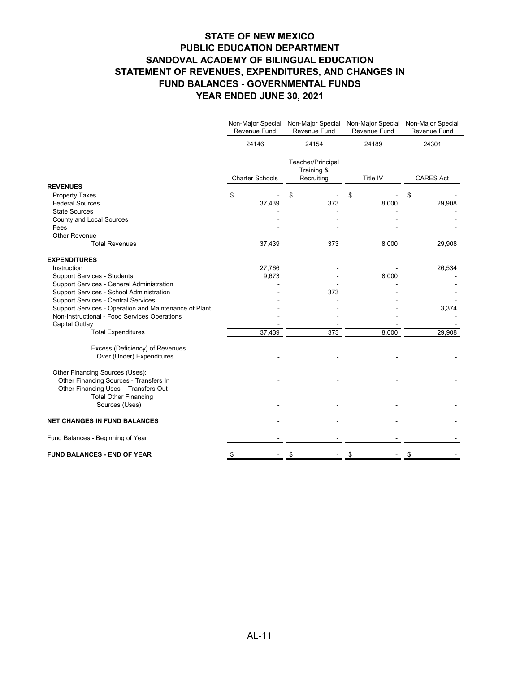|                                                              | Non-Major Special<br>Revenue Fund | Revenue Fund                                  | Non-Major Special Non-Major Special Non-Major Special<br>Revenue Fund | <b>Revenue Fund</b> |
|--------------------------------------------------------------|-----------------------------------|-----------------------------------------------|-----------------------------------------------------------------------|---------------------|
|                                                              | 24146                             | 24154                                         | 24189                                                                 | 24301               |
|                                                              | <b>Charter Schools</b>            | Teacher/Principal<br>Training &<br>Recruiting | Title IV                                                              | <b>CARES Act</b>    |
| <b>REVENUES</b>                                              |                                   |                                               |                                                                       |                     |
| <b>Property Taxes</b>                                        | \$                                | \$                                            |                                                                       | \$                  |
| <b>Federal Sources</b>                                       | 37,439                            | 373                                           | 8,000                                                                 | 29,908              |
| <b>State Sources</b>                                         |                                   |                                               |                                                                       |                     |
| <b>County and Local Sources</b>                              |                                   |                                               |                                                                       |                     |
| Fees                                                         |                                   |                                               |                                                                       |                     |
| <b>Other Revenue</b>                                         |                                   |                                               |                                                                       |                     |
| <b>Total Revenues</b>                                        | 37,439                            | 373                                           | 8,000                                                                 | 29,908              |
| <b>EXPENDITURES</b>                                          |                                   |                                               |                                                                       |                     |
| Instruction                                                  | 27,766                            |                                               |                                                                       | 26,534              |
| <b>Support Services - Students</b>                           | 9,673                             |                                               | 8,000                                                                 |                     |
| Support Services - General Administration                    |                                   |                                               |                                                                       |                     |
| Support Services - School Administration                     |                                   | 373                                           |                                                                       |                     |
| <b>Support Services - Central Services</b>                   |                                   |                                               |                                                                       |                     |
| Support Services - Operation and Maintenance of Plant        |                                   |                                               |                                                                       | 3,374               |
| Non-Instructional - Food Services Operations                 |                                   |                                               |                                                                       |                     |
| <b>Capital Outlay</b>                                        |                                   |                                               |                                                                       |                     |
| <b>Total Expenditures</b>                                    | 37,439                            | 373                                           | 8,000                                                                 | 29,908              |
| Excess (Deficiency) of Revenues<br>Over (Under) Expenditures |                                   |                                               |                                                                       |                     |
| Other Financing Sources (Uses):                              |                                   |                                               |                                                                       |                     |
| Other Financing Sources - Transfers In                       |                                   |                                               |                                                                       |                     |
| Other Financing Uses - Transfers Out                         |                                   |                                               |                                                                       |                     |
| <b>Total Other Financing</b><br>Sources (Uses)               |                                   |                                               |                                                                       |                     |
|                                                              |                                   |                                               |                                                                       |                     |
| <b>NET CHANGES IN FUND BALANCES</b>                          |                                   |                                               |                                                                       |                     |
| Fund Balances - Beginning of Year                            |                                   |                                               |                                                                       |                     |
| <b>FUND BALANCES - END OF YEAR</b>                           |                                   |                                               |                                                                       |                     |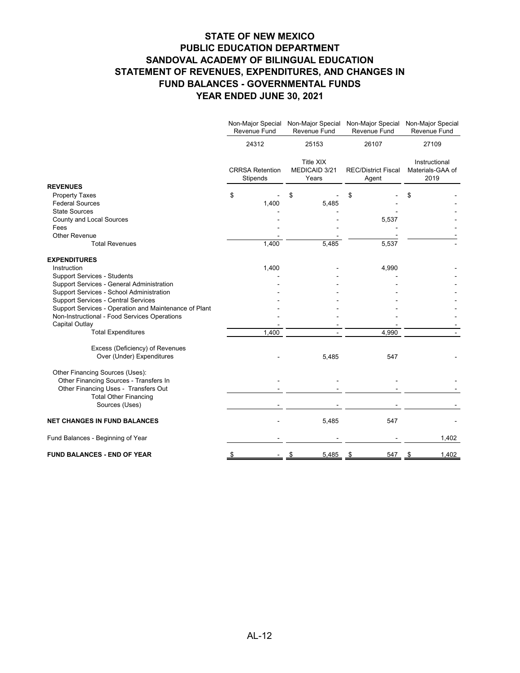|                                                       |                                    | Non-Major Special<br>Revenue Fund | Revenue Fund                               | Non-Major Special Non-Major Special Non-Major Special<br>Revenue Fund | <b>Revenue Fund</b>                       |       |
|-------------------------------------------------------|------------------------------------|-----------------------------------|--------------------------------------------|-----------------------------------------------------------------------|-------------------------------------------|-------|
|                                                       |                                    | 24312<br>25153                    |                                            | 26107                                                                 | 27109                                     |       |
|                                                       | <b>CRRSA Retention</b><br>Stipends |                                   | <b>Title XIX</b><br>MEDICAID 3/21<br>Years | <b>REC/District Fiscal</b><br>Agent                                   | Instructional<br>Materials-GAA of<br>2019 |       |
| <b>REVENUES</b>                                       |                                    |                                   |                                            |                                                                       |                                           |       |
| <b>Property Taxes</b>                                 | \$                                 |                                   | \$                                         |                                                                       | \$                                        |       |
| <b>Federal Sources</b>                                |                                    | 1,400                             | 5,485                                      |                                                                       |                                           |       |
| <b>State Sources</b>                                  |                                    |                                   |                                            |                                                                       |                                           |       |
| <b>County and Local Sources</b>                       |                                    |                                   |                                            | 5,537                                                                 |                                           |       |
| Fees                                                  |                                    |                                   |                                            |                                                                       |                                           |       |
| <b>Other Revenue</b>                                  |                                    |                                   |                                            |                                                                       |                                           |       |
| <b>Total Revenues</b>                                 |                                    | 1,400                             | 5,485                                      | 5,537                                                                 |                                           |       |
| <b>EXPENDITURES</b>                                   |                                    |                                   |                                            |                                                                       |                                           |       |
| Instruction                                           |                                    | 1,400                             |                                            | 4,990                                                                 |                                           |       |
| <b>Support Services - Students</b>                    |                                    |                                   |                                            |                                                                       |                                           |       |
| <b>Support Services - General Administration</b>      |                                    |                                   |                                            |                                                                       |                                           |       |
| Support Services - School Administration              |                                    |                                   |                                            |                                                                       |                                           |       |
| <b>Support Services - Central Services</b>            |                                    |                                   |                                            |                                                                       |                                           |       |
| Support Services - Operation and Maintenance of Plant |                                    |                                   |                                            |                                                                       |                                           |       |
| Non-Instructional - Food Services Operations          |                                    |                                   |                                            |                                                                       |                                           |       |
| <b>Capital Outlay</b>                                 |                                    |                                   |                                            |                                                                       |                                           |       |
| <b>Total Expenditures</b>                             |                                    | 1,400                             |                                            | 4,990                                                                 |                                           |       |
| Excess (Deficiency) of Revenues                       |                                    |                                   |                                            |                                                                       |                                           |       |
| Over (Under) Expenditures                             |                                    |                                   | 5,485                                      | 547                                                                   |                                           |       |
| Other Financing Sources (Uses):                       |                                    |                                   |                                            |                                                                       |                                           |       |
| Other Financing Sources - Transfers In                |                                    |                                   |                                            |                                                                       |                                           |       |
| Other Financing Uses - Transfers Out                  |                                    |                                   |                                            |                                                                       |                                           |       |
| <b>Total Other Financing</b>                          |                                    |                                   |                                            |                                                                       |                                           |       |
| Sources (Uses)                                        |                                    |                                   |                                            |                                                                       |                                           |       |
| <b>NET CHANGES IN FUND BALANCES</b>                   |                                    |                                   | 5,485                                      | 547                                                                   |                                           |       |
| Fund Balances - Beginning of Year                     |                                    |                                   |                                            |                                                                       |                                           | 1,402 |
| <b>FUND BALANCES - END OF YEAR</b>                    |                                    |                                   | $\frac{5,485}{8}$                          | 547                                                                   | - \$                                      | 1,402 |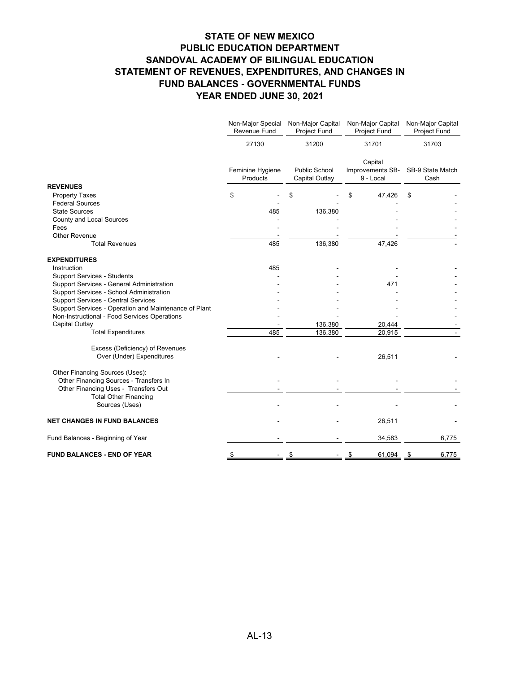|                                                       |    | Non-Major Special<br>Revenue Fund                                      | Non-Major Capital<br>Project Fund | Non-Major Capital<br><b>Project Fund</b>        |        |                  | Non-Major Capital<br>Project Fund |
|-------------------------------------------------------|----|------------------------------------------------------------------------|-----------------------------------|-------------------------------------------------|--------|------------------|-----------------------------------|
|                                                       |    | 27130<br>31200<br><b>Public School</b><br>Feminine Hygiene<br>Products |                                   | 31701<br>Capital<br>9 - Local<br>Capital Outlay |        |                  | 31703                             |
|                                                       |    |                                                                        |                                   |                                                 |        | Improvements SB- |                                   |
| <b>REVENUES</b>                                       |    |                                                                        |                                   |                                                 |        |                  |                                   |
| <b>Property Taxes</b>                                 | \$ |                                                                        |                                   |                                                 | 47,426 | \$               |                                   |
| <b>Federal Sources</b>                                |    |                                                                        |                                   |                                                 |        |                  |                                   |
| <b>State Sources</b>                                  |    | 485                                                                    | 136,380                           |                                                 |        |                  |                                   |
| <b>County and Local Sources</b>                       |    |                                                                        |                                   |                                                 |        |                  |                                   |
| Fees                                                  |    |                                                                        |                                   |                                                 |        |                  |                                   |
| <b>Other Revenue</b>                                  |    |                                                                        |                                   |                                                 |        |                  |                                   |
| <b>Total Revenues</b>                                 |    | 485                                                                    | 136,380                           |                                                 | 47,426 |                  |                                   |
| <b>EXPENDITURES</b>                                   |    |                                                                        |                                   |                                                 |        |                  |                                   |
| Instruction                                           |    | 485                                                                    |                                   |                                                 |        |                  |                                   |
| <b>Support Services - Students</b>                    |    |                                                                        |                                   |                                                 |        |                  |                                   |
| Support Services - General Administration             |    |                                                                        |                                   | 471                                             |        |                  |                                   |
| Support Services - School Administration              |    |                                                                        |                                   |                                                 |        |                  |                                   |
| <b>Support Services - Central Services</b>            |    |                                                                        |                                   |                                                 |        |                  |                                   |
| Support Services - Operation and Maintenance of Plant |    |                                                                        |                                   |                                                 |        |                  |                                   |
| Non-Instructional - Food Services Operations          |    |                                                                        |                                   |                                                 |        |                  |                                   |
| <b>Capital Outlay</b>                                 |    |                                                                        | 136,380                           |                                                 | 20,444 |                  |                                   |
| <b>Total Expenditures</b>                             |    | 485                                                                    | 136,380                           |                                                 | 20,915 |                  |                                   |
| Excess (Deficiency) of Revenues                       |    |                                                                        |                                   |                                                 |        |                  |                                   |
| Over (Under) Expenditures                             |    |                                                                        |                                   |                                                 | 26,511 |                  |                                   |
| Other Financing Sources (Uses):                       |    |                                                                        |                                   |                                                 |        |                  |                                   |
| Other Financing Sources - Transfers In                |    |                                                                        |                                   |                                                 |        |                  |                                   |
| Other Financing Uses - Transfers Out                  |    |                                                                        |                                   |                                                 |        |                  |                                   |
| <b>Total Other Financing</b>                          |    |                                                                        |                                   |                                                 |        |                  |                                   |
| Sources (Uses)                                        |    |                                                                        |                                   |                                                 |        |                  |                                   |
| <b>NET CHANGES IN FUND BALANCES</b>                   |    |                                                                        |                                   |                                                 | 26,511 |                  |                                   |
| Fund Balances - Beginning of Year                     |    |                                                                        |                                   | 34,583                                          |        | 6,775            |                                   |
| <b>FUND BALANCES - END OF YEAR</b>                    |    |                                                                        |                                   |                                                 | 61,094 | - \$             | 6,775                             |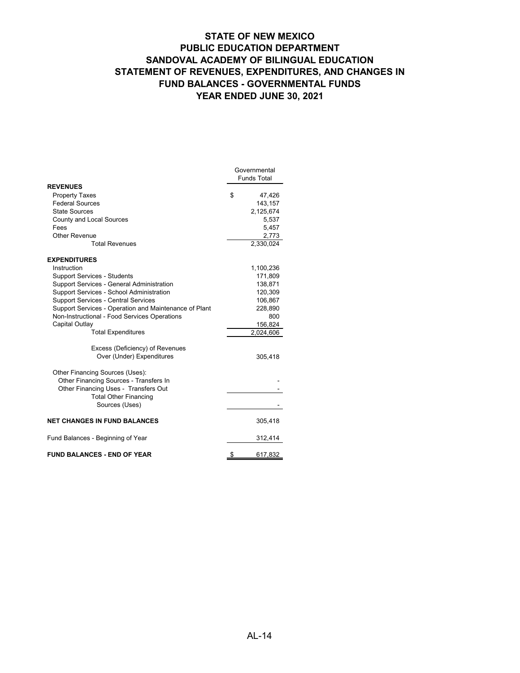|                                                       | Governmental       |
|-------------------------------------------------------|--------------------|
|                                                       | <b>Funds Total</b> |
| <b>REVENUES</b>                                       |                    |
| <b>Property Taxes</b>                                 | \$<br>47,426       |
| <b>Federal Sources</b>                                | 143,157            |
| <b>State Sources</b>                                  | 2,125,674          |
| <b>County and Local Sources</b>                       | 5,537              |
| Fees                                                  | 5,457              |
| <b>Other Revenue</b>                                  | 2,773              |
| <b>Total Revenues</b>                                 | 2,330,024          |
| <b>EXPENDITURES</b>                                   |                    |
| Instruction                                           | 1,100,236          |
| <b>Support Services - Students</b>                    | 171,809            |
| <b>Support Services - General Administration</b>      | 138,871            |
| Support Services - School Administration              | 120,309            |
| <b>Support Services - Central Services</b>            | 106,867            |
| Support Services - Operation and Maintenance of Plant | 228,890            |
| Non-Instructional - Food Services Operations          | 800                |
| <b>Capital Outlay</b>                                 | 156,824            |
| <b>Total Expenditures</b>                             | 2,024,606          |
| Excess (Deficiency) of Revenues                       |                    |
| Over (Under) Expenditures                             | 305,418            |
| Other Financing Sources (Uses):                       |                    |
| Other Financing Sources - Transfers In                |                    |
| Other Financing Uses - Transfers Out                  |                    |
| <b>Total Other Financing</b>                          |                    |
| Sources (Uses)                                        |                    |
| <b>NET CHANGES IN FUND BALANCES</b>                   | 305,418            |
| Fund Balances - Beginning of Year                     | 312,414            |
| <b>FUND BALANCES - END OF YEAR</b>                    | \$<br>617,832      |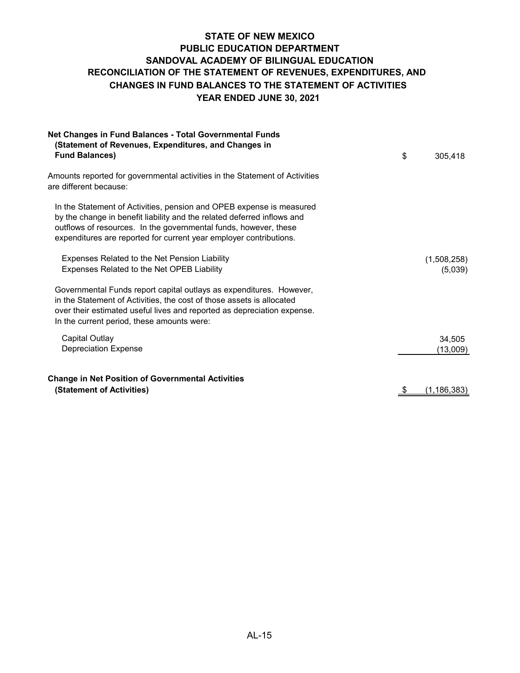## **STATE OF NEW MEXICO PUBLIC EDUCATION DEPARTMENT SANDOVAL ACADEMY OF BILINGUAL EDUCATION YEAR ENDED JUNE 30, 2021 CHANGES IN FUND BALANCES TO THE STATEMENT OF ACTIVITIES RECONCILIATION OF THE STATEMENT OF REVENUES, EXPENDITURES, AND**

| Net Changes in Fund Balances - Total Governmental Funds<br>(Statement of Revenues, Expenditures, and Changes in<br><b>Fund Balances)</b>                                                                                                                                                  | \$<br>305,418          |
|-------------------------------------------------------------------------------------------------------------------------------------------------------------------------------------------------------------------------------------------------------------------------------------------|------------------------|
| Amounts reported for governmental activities in the Statement of Activities<br>are different because:                                                                                                                                                                                     |                        |
| In the Statement of Activities, pension and OPEB expense is measured<br>by the change in benefit liability and the related deferred inflows and<br>outflows of resources. In the governmental funds, however, these<br>expenditures are reported for current year employer contributions. |                        |
| Expenses Related to the Net Pension Liability<br>Expenses Related to the Net OPEB Liability                                                                                                                                                                                               | (1,508,258)<br>(5,039) |
| Governmental Funds report capital outlays as expenditures. However,<br>in the Statement of Activities, the cost of those assets is allocated<br>over their estimated useful lives and reported as depreciation expense.<br>In the current period, these amounts were:                     |                        |
| <b>Capital Outlay</b><br><b>Depreciation Expense</b>                                                                                                                                                                                                                                      | 34,505<br>(13,009)     |
| <b>Change in Net Position of Governmental Activities</b><br>(Statement of Activities)                                                                                                                                                                                                     | \$<br>(1, 186, 383)    |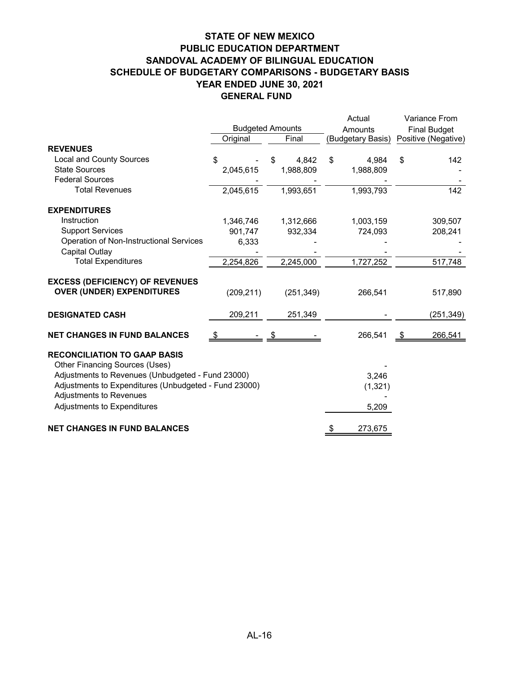### **STATE OF NEW MEXICO PUBLIC EDUCATION DEPARTMENT SANDOVAL ACADEMY OF BILINGUAL EDUCATION SCHEDULE OF BUDGETARY COMPARISONS - BUDGETARY BASIS YEAR ENDED JUNE 30, 2021 GENERAL FUND**

|                                                                                                                                                                                                                                               |            |                         | Actual                     | Variance From       |  |  |
|-----------------------------------------------------------------------------------------------------------------------------------------------------------------------------------------------------------------------------------------------|------------|-------------------------|----------------------------|---------------------|--|--|
|                                                                                                                                                                                                                                               |            | <b>Budgeted Amounts</b> | Amounts                    | <b>Final Budget</b> |  |  |
|                                                                                                                                                                                                                                               | Original   | Final                   | (Budgetary Basis)          | Positive (Negative) |  |  |
| <b>REVENUES</b>                                                                                                                                                                                                                               |            |                         |                            |                     |  |  |
| <b>Local and County Sources</b>                                                                                                                                                                                                               | \$         | 4,842<br>\$             | $\mathfrak{S}$<br>4,984    | \$<br>142           |  |  |
| <b>State Sources</b>                                                                                                                                                                                                                          | 2,045,615  | 1,988,809               | 1,988,809                  |                     |  |  |
| <b>Federal Sources</b>                                                                                                                                                                                                                        |            |                         |                            |                     |  |  |
| <b>Total Revenues</b>                                                                                                                                                                                                                         | 2,045,615  | 1,993,651               | 1,993,793                  | 142                 |  |  |
| <b>EXPENDITURES</b>                                                                                                                                                                                                                           |            |                         |                            |                     |  |  |
| Instruction                                                                                                                                                                                                                                   | 1,346,746  | 1,312,666               | 1,003,159                  | 309,507             |  |  |
| <b>Support Services</b>                                                                                                                                                                                                                       | 901,747    | 932,334                 | 724,093                    | 208,241             |  |  |
| Operation of Non-Instructional Services                                                                                                                                                                                                       | 6,333      |                         |                            |                     |  |  |
| <b>Capital Outlay</b>                                                                                                                                                                                                                         |            |                         |                            |                     |  |  |
| <b>Total Expenditures</b>                                                                                                                                                                                                                     | 2,254,826  | 2,245,000               | 1,727,252                  | 517,748             |  |  |
| <b>EXCESS (DEFICIENCY) OF REVENUES</b>                                                                                                                                                                                                        |            |                         |                            |                     |  |  |
| <b>OVER (UNDER) EXPENDITURES</b>                                                                                                                                                                                                              | (209, 211) | (251, 349)              | 266,541                    | 517,890             |  |  |
| <b>DESIGNATED CASH</b>                                                                                                                                                                                                                        | 209,211    | 251,349                 |                            | (251,349)           |  |  |
| <b>NET CHANGES IN FUND BALANCES</b>                                                                                                                                                                                                           | \$         |                         | 266,541                    | 266,541<br>- \$     |  |  |
| <b>RECONCILIATION TO GAAP BASIS</b><br>Other Financing Sources (Uses)<br>Adjustments to Revenues (Unbudgeted - Fund 23000)<br>Adjustments to Expenditures (Unbudgeted - Fund 23000)<br>Adjustments to Revenues<br>Adjustments to Expenditures |            |                         | 3,246<br>(1, 321)<br>5,209 |                     |  |  |
| <b>NET CHANGES IN FUND BALANCES</b>                                                                                                                                                                                                           |            |                         | 273,675<br>\$              |                     |  |  |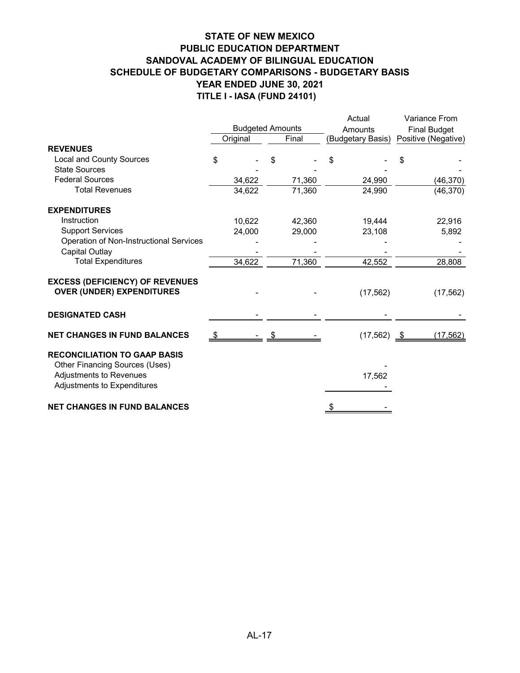### **STATE OF NEW MEXICO PUBLIC EDUCATION DEPARTMENT SANDOVAL ACADEMY OF BILINGUAL EDUCATION SCHEDULE OF BUDGETARY COMPARISONS - BUDGETARY BASIS YEAR ENDED JUNE 30, 2021 TITLE I - IASA (FUND 24101)**

|                                                                                                                                 |     |                         |        | Actual            |                      |                     | Variance From       |  |
|---------------------------------------------------------------------------------------------------------------------------------|-----|-------------------------|--------|-------------------|----------------------|---------------------|---------------------|--|
|                                                                                                                                 |     | <b>Budgeted Amounts</b> |        | Amounts           |                      | <b>Final Budget</b> |                     |  |
|                                                                                                                                 |     | Original                | Final  | (Budgetary Basis) |                      |                     | Positive (Negative) |  |
| <b>REVENUES</b>                                                                                                                 |     |                         |        |                   |                      |                     |                     |  |
| Local and County Sources                                                                                                        | \$  |                         |        | \$                |                      |                     |                     |  |
| <b>State Sources</b>                                                                                                            |     |                         |        |                   |                      |                     |                     |  |
| <b>Federal Sources</b>                                                                                                          |     | 34,622                  | 71,360 |                   | 24,990               |                     | (46, 370)           |  |
| <b>Total Revenues</b>                                                                                                           |     | 34,622                  | 71,360 |                   | 24,990               |                     | (46, 370)           |  |
| <b>EXPENDITURES</b>                                                                                                             |     |                         |        |                   |                      |                     |                     |  |
| Instruction                                                                                                                     |     | 10,622                  | 42,360 |                   | 19,444               |                     | 22,916              |  |
| <b>Support Services</b>                                                                                                         |     | 24,000                  | 29,000 |                   | 23,108               |                     | 5,892               |  |
| Operation of Non-Instructional Services                                                                                         |     |                         |        |                   |                      |                     |                     |  |
| Capital Outlay                                                                                                                  |     |                         |        |                   |                      |                     |                     |  |
| <b>Total Expenditures</b>                                                                                                       |     | 34,622                  | 71,360 |                   | 42,552               |                     | 28,808              |  |
| <b>EXCESS (DEFICIENCY) OF REVENUES</b><br><b>OVER (UNDER) EXPENDITURES</b>                                                      |     |                         |        |                   | (17, 562)            |                     | (17, 562)           |  |
| <b>DESIGNATED CASH</b>                                                                                                          |     |                         |        |                   |                      |                     |                     |  |
| <b>NET CHANGES IN FUND BALANCES</b>                                                                                             | -\$ |                         |        |                   | $(17,562)$ <u>\$</u> |                     | (17, 562)           |  |
| <b>RECONCILIATION TO GAAP BASIS</b><br>Other Financing Sources (Uses)<br>Adjustments to Revenues<br>Adjustments to Expenditures |     |                         |        |                   | 17,562               |                     |                     |  |
| <b>NET CHANGES IN FUND BALANCES</b>                                                                                             |     |                         |        |                   |                      |                     |                     |  |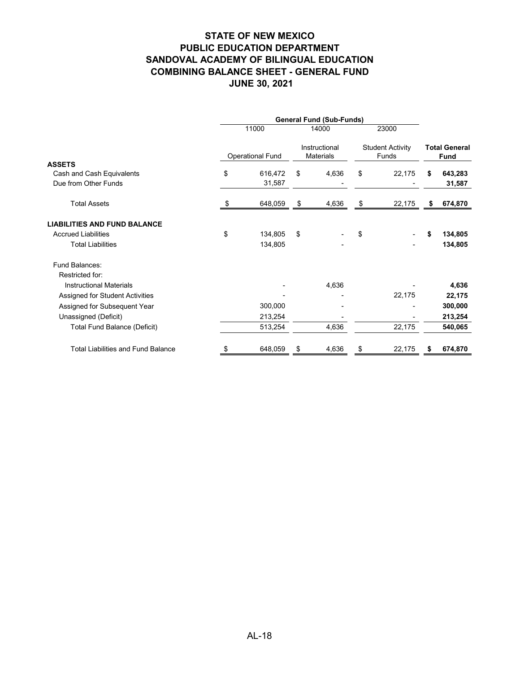## **STATE OF NEW MEXICO PUBLIC EDUCATION DEPARTMENT SANDOVAL ACADEMY OF BILINGUAL EDUCATION COMBINING BALANCE SHEET - GENERAL FUND JUNE 30, 2021**

|                                           |                         | <b>General Fund (Sub-Funds)</b> |                                   |       |                                  |        |    |                                     |  |
|-------------------------------------------|-------------------------|---------------------------------|-----------------------------------|-------|----------------------------------|--------|----|-------------------------------------|--|
|                                           |                         | 11000                           | 14000                             |       | 23000                            |        |    |                                     |  |
|                                           | <b>Operational Fund</b> |                                 | Instructional<br><b>Materials</b> |       | <b>Student Activity</b><br>Funds |        |    | <b>Total General</b><br><b>Fund</b> |  |
| <b>ASSETS</b>                             |                         |                                 |                                   |       |                                  |        |    |                                     |  |
| Cash and Cash Equivalents                 | \$                      | 616,472                         | \$                                | 4,636 | \$                               | 22,175 | S  | 643,283                             |  |
| Due from Other Funds                      |                         | 31,587                          |                                   |       |                                  |        |    | 31,587                              |  |
| <b>Total Assets</b>                       | \$                      | 648,059                         | \$                                | 4,636 | \$                               | 22,175 | \$ | 674,870                             |  |
| <b>LIABILITIES AND FUND BALANCE</b>       |                         |                                 |                                   |       |                                  |        |    |                                     |  |
| <b>Accrued Liabilities</b>                | \$                      | 134,805                         | \$                                |       | \$                               |        | \$ | 134,805                             |  |
| <b>Total Liabilities</b>                  |                         | 134,805                         |                                   |       |                                  |        |    | 134,805                             |  |
| Fund Balances:                            |                         |                                 |                                   |       |                                  |        |    |                                     |  |
| Restricted for:                           |                         |                                 |                                   |       |                                  |        |    |                                     |  |
| <b>Instructional Materials</b>            |                         |                                 |                                   | 4,636 |                                  |        |    | 4,636                               |  |
| Assigned for Student Activities           |                         |                                 |                                   |       |                                  | 22,175 |    | 22,175                              |  |
| Assigned for Subsequent Year              |                         | 300,000                         |                                   |       |                                  |        |    | 300,000                             |  |
| Unassigned (Deficit)                      |                         | 213,254                         |                                   |       |                                  |        |    | 213,254                             |  |
| <b>Total Fund Balance (Deficit)</b>       |                         | 513,254                         |                                   | 4,636 |                                  | 22,175 |    | 540,065                             |  |
| <b>Total Liabilities and Fund Balance</b> |                         | 648,059                         | \$                                | 4,636 | S                                | 22,175 | S  | 674,870                             |  |
|                                           |                         |                                 |                                   |       |                                  |        |    |                                     |  |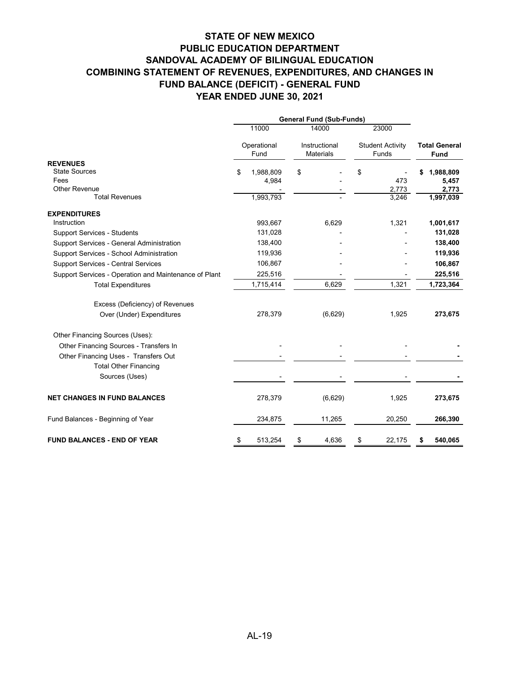|                                                       | <b>General Fund (Sub-Funds)</b> |                     |    |                                   |                                  |              |    |                                     |
|-------------------------------------------------------|---------------------------------|---------------------|----|-----------------------------------|----------------------------------|--------------|----|-------------------------------------|
|                                                       |                                 | 11000               |    | 14000                             |                                  | 23000        |    |                                     |
|                                                       |                                 | Operational<br>Fund |    | Instructional<br><b>Materials</b> | <b>Student Activity</b><br>Funds |              |    | <b>Total General</b><br><b>Fund</b> |
| <b>REVENUES</b>                                       |                                 |                     |    |                                   |                                  |              |    |                                     |
| <b>State Sources</b>                                  | \$                              | 1,988,809           | \$ |                                   | \$                               |              | S  | 1,988,809                           |
| Fees<br><b>Other Revenue</b>                          |                                 | 4,984               |    |                                   |                                  | 473<br>2,773 |    | 5,457<br>2,773                      |
| <b>Total Revenues</b>                                 |                                 | 1,993,793           |    |                                   |                                  | 3,246        |    | 1,997,039                           |
| <b>EXPENDITURES</b>                                   |                                 |                     |    |                                   |                                  |              |    |                                     |
| Instruction                                           |                                 | 993,667             |    | 6,629                             |                                  | 1,321        |    | 1,001,617                           |
| <b>Support Services - Students</b>                    |                                 | 131,028             |    |                                   |                                  |              |    | 131,028                             |
| Support Services - General Administration             |                                 | 138,400             |    |                                   |                                  |              |    | 138,400                             |
| Support Services - School Administration              |                                 | 119,936             |    |                                   |                                  |              |    | 119,936                             |
| <b>Support Services - Central Services</b>            |                                 | 106,867             |    |                                   |                                  |              |    | 106,867                             |
| Support Services - Operation and Maintenance of Plant |                                 | 225,516             |    |                                   |                                  |              |    | 225,516                             |
| <b>Total Expenditures</b>                             |                                 | 1,715,414           |    | 6,629                             |                                  | 1,321        |    | 1,723,364                           |
| Excess (Deficiency) of Revenues                       |                                 |                     |    |                                   |                                  |              |    |                                     |
| Over (Under) Expenditures                             |                                 | 278,379             |    | (6,629)                           |                                  | 1,925        |    | 273,675                             |
| Other Financing Sources (Uses):                       |                                 |                     |    |                                   |                                  |              |    |                                     |
| Other Financing Sources - Transfers In                |                                 |                     |    |                                   |                                  |              |    |                                     |
| Other Financing Uses - Transfers Out                  |                                 |                     |    |                                   |                                  |              |    |                                     |
| <b>Total Other Financing</b>                          |                                 |                     |    |                                   |                                  |              |    |                                     |
| Sources (Uses)                                        |                                 |                     |    |                                   |                                  |              |    |                                     |
| <b>NET CHANGES IN FUND BALANCES</b>                   |                                 | 278,379             |    | (6,629)                           |                                  | 1,925        |    | 273,675                             |
| Fund Balances - Beginning of Year                     |                                 | 234,875             |    | 11,265                            |                                  | 20,250       |    | 266,390                             |
| <b>FUND BALANCES - END OF YEAR</b>                    | \$                              | 513,254             | \$ | 4,636                             | \$                               | 22,175       | \$ | 540,065                             |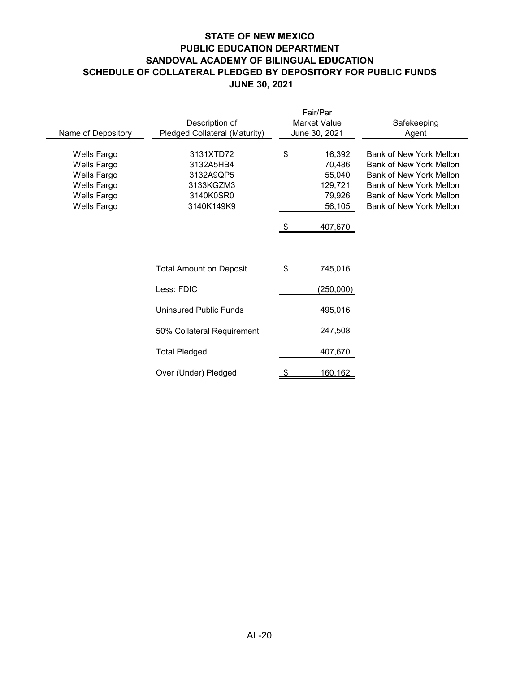## **STATE OF NEW MEXICO PUBLIC EDUCATION DEPARTMENT SANDOVAL ACADEMY OF BILINGUAL EDUCATION SCHEDULE OF COLLATERAL PLEDGED BY DEPOSITORY FOR PUBLIC FUNDS JUNE 30, 2021**

|                    |                                |           | Fair/Par      |                                |
|--------------------|--------------------------------|-----------|---------------|--------------------------------|
|                    | Description of                 |           | Market Value  | Safekeeping                    |
| Name of Depository | Pledged Collateral (Maturity)  |           | June 30, 2021 | Agent                          |
|                    |                                |           |               |                                |
| Wells Fargo        | 3131XTD72                      | \$        | 16,392        | <b>Bank of New York Mellon</b> |
| Wells Fargo        | 3132A5HB4                      |           | 70,486        | <b>Bank of New York Mellon</b> |
| Wells Fargo        | 3132A9QP5                      |           | 55,040        | <b>Bank of New York Mellon</b> |
| Wells Fargo        | 3133KGZM3                      |           | 129,721       | Bank of New York Mellon        |
| Wells Fargo        | 3140K0SR0                      |           | 79,926        | Bank of New York Mellon        |
| Wells Fargo        | 3140K149K9                     |           | 56,105        | Bank of New York Mellon        |
|                    |                                |           |               |                                |
|                    |                                | \$        | 407,670       |                                |
|                    |                                |           |               |                                |
|                    |                                |           |               |                                |
|                    |                                |           |               |                                |
|                    | <b>Total Amount on Deposit</b> | \$        | 745,016       |                                |
|                    |                                |           |               |                                |
|                    | Less: FDIC                     |           | (250,000)     |                                |
|                    |                                |           |               |                                |
|                    | Uninsured Public Funds         |           | 495,016       |                                |
|                    |                                |           |               |                                |
|                    | 50% Collateral Requirement     |           | 247,508       |                                |
|                    |                                |           |               |                                |
|                    | <b>Total Pledged</b>           |           | 407,670       |                                |
|                    |                                |           |               |                                |
|                    | Over (Under) Pledged           | <u>\$</u> | 160,162       |                                |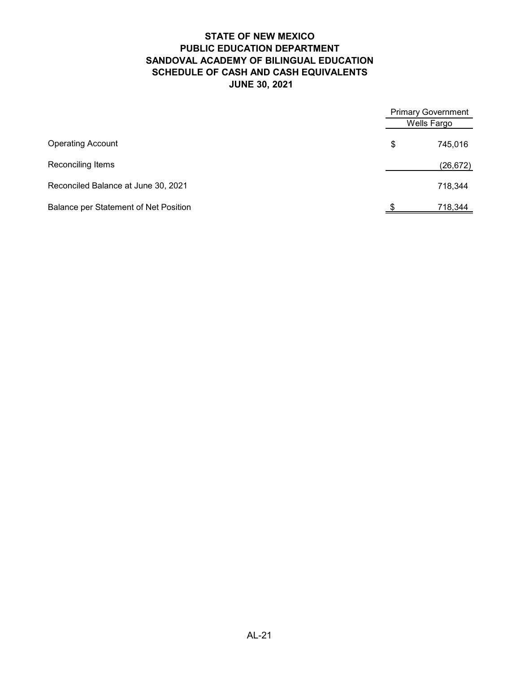## **STATE OF NEW MEXICO PUBLIC EDUCATION DEPARTMENT SANDOVAL ACADEMY OF BILINGUAL EDUCATION SCHEDULE OF CASH AND CASH EQUIVALENTS JUNE 30, 2021**

|                                       | <b>Primary Government</b><br>Wells Fargo |           |
|---------------------------------------|------------------------------------------|-----------|
| <b>Operating Account</b>              | \$                                       | 745,016   |
| Reconciling Items                     |                                          | (26, 672) |
| Reconciled Balance at June 30, 2021   |                                          | 718,344   |
| Balance per Statement of Net Position |                                          | 718,344   |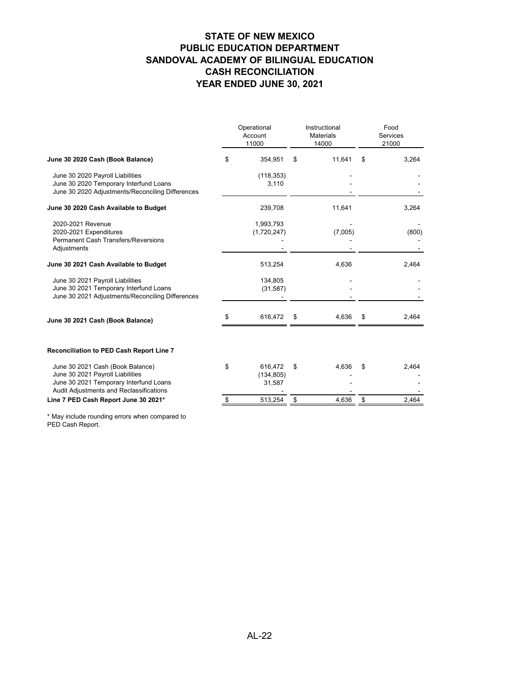| June 30 2020 Cash (Book Balance)<br>354,951<br>11,641<br>3,264<br>\$<br>\$<br>\$<br>June 30 2020 Payroll Liabilities<br>(118, 353)<br>June 30 2020 Temporary Interfund Loans<br>3,110<br>June 30 2020 Adjustments/Reconciling Differences<br>June 30 2020 Cash Available to Budget<br>239,708<br>11,641<br>3,264<br>2020-2021 Revenue<br>1,993,793<br>2020-2021 Expenditures<br>(7,005)<br>(1,720,247)<br><b>Permanent Cash Transfers/Reversions</b><br>Adjustments<br>June 30 2021 Cash Available to Budget<br>513,254<br>4,636<br>2,464<br>June 30 2021 Payroll Liabilities<br>134,805<br>June 30 2021 Temporary Interfund Loans<br>(31, 587)<br>June 30 2021 Adjustments/Reconciling Differences<br>616,472<br>4,636<br>\$<br>2,464<br>\$<br>\$<br>June 30 2021 Cash (Book Balance)<br><b>Reconciliation to PED Cash Report Line 7</b><br>June 30 2021 Cash (Book Balance)<br>\$<br>616,472<br>\$<br>4,636<br>2,464<br>\$<br>June 30 2021 Payroll Liabilities<br>(134, 805)<br>June 30 2021 Temporary Interfund Loans<br>31,587<br>Audit Adjustments and Reclassifications |                                      |  | Operational<br>Account<br>11000 | Instructional<br><b>Materials</b><br>14000 | Food<br><b>Services</b><br>21000 |       |  |
|-------------------------------------------------------------------------------------------------------------------------------------------------------------------------------------------------------------------------------------------------------------------------------------------------------------------------------------------------------------------------------------------------------------------------------------------------------------------------------------------------------------------------------------------------------------------------------------------------------------------------------------------------------------------------------------------------------------------------------------------------------------------------------------------------------------------------------------------------------------------------------------------------------------------------------------------------------------------------------------------------------------------------------------------------------------------------------|--------------------------------------|--|---------------------------------|--------------------------------------------|----------------------------------|-------|--|
|                                                                                                                                                                                                                                                                                                                                                                                                                                                                                                                                                                                                                                                                                                                                                                                                                                                                                                                                                                                                                                                                               |                                      |  |                                 |                                            |                                  |       |  |
|                                                                                                                                                                                                                                                                                                                                                                                                                                                                                                                                                                                                                                                                                                                                                                                                                                                                                                                                                                                                                                                                               |                                      |  |                                 |                                            |                                  |       |  |
|                                                                                                                                                                                                                                                                                                                                                                                                                                                                                                                                                                                                                                                                                                                                                                                                                                                                                                                                                                                                                                                                               |                                      |  |                                 |                                            |                                  |       |  |
|                                                                                                                                                                                                                                                                                                                                                                                                                                                                                                                                                                                                                                                                                                                                                                                                                                                                                                                                                                                                                                                                               |                                      |  |                                 |                                            |                                  | (800) |  |
|                                                                                                                                                                                                                                                                                                                                                                                                                                                                                                                                                                                                                                                                                                                                                                                                                                                                                                                                                                                                                                                                               |                                      |  |                                 |                                            |                                  |       |  |
|                                                                                                                                                                                                                                                                                                                                                                                                                                                                                                                                                                                                                                                                                                                                                                                                                                                                                                                                                                                                                                                                               |                                      |  |                                 |                                            |                                  |       |  |
|                                                                                                                                                                                                                                                                                                                                                                                                                                                                                                                                                                                                                                                                                                                                                                                                                                                                                                                                                                                                                                                                               |                                      |  |                                 |                                            |                                  |       |  |
|                                                                                                                                                                                                                                                                                                                                                                                                                                                                                                                                                                                                                                                                                                                                                                                                                                                                                                                                                                                                                                                                               |                                      |  |                                 |                                            |                                  |       |  |
|                                                                                                                                                                                                                                                                                                                                                                                                                                                                                                                                                                                                                                                                                                                                                                                                                                                                                                                                                                                                                                                                               |                                      |  |                                 |                                            |                                  |       |  |
|                                                                                                                                                                                                                                                                                                                                                                                                                                                                                                                                                                                                                                                                                                                                                                                                                                                                                                                                                                                                                                                                               | Line 7 PED Cash Report June 30 2021* |  | 513,254                         | \$<br>4,636                                | \$                               | 2,464 |  |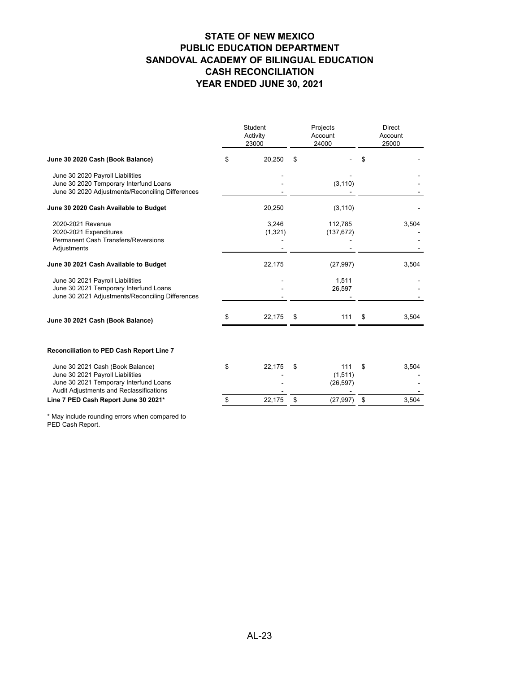|                                                                                                                                                           |    | Student<br>Activity<br>23000 | Projects<br>Account<br>24000       | <b>Direct</b><br>Account<br>25000 |       |  |
|-----------------------------------------------------------------------------------------------------------------------------------------------------------|----|------------------------------|------------------------------------|-----------------------------------|-------|--|
| June 30 2020 Cash (Book Balance)                                                                                                                          | \$ | 20,250                       | \$                                 |                                   |       |  |
| June 30 2020 Payroll Liabilities<br>June 30 2020 Temporary Interfund Loans<br>June 30 2020 Adjustments/Reconciling Differences                            |    |                              | (3, 110)                           |                                   |       |  |
| June 30 2020 Cash Available to Budget                                                                                                                     |    | 20,250                       | (3, 110)                           |                                   |       |  |
| 2020-2021 Revenue<br>2020-2021 Expenditures<br><b>Permanent Cash Transfers/Reversions</b><br>Adjustments                                                  |    | 3,246<br>(1, 321)            | 112,785<br>(137, 672)              |                                   | 3,504 |  |
| June 30 2021 Cash Available to Budget                                                                                                                     |    | 22,175                       | (27, 997)                          |                                   | 3,504 |  |
| June 30 2021 Payroll Liabilities<br>June 30 2021 Temporary Interfund Loans<br>June 30 2021 Adjustments/Reconciling Differences                            |    |                              | 1,511<br>26,597                    |                                   |       |  |
| June 30 2021 Cash (Book Balance)                                                                                                                          | \$ | 22,175                       | \$<br>111                          | \$                                | 3,504 |  |
| <b>Reconciliation to PED Cash Report Line 7</b>                                                                                                           |    |                              |                                    |                                   |       |  |
| June 30 2021 Cash (Book Balance)<br>June 30 2021 Payroll Liabilities<br>June 30 2021 Temporary Interfund Loans<br>Audit Adjustments and Reclassifications | \$ | 22,175                       | \$<br>111<br>(1, 511)<br>(26, 597) | \$                                | 3,504 |  |
| Line 7 PED Cash Report June 30 2021*                                                                                                                      | \$ | 22,175                       | \$<br>(27, 997)                    | \$                                | 3,504 |  |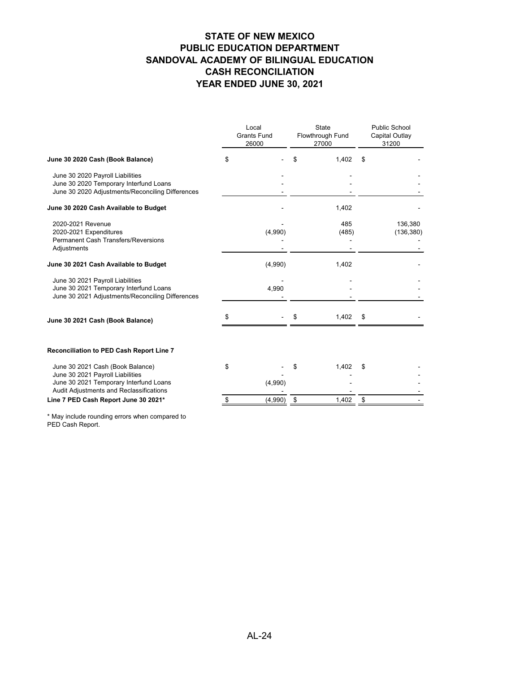|                                                                                                                                |    | Local<br><b>Grants Fund</b><br>26000 | <b>State</b><br>Flowthrough Fund<br>27000 | <b>Public School</b><br><b>Capital Outlay</b><br>31200 |                       |  |
|--------------------------------------------------------------------------------------------------------------------------------|----|--------------------------------------|-------------------------------------------|--------------------------------------------------------|-----------------------|--|
| June 30 2020 Cash (Book Balance)                                                                                               | \$ |                                      | \$<br>1,402                               | \$                                                     |                       |  |
| June 30 2020 Payroll Liabilities<br>June 30 2020 Temporary Interfund Loans<br>June 30 2020 Adjustments/Reconciling Differences |    |                                      |                                           |                                                        |                       |  |
| June 30 2020 Cash Available to Budget                                                                                          |    |                                      | 1,402                                     |                                                        |                       |  |
| 2020-2021 Revenue<br>2020-2021 Expenditures<br><b>Permanent Cash Transfers/Reversions</b><br>Adjustments                       |    | (4,990)                              | 485<br>(485)                              |                                                        | 136,380<br>(136, 380) |  |
| June 30 2021 Cash Available to Budget                                                                                          |    | (4,990)                              | 1,402                                     |                                                        |                       |  |
| June 30 2021 Payroll Liabilities<br>June 30 2021 Temporary Interfund Loans<br>June 30 2021 Adjustments/Reconciling Differences |    | 4,990                                |                                           |                                                        |                       |  |
| June 30 2021 Cash (Book Balance)                                                                                               | \$ |                                      | \$<br>1,402                               | \$                                                     |                       |  |
| <b>Reconciliation to PED Cash Report Line 7</b>                                                                                |    |                                      |                                           |                                                        |                       |  |
| June 30 2021 Cash (Book Balance)<br>June 30 2021 Payroll Liabilities<br>June 30 2021 Temporary Interfund Loans                 | \$ | (4,990)                              | \$<br>1,402                               | \$                                                     |                       |  |
| Audit Adjustments and Reclassifications<br>Line 7 PED Cash Report June 30 2021*                                                | \$ | (4,990)                              | \$<br>1,402                               | \$                                                     |                       |  |